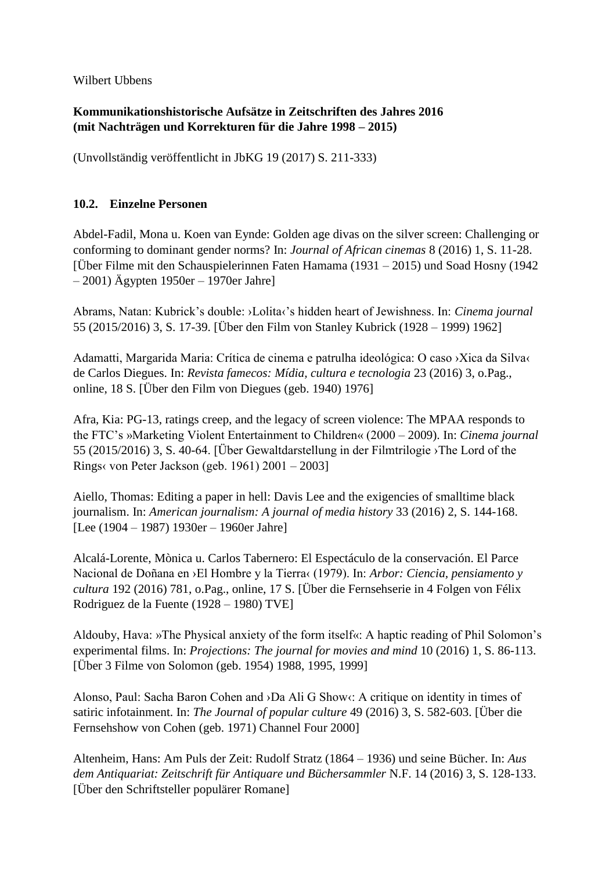Wilbert Ubbens

## **Kommunikationshistorische Aufsätze in Zeitschriften des Jahres 2016 (mit Nachträgen und Korrekturen für die Jahre 1998 – 2015)**

(Unvollständig veröffentlicht in JbKG 19 (2017) S. 211-333)

## **10.2. Einzelne Personen**

Abdel-Fadil, Mona u. Koen van Eynde: Golden age divas on the silver screen: Challenging or conforming to dominant gender norms? In: *Journal of African cinemas* 8 (2016) 1, S. 11-28. [Über Filme mit den Schauspielerinnen Faten Hamama (1931 – 2015) und Soad Hosny (1942 – 2001) Ägypten 1950er – 1970er Jahre]

Abrams, Natan: Kubrick's double: ›Lolita‹'s hidden heart of Jewishness. In: *Cinema journal* 55 (2015/2016) 3, S. 17-39. [Über den Film von Stanley Kubrick (1928 – 1999) 1962]

Adamatti, Margarida Maria: Crítica de cinema e patrulha ideológica: O caso ›Xica da Silva‹ de Carlos Diegues. In: *Revista famecos: Mídia, cultura e tecnologia* 23 (2016) 3, o.Pag., online, 18 S. [Über den Film von Diegues (geb. 1940) 1976]

Afra, Kia: PG-13, ratings creep, and the legacy of screen violence: The MPAA responds to the FTC's »Marketing Violent Entertainment to Children« (2000 – 2009). In: *Cinema journal* 55 (2015/2016) 3, S. 40-64. [Über Gewaltdarstellung in der Filmtrilogie ›The Lord of the Rings‹ von Peter Jackson (geb. 1961) 2001 – 2003]

Aiello, Thomas: Editing a paper in hell: Davis Lee and the exigencies of smalltime black journalism. In: *American journalism: A journal of media history* 33 (2016) 2, S. 144-168. [Lee (1904 – 1987) 1930er – 1960er Jahre]

Alcalá-Lorente, Mònica u. Carlos Tabernero: El Espectáculo de la conservación. El Parce Nacional de Doñana en ›El Hombre y la Tierra‹ (1979). In: *Arbor: Ciencia, pensiamento y cultura* 192 (2016) 781, o.Pag., online, 17 S. [Über die Fernsehserie in 4 Folgen von Félix Rodriguez de la Fuente (1928 – 1980) TVE]

Aldouby, Hava: »The Physical anxiety of the form itself«: A haptic reading of Phil Solomon's experimental films. In: *Projections: The journal for movies and mind* 10 (2016) 1, S. 86-113. [Über 3 Filme von Solomon (geb. 1954) 1988, 1995, 1999]

Alonso, Paul: Sacha Baron Cohen and ›Da Ali G Show‹: A critique on identity in times of satiric infotainment. In: *The Journal of popular culture* 49 (2016) 3, S. 582-603. [Über die Fernsehshow von Cohen (geb. 1971) Channel Four 2000]

Altenheim, Hans: Am Puls der Zeit: Rudolf Stratz (1864 – 1936) und seine Bücher. In: *Aus dem Antiquariat: Zeitschrift für Antiquare und Büchersammler* N.F. 14 (2016) 3, S. 128-133. [Über den Schriftsteller populärer Romane]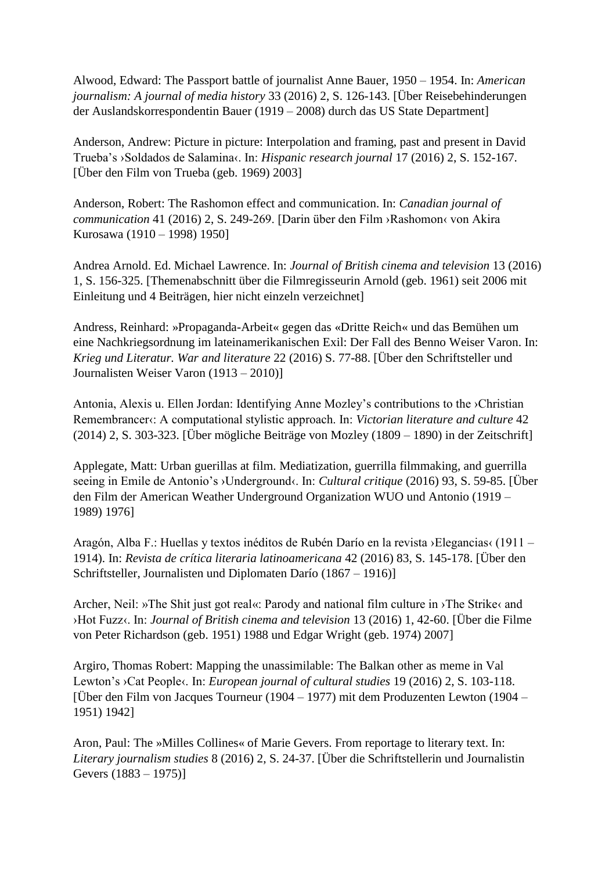Alwood, Edward: The Passport battle of journalist Anne Bauer, 1950 – 1954. In: *American journalism: A journal of media history* 33 (2016) 2, S. 126-143. [Über Reisebehinderungen der Auslandskorrespondentin Bauer (1919 – 2008) durch das US State Department]

Anderson, Andrew: Picture in picture: Interpolation and framing, past and present in David Trueba's ›Soldados de Salamina‹. In: *Hispanic research journal* 17 (2016) 2, S. 152-167. [Über den Film von Trueba (geb. 1969) 2003]

Anderson, Robert: The Rashomon effect and communication. In: *Canadian journal of communication* 41 (2016) 2, S. 249-269. [Darin über den Film ›Rashomon‹ von Akira Kurosawa (1910 – 1998) 1950]

Andrea Arnold. Ed. Michael Lawrence. In: *Journal of British cinema and television* 13 (2016) 1, S. 156-325. [Themenabschnitt über die Filmregisseurin Arnold (geb. 1961) seit 2006 mit Einleitung und 4 Beiträgen, hier nicht einzeln verzeichnet]

Andress, Reinhard: »Propaganda-Arbeit« gegen das «Dritte Reich« und das Bemühen um eine Nachkriegsordnung im lateinamerikanischen Exil: Der Fall des Benno Weiser Varon. In: *Krieg und Literatur. War and literature* 22 (2016) S. 77-88. [Über den Schriftsteller und Journalisten Weiser Varon (1913 – 2010)]

Antonia, Alexis u. Ellen Jordan: Identifying Anne Mozley's contributions to the ›Christian Remembrancer«: A computational stylistic approach. In: *Victorian literature and culture* 42 (2014) 2, S. 303-323. [Über mögliche Beiträge von Mozley (1809 – 1890) in der Zeitschrift]

Applegate, Matt: Urban guerillas at film. Mediatization, guerrilla filmmaking, and guerrilla seeing in Emile de Antonio's ›Underground‹. In: *Cultural critique* (2016) 93, S. 59-85. [Über den Film der American Weather Underground Organization WUO und Antonio (1919 – 1989) 1976]

Aragón, Alba F.: Huellas y textos inéditos de Rubén Darío en la revista ›Elegancias‹ (1911 – 1914). In: *Revista de crítica literaria latinoamericana* 42 (2016) 83, S. 145-178. [Über den Schriftsteller, Journalisten und Diplomaten Darío (1867 – 1916)]

Archer, Neil: »The Shit just got real«: Parody and national film culture in ›The Strike‹ and ›Hot Fuzz‹. In: *Journal of British cinema and television* 13 (2016) 1, 42-60. [Über die Filme von Peter Richardson (geb. 1951) 1988 und Edgar Wright (geb. 1974) 2007]

Argiro, Thomas Robert: Mapping the unassimilable: The Balkan other as meme in Val Lewton's ›Cat People‹. In: *European journal of cultural studies* 19 (2016) 2, S. 103-118. [Über den Film von Jacques Tourneur (1904 – 1977) mit dem Produzenten Lewton (1904 – 1951) 1942]

Aron, Paul: The »Milles Collines« of Marie Gevers. From reportage to literary text. In: *Literary journalism studies* 8 (2016) 2, S. 24-37. [Über die Schriftstellerin und Journalistin Gevers (1883 – 1975)]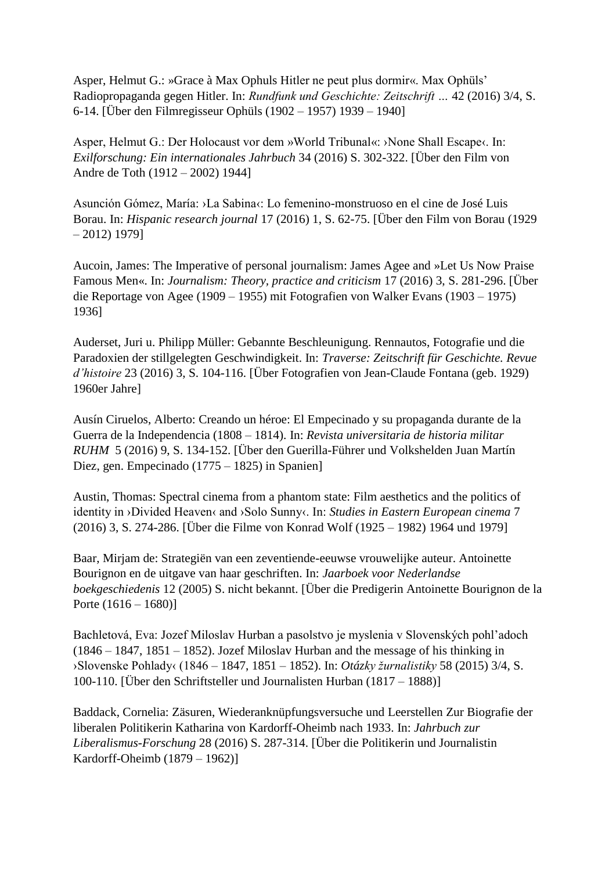Asper, Helmut G.: »Grace à Max Ophuls Hitler ne peut plus dormir«. Max Ophüls' Radiopropaganda gegen Hitler. In: *Rundfunk und Geschichte: Zeitschrift …* 42 (2016) 3/4, S. 6-14. [Über den Filmregisseur Ophüls (1902 – 1957) 1939 – 1940]

Asper, Helmut G.: Der Holocaust vor dem »World Tribunal«: ›None Shall Escape‹. In: *Exilforschung: Ein internationales Jahrbuch* 34 (2016) S. 302-322. [Über den Film von Andre de Toth (1912 – 2002) 1944]

Asunción Gómez, María: ›La Sabina‹: Lo femenino-monstruoso en el cine de José Luis Borau. In: *Hispanic research journal* 17 (2016) 1, S. 62-75. [Über den Film von Borau (1929 – 2012) 1979]

Aucoin, James: The Imperative of personal journalism: James Agee and »Let Us Now Praise Famous Men«. In: *Journalism: Theory, practice and criticism* 17 (2016) 3, S. 281-296. [Über die Reportage von Agee (1909 – 1955) mit Fotografien von Walker Evans (1903 – 1975) 1936]

Auderset, Juri u. Philipp Müller: Gebannte Beschleunigung. Rennautos, Fotografie und die Paradoxien der stillgelegten Geschwindigkeit. In: *Traverse: Zeitschrift für Geschichte. Revue d'histoire* 23 (2016) 3, S. 104-116. [Über Fotografien von Jean-Claude Fontana (geb. 1929) 1960er Jahre]

Ausín Ciruelos, Alberto: Creando un héroe: El Empecinado y su propaganda durante de la Guerra de la Independencia (1808 – 1814). In: *Revista universitaria de historia militar RUHM* 5 (2016) 9, S. 134-152. [Über den Guerilla-Führer und Volkshelden Juan Martín Diez, gen. Empecinado (1775 – 1825) in Spanien]

Austin, Thomas: Spectral cinema from a phantom state: Film aesthetics and the politics of identity in ›Divided Heaven‹ and ›Solo Sunny‹. In: *Studies in Eastern European cinema* 7 (2016) 3, S. 274-286. [Über die Filme von Konrad Wolf (1925 – 1982) 1964 und 1979]

Baar, Mirjam de: Strategiën van een zeventiende-eeuwse vrouwelijke auteur. Antoinette Bourignon en de uitgave van haar geschriften. In: *Jaarboek voor Nederlandse boekgeschiedenis* 12 (2005) S. nicht bekannt. [Über die Predigerin Antoinette Bourignon de la Porte  $(1616 - 1680)$ ]

Bachletová, Eva: Jozef Miloslav Hurban a pasolstvo je myslenia v Slovenských pohl'adoch (1846 – 1847, 1851 – 1852). Jozef Miloslav Hurban and the message of his thinking in ›Slovenske Pohlady‹ (1846 – 1847, 1851 – 1852). In: *Otázky žurnalistiky* 58 (2015) 3/4, S. 100-110. [Über den Schriftsteller und Journalisten Hurban (1817 – 1888)]

Baddack, Cornelia: Zäsuren, Wiederanknüpfungsversuche und Leerstellen Zur Biografie der liberalen Politikerin Katharina von Kardorff-Oheimb nach 1933. In: *Jahrbuch zur Liberalismus-Forschung* 28 (2016) S. 287-314. [Über die Politikerin und Journalistin Kardorff-Oheimb (1879 – 1962)]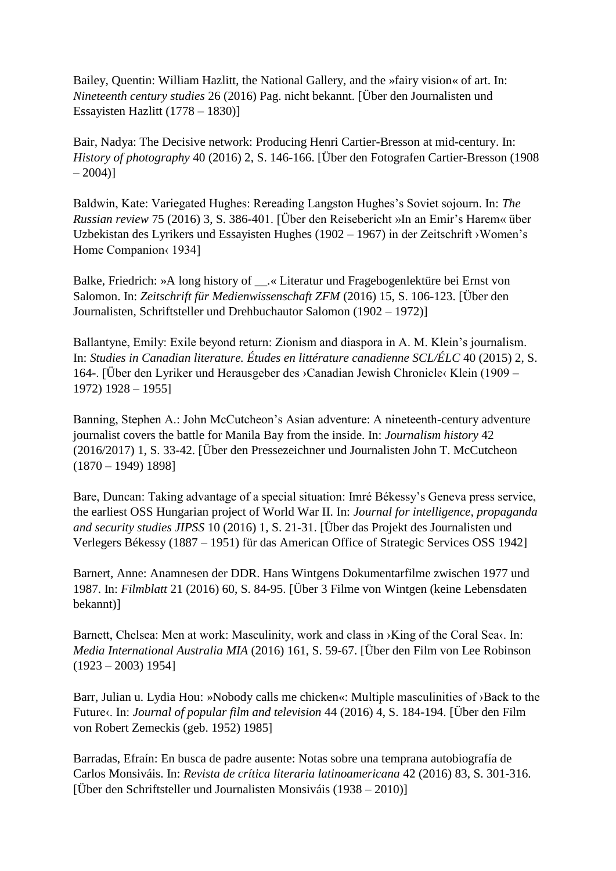Bailey, Quentin: William Hazlitt, the National Gallery, and the »fairy vision« of art. In: *Nineteenth century studies* 26 (2016) Pag. nicht bekannt. [Über den Journalisten und Essayisten Hazlitt (1778 – 1830)]

Bair, Nadya: The Decisive network: Producing Henri Cartier-Bresson at mid-century. In: *History of photography* 40 (2016) 2, S. 146-166. [Über den Fotografen Cartier-Bresson (1908  $-2004$ ]

Baldwin, Kate: Variegated Hughes: Rereading Langston Hughes's Soviet sojourn. In: *The Russian review* 75 (2016) 3, S. 386-401. [Über den Reisebericht »In an Emir's Harem« über Uzbekistan des Lyrikers und Essayisten Hughes (1902 – 1967) in der Zeitschrift ›Women's Home Companion < 1934]

Balke, Friedrich: »A long history of \_\_.« Literatur und Fragebogenlektüre bei Ernst von Salomon. In: *Zeitschrift für Medienwissenschaft ZFM* (2016) 15, S. 106-123. [Über den Journalisten, Schriftsteller und Drehbuchautor Salomon (1902 – 1972)]

Ballantyne, Emily: Exile beyond return: Zionism and diaspora in A. M. Klein's journalism. In: *Studies in Canadian literature. Études en littérature canadienne SCL/ÉLC* 40 (2015) 2, S. 164-. [Über den Lyriker und Herausgeber des ›Canadian Jewish Chronicle‹ Klein (1909 – 1972) 1928 – 1955]

Banning, Stephen A.: John McCutcheon's Asian adventure: A nineteenth-century adventure journalist covers the battle for Manila Bay from the inside. In: *Journalism history* 42 (2016/2017) 1, S. 33-42. [Über den Pressezeichner und Journalisten John T. McCutcheon  $(1870 - 1949)$  1898]

Bare, Duncan: Taking advantage of a special situation: Imré Békessy's Geneva press service, the earliest OSS Hungarian project of World War II. In: *Journal for intelligence, propaganda and security studies JIPSS* 10 (2016) 1, S. 21-31. [Über das Projekt des Journalisten und Verlegers Békessy (1887 – 1951) für das American Office of Strategic Services OSS 1942]

Barnert, Anne: Anamnesen der DDR. Hans Wintgens Dokumentarfilme zwischen 1977 und 1987. In: *Filmblatt* 21 (2016) 60, S. 84-95. [Über 3 Filme von Wintgen (keine Lebensdaten bekannt)]

Barnett, Chelsea: Men at work: Masculinity, work and class in >King of the Coral Sea $\cdot$ . In: *Media International Australia MIA* (2016) 161, S. 59-67. [Über den Film von Lee Robinson  $(1923 - 2003)$  1954]

Barr, Julian u. Lydia Hou: »Nobody calls me chicken«: Multiple masculinities of >Back to the Future‹. In: *Journal of popular film and television* 44 (2016) 4, S. 184-194. [Über den Film von Robert Zemeckis (geb. 1952) 1985]

Barradas, Efraín: En busca de padre ausente: Notas sobre una temprana autobiografía de Carlos Monsiváis. In: *Revista de crítica literaria latinoamericana* 42 (2016) 83, S. 301-316. [Über den Schriftsteller und Journalisten Monsiváis (1938 – 2010)]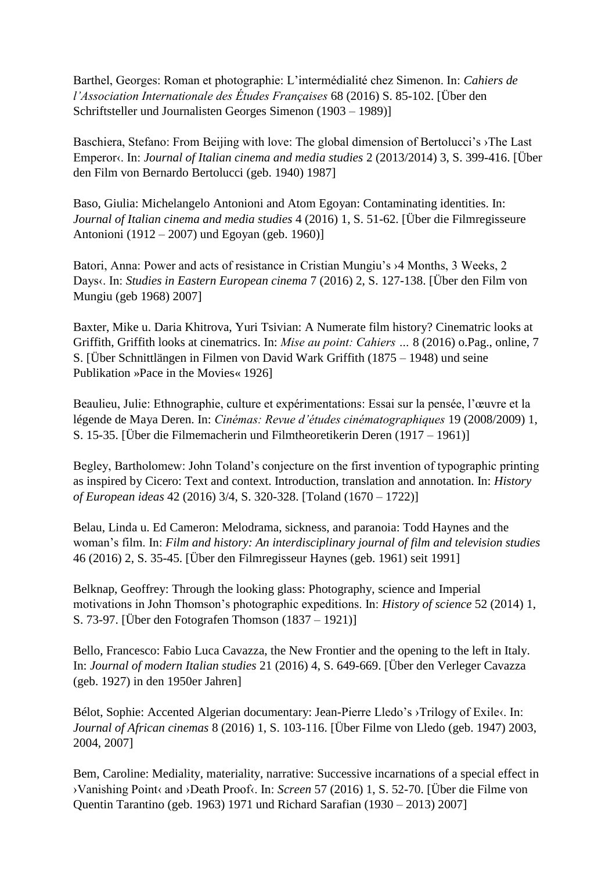Barthel, Georges: Roman et photographie: L'intermédialité chez Simenon. In: *Cahiers de l'Association Internationale des Études Françaises* 68 (2016) S. 85-102. [Über den Schriftsteller und Journalisten Georges Simenon (1903 – 1989)]

Baschiera, Stefano: From Beijing with love: The global dimension of Bertolucci's ›The Last Emperor‹. In: *Journal of Italian cinema and media studies* 2 (2013/2014) 3, S. 399-416. [Über den Film von Bernardo Bertolucci (geb. 1940) 1987]

Baso, Giulia: Michelangelo Antonioni and Atom Egoyan: Contaminating identities. In: *Journal of Italian cinema and media studies* 4 (2016) 1, S. 51-62. [Über die Filmregisseure Antonioni (1912 – 2007) und Egoyan (geb. 1960)]

Batori, Anna: Power and acts of resistance in Cristian Mungiu's ›4 Months, 3 Weeks, 2 Days‹. In: *Studies in Eastern European cinema* 7 (2016) 2, S. 127-138. [Über den Film von Mungiu (geb 1968) 2007]

Baxter, Mike u. Daria Khitrova, Yuri Tsivian: A Numerate film history? Cinematric looks at Griffith, Griffith looks at cinematrics. In: *Mise au point: Cahiers …* 8 (2016) o.Pag., online, 7 S. [Über Schnittlängen in Filmen von David Wark Griffith (1875 – 1948) und seine Publikation »Pace in the Movies« 1926]

Beaulieu, Julie: Ethnographie, culture et expérimentations: Essai sur la pensée, l'œuvre et la légende de Maya Deren. In: *Cinémas: Revue d'études cinématographiques* 19 (2008/2009) 1, S. 15-35. [Über die Filmemacherin und Filmtheoretikerin Deren (1917 – 1961)]

Begley, Bartholomew: John Toland's conjecture on the first invention of typographic printing as inspired by Cicero: Text and context. Introduction, translation and annotation. In: *History of European ideas* 42 (2016) 3/4, S. 320-328. [Toland (1670 – 1722)]

Belau, Linda u. Ed Cameron: Melodrama, sickness, and paranoia: Todd Haynes and the woman's film. In: *Film and history: An interdisciplinary journal of film and television studies* 46 (2016) 2, S. 35-45. [Über den Filmregisseur Haynes (geb. 1961) seit 1991]

Belknap, Geoffrey: Through the looking glass: Photography, science and Imperial motivations in John Thomson's photographic expeditions. In: *History of science* 52 (2014) 1, S. 73-97. [Über den Fotografen Thomson (1837 – 1921)]

Bello, Francesco: Fabio Luca Cavazza, the New Frontier and the opening to the left in Italy. In: *Journal of modern Italian studies* 21 (2016) 4, S. 649-669. [Über den Verleger Cavazza (geb. 1927) in den 1950er Jahren]

Bélot, Sophie: Accented Algerian documentary: Jean-Pierre Lledo's >Trilogy of Exile<. In: *Journal of African cinemas* 8 (2016) 1, S. 103-116. [Über Filme von Lledo (geb. 1947) 2003, 2004, 2007]

Bem, Caroline: Mediality, materiality, narrative: Successive incarnations of a special effect in ›Vanishing Point‹ and ›Death Proof‹. In: *Screen* 57 (2016) 1, S. 52-70. [Über die Filme von Quentin Tarantino (geb. 1963) 1971 und Richard Sarafian (1930 – 2013) 2007]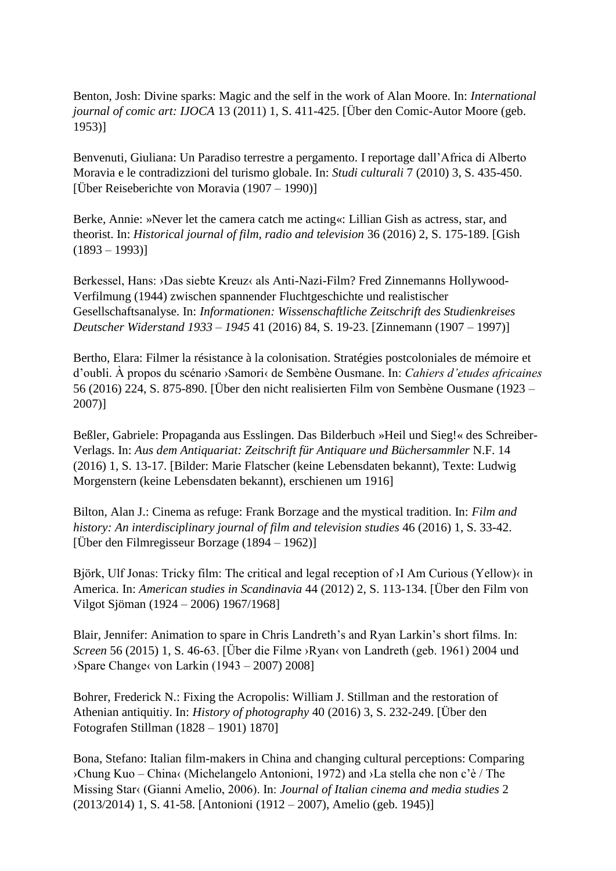Benton, Josh: Divine sparks: Magic and the self in the work of Alan Moore. In: *International journal of comic art: IJOCA* 13 (2011) 1, S. 411-425. [Über den Comic-Autor Moore (geb. 1953)]

Benvenuti, Giuliana: Un Paradiso terrestre a pergamento. I reportage dall'Africa di Alberto Moravia e le contradizzioni del turismo globale. In: *Studi culturali* 7 (2010) 3, S. 435-450. [Über Reiseberichte von Moravia (1907 – 1990)]

Berke, Annie: »Never let the camera catch me acting«: Lillian Gish as actress, star, and theorist. In: *Historical journal of film, radio and television* 36 (2016) 2, S. 175-189. [Gish  $(1893 - 1993)$ 

Berkessel, Hans: ›Das siebte Kreuz‹ als Anti-Nazi-Film? Fred Zinnemanns Hollywood-Verfilmung (1944) zwischen spannender Fluchtgeschichte und realistischer Gesellschaftsanalyse. In: *Informationen: Wissenschaftliche Zeitschrift des Studienkreises Deutscher Widerstand 1933 – 1945* 41 (2016) 84, S. 19-23. [Zinnemann (1907 – 1997)]

Bertho, Elara: Filmer la résistance à la colonisation. Stratégies postcoloniales de mémoire et d'oubli. À propos du scénario ›Samori‹ de Sembène Ousmane. In: *Cahiers d'etudes africaines* 56 (2016) 224, S. 875-890. [Über den nicht realisierten Film von Sembène Ousmane (1923 – 2007)]

Beßler, Gabriele: Propaganda aus Esslingen. Das Bilderbuch »Heil und Sieg!« des Schreiber-Verlags. In: *Aus dem Antiquariat: Zeitschrift für Antiquare und Büchersammler* N.F. 14 (2016) 1, S. 13-17. [Bilder: Marie Flatscher (keine Lebensdaten bekannt), Texte: Ludwig Morgenstern (keine Lebensdaten bekannt), erschienen um 1916]

Bilton, Alan J.: Cinema as refuge: Frank Borzage and the mystical tradition. In: *Film and history: An interdisciplinary journal of film and television studies* 46 (2016) 1, S. 33-42. [Über den Filmregisseur Borzage (1894 – 1962)]

Björk, Ulf Jonas: Tricky film: The critical and legal reception of ›I Am Curious (Yellow)‹ in America. In: *American studies in Scandinavia* 44 (2012) 2, S. 113-134. [Über den Film von Vilgot Sjöman (1924 – 2006) 1967/1968]

Blair, Jennifer: Animation to spare in Chris Landreth's and Ryan Larkin's short films. In: *Screen* 56 (2015) 1, S. 46-63. [Über die Filme ›Ryan‹ von Landreth (geb. 1961) 2004 und ›Spare Change‹ von Larkin (1943 – 2007) 2008]

Bohrer, Frederick N.: Fixing the Acropolis: William J. Stillman and the restoration of Athenian antiquitiy. In: *History of photography* 40 (2016) 3, S. 232-249. [Über den Fotografen Stillman (1828 – 1901) 1870]

Bona, Stefano: Italian film-makers in China and changing cultural perceptions: Comparing ›Chung Kuo – China‹ (Michelangelo Antonioni, 1972) and ›La stella che non c'è / The Missing Star‹ (Gianni Amelio, 2006). In: *Journal of Italian cinema and media studies* 2 (2013/2014) 1, S. 41-58. [Antonioni (1912 – 2007), Amelio (geb. 1945)]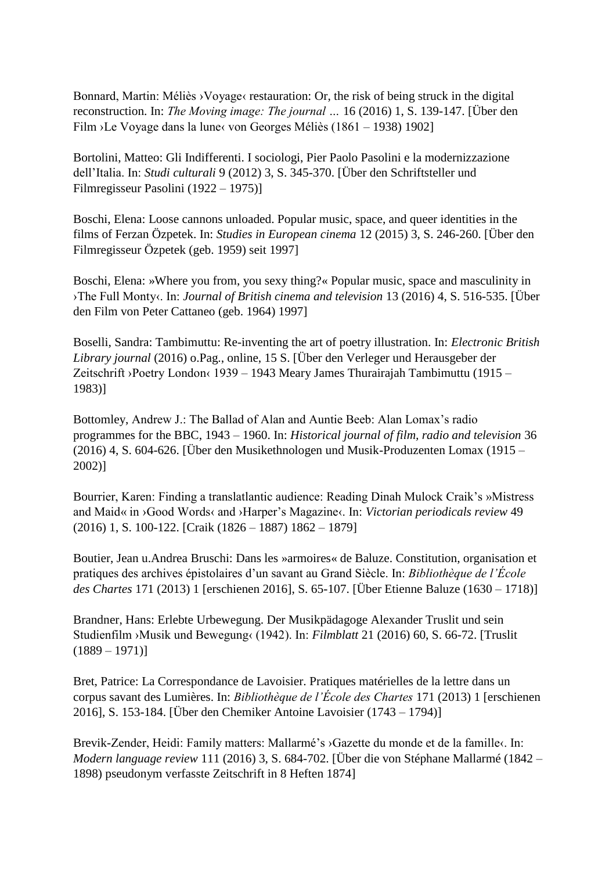Bonnard, Martin: Méliès > Voyage< restauration: Or, the risk of being struck in the digital reconstruction. In: *The Moving image: The journal …* 16 (2016) 1, S. 139-147. [Über den Film ›Le Voyage dans la lune‹ von Georges Méliès (1861 – 1938) 1902]

Bortolini, Matteo: Gli Indifferenti. I sociologi, Pier Paolo Pasolini e la modernizzazione dell'Italia. In: *Studi culturali* 9 (2012) 3, S. 345-370. [Über den Schriftsteller und Filmregisseur Pasolini (1922 – 1975)]

Boschi, Elena: Loose cannons unloaded. Popular music, space, and queer identities in the films of Ferzan Özpetek. In: *Studies in European cinema* 12 (2015) 3, S. 246-260. [Über den Filmregisseur Özpetek (geb. 1959) seit 1997]

Boschi, Elena: »Where you from, you sexy thing?« Popular music, space and masculinity in ›The Full Monty‹. In: *Journal of British cinema and television* 13 (2016) 4, S. 516-535. [Über den Film von Peter Cattaneo (geb. 1964) 1997]

Boselli, Sandra: Tambimuttu: Re-inventing the art of poetry illustration. In: *Electronic British Library journal* (2016) o.Pag., online, 15 S. [Über den Verleger und Herausgeber der Zeitschrift ›Poetry London‹ 1939 – 1943 Meary James Thurairajah Tambimuttu (1915 – 1983)]

Bottomley, Andrew J.: The Ballad of Alan and Auntie Beeb: Alan Lomax's radio programmes for the BBC, 1943 – 1960. In: *Historical journal of film, radio and television* 36 (2016) 4, S. 604-626. [Über den Musikethnologen und Musik-Produzenten Lomax (1915 – 2002)]

Bourrier, Karen: Finding a translatlantic audience: Reading Dinah Mulock Craik's »Mistress and Maid« in ›Good Words‹ and ›Harper's Magazine‹. In: *Victorian periodicals review* 49 (2016) 1, S. 100-122. [Craik (1826 – 1887) 1862 – 1879]

Boutier, Jean u.Andrea Bruschi: Dans les »armoires« de Baluze. Constitution, organisation et pratiques des archives épistolaires d'un savant au Grand Siècle. In: *Bibliothèque de l'École des Chartes* 171 (2013) 1 [erschienen 2016], S. 65-107. [Über Etienne Baluze (1630 – 1718)]

Brandner, Hans: Erlebte Urbewegung. Der Musikpädagoge Alexander Truslit und sein Studienfilm ›Musik und Bewegung‹ (1942). In: *Filmblatt* 21 (2016) 60, S. 66-72. [Truslit  $(1889 - 1971)$ 

Bret, Patrice: La Correspondance de Lavoisier. Pratiques matérielles de la lettre dans un corpus savant des Lumières. In: *Bibliothèque de l'École des Chartes* 171 (2013) 1 [erschienen 2016], S. 153-184. [Über den Chemiker Antoine Lavoisier (1743 – 1794)]

Brevik-Zender, Heidi: Family matters: Mallarmé's ›Gazette du monde et de la famille‹. In: *Modern language review* 111 (2016) 3, S. 684-702. [Über die von Stéphane Mallarmé (1842 – 1898) pseudonym verfasste Zeitschrift in 8 Heften 1874]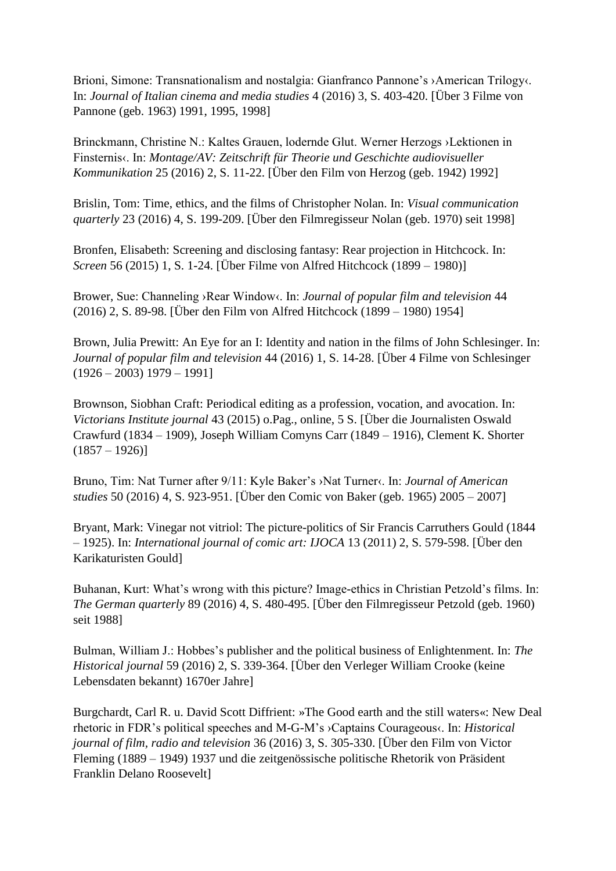Brioni, Simone: Transnationalism and nostalgia: Gianfranco Pannone's ›American Trilogy‹. In: *Journal of Italian cinema and media studies* 4 (2016) 3, S. 403-420. [Über 3 Filme von Pannone (geb. 1963) 1991, 1995, 1998]

Brinckmann, Christine N.: Kaltes Grauen, lodernde Glut. Werner Herzogs ›Lektionen in Finsternis‹. In: *Montage/AV: Zeitschrift für Theorie und Geschichte audiovisueller Kommunikation* 25 (2016) 2, S. 11-22. [Über den Film von Herzog (geb. 1942) 1992]

Brislin, Tom: Time, ethics, and the films of Christopher Nolan. In: *Visual communication quarterly* 23 (2016) 4, S. 199-209. [Über den Filmregisseur Nolan (geb. 1970) seit 1998]

Bronfen, Elisabeth: Screening and disclosing fantasy: Rear projection in Hitchcock. In: *Screen* 56 (2015) 1, S. 1-24. [Über Filme von Alfred Hitchcock (1899 – 1980)]

Brower, Sue: Channeling ›Rear Window‹. In: *Journal of popular film and television* 44 (2016) 2, S. 89-98. [Über den Film von Alfred Hitchcock (1899 – 1980) 1954]

Brown, Julia Prewitt: An Eye for an I: Identity and nation in the films of John Schlesinger. In: *Journal of popular film and television* 44 (2016) 1, S. 14-28. [Über 4 Filme von Schlesinger  $(1926 - 2003)$  1979 – 1991]

Brownson, Siobhan Craft: Periodical editing as a profession, vocation, and avocation. In: *Victorians Institute journal* 43 (2015) o.Pag., online, 5 S. [Über die Journalisten Oswald Crawfurd (1834 – 1909), Joseph William Comyns Carr (1849 – 1916), Clement K. Shorter  $(1857 - 1926)$ 

Bruno, Tim: Nat Turner after 9/11: Kyle Baker's ›Nat Turner‹. In: *Journal of American studies* 50 (2016) 4, S. 923-951. [Über den Comic von Baker (geb. 1965) 2005 – 2007]

Bryant, Mark: Vinegar not vitriol: The picture-politics of Sir Francis Carruthers Gould (1844 – 1925). In: *International journal of comic art: IJOCA* 13 (2011) 2, S. 579-598. [Über den Karikaturisten Gould]

Buhanan, Kurt: What's wrong with this picture? Image-ethics in Christian Petzold's films. In: *The German quarterly* 89 (2016) 4, S. 480-495. [Über den Filmregisseur Petzold (geb. 1960) seit 1988]

Bulman, William J.: Hobbes's publisher and the political business of Enlightenment. In: *The Historical journal* 59 (2016) 2, S. 339-364. [Über den Verleger William Crooke (keine Lebensdaten bekannt) 1670er Jahre]

Burgchardt, Carl R. u. David Scott Diffrient: »The Good earth and the still waters«: New Deal rhetoric in FDR's political speeches and M-G-M's ›Captains Courageous‹. In: *Historical journal of film, radio and television* 36 (2016) 3, S. 305-330. [Über den Film von Victor Fleming (1889 – 1949) 1937 und die zeitgenössische politische Rhetorik von Präsident Franklin Delano Roosevelt]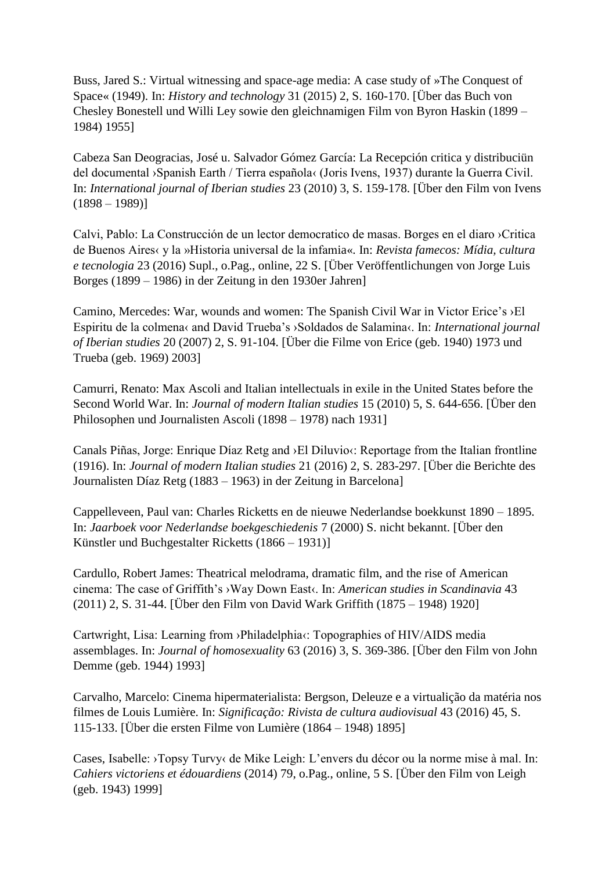Buss, Jared S.: Virtual witnessing and space-age media: A case study of »The Conquest of Space« (1949). In: *History and technology* 31 (2015) 2, S. 160-170. [Über das Buch von Chesley Bonestell und Willi Ley sowie den gleichnamigen Film von Byron Haskin (1899 – 1984) 1955]

Cabeza San Deogracias, José u. Salvador Gómez García: La Recepción critica y distribuciün del documental ›Spanish Earth / Tierra española‹ (Joris Ivens, 1937) durante la Guerra Civil. In: *International journal of Iberian studies* 23 (2010) 3, S. 159-178. [Über den Film von Ivens  $(1898 - 1989)$ 

Calvi, Pablo: La Construcción de un lector democratico de masas. Borges en el diaro ›Critica de Buenos Aires‹ y la »Historia universal de la infamia«. In: *Revista famecos: Mídia, cultura e tecnologia* 23 (2016) Supl., o.Pag., online, 22 S. [Über Veröffentlichungen von Jorge Luis Borges (1899 – 1986) in der Zeitung in den 1930er Jahren]

Camino, Mercedes: War, wounds and women: The Spanish Civil War in Victor Erice's ›El Espiritu de la colmena‹ and David Trueba's ›Soldados de Salamina‹. In: *International journal of Iberian studies* 20 (2007) 2, S. 91-104. [Über die Filme von Erice (geb. 1940) 1973 und Trueba (geb. 1969) 2003]

Camurri, Renato: Max Ascoli and Italian intellectuals in exile in the United States before the Second World War. In: *Journal of modern Italian studies* 15 (2010) 5, S. 644-656. [Über den Philosophen und Journalisten Ascoli (1898 – 1978) nach 1931]

Canals Piñas, Jorge: Enrique Díaz Retg and > El Diluvio«: Reportage from the Italian frontline (1916). In: *Journal of modern Italian studies* 21 (2016) 2, S. 283-297. [Über die Berichte des Journalisten Díaz Retg (1883 – 1963) in der Zeitung in Barcelona]

Cappelleveen, Paul van: Charles Ricketts en de nieuwe Nederlandse boekkunst 1890 – 1895. In: *Jaarboek voor Nederlandse boekgeschiedenis* 7 (2000) S. nicht bekannt. [Über den Künstler und Buchgestalter Ricketts (1866 – 1931)]

Cardullo, Robert James: Theatrical melodrama, dramatic film, and the rise of American cinema: The case of Griffith's ›Way Down East‹. In: *American studies in Scandinavia* 43 (2011) 2, S. 31-44. [Über den Film von David Wark Griffith (1875 – 1948) 1920]

Cartwright, Lisa: Learning from ›Philadelphia‹: Topographies of HIV/AIDS media assemblages. In: *Journal of homosexuality* 63 (2016) 3, S. 369-386. [Über den Film von John Demme (geb. 1944) 1993]

Carvalho, Marcelo: Cinema hipermaterialista: Bergson, Deleuze e a virtualição da matéria nos filmes de Louis Lumière. In: *Significação: Rivista de cultura audiovisual* 43 (2016) 45, S. 115-133. [Über die ersten Filme von Lumière (1864 – 1948) 1895]

Cases, Isabelle: ›Topsy Turvy‹ de Mike Leigh: L'envers du décor ou la norme mise à mal. In: *Cahiers victoriens et édouardiens* (2014) 79, o.Pag., online, 5 S. [Über den Film von Leigh (geb. 1943) 1999]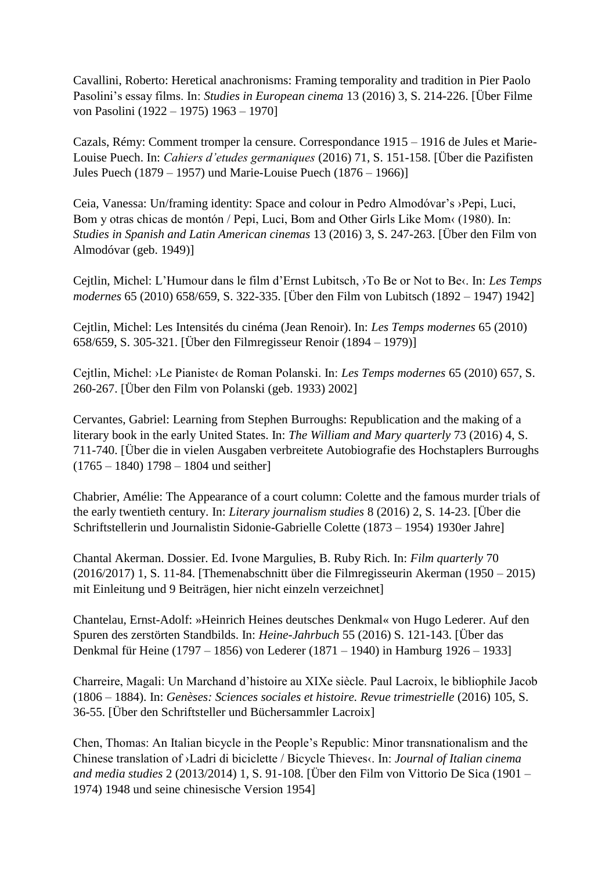Cavallini, Roberto: Heretical anachronisms: Framing temporality and tradition in Pier Paolo Pasolini's essay films. In: *Studies in European cinema* 13 (2016) 3, S. 214-226. [Über Filme von Pasolini (1922 – 1975) 1963 – 1970]

Cazals, Rémy: Comment tromper la censure. Correspondance 1915 – 1916 de Jules et Marie-Louise Puech. In: *Cahiers d'etudes germaniques* (2016) 71, S. 151-158. [Über die Pazifisten Jules Puech (1879 – 1957) und Marie-Louise Puech (1876 – 1966)]

Ceia, Vanessa: Un/framing identity: Space and colour in Pedro Almodóvar's ›Pepi, Luci, Bom y otras chicas de montón / Pepi, Luci, Bom and Other Girls Like Mom< (1980). In: *Studies in Spanish and Latin American cinemas* 13 (2016) 3, S. 247-263. [Über den Film von Almodóvar (geb. 1949)]

Cejtlin, Michel: L'Humour dans le film d'Ernst Lubitsch, ›To Be or Not to Be‹. In: *Les Temps modernes* 65 (2010) 658/659, S. 322-335. [Über den Film von Lubitsch (1892 – 1947) 1942]

Cejtlin, Michel: Les Intensités du cinéma (Jean Renoir). In: *Les Temps modernes* 65 (2010) 658/659, S. 305-321. [Über den Filmregisseur Renoir (1894 – 1979)]

Cejtlin, Michel: ›Le Pianiste‹ de Roman Polanski. In: *Les Temps modernes* 65 (2010) 657, S. 260-267. [Über den Film von Polanski (geb. 1933) 2002]

Cervantes, Gabriel: Learning from Stephen Burroughs: Republication and the making of a literary book in the early United States. In: *The William and Mary quarterly* 73 (2016) 4, S. 711-740. [Über die in vielen Ausgaben verbreitete Autobiografie des Hochstaplers Burroughs  $(1765 - 1840)$  1798 – 1804 und seither]

Chabrier, Amélie: The Appearance of a court column: Colette and the famous murder trials of the early twentieth century. In: *Literary journalism studies* 8 (2016) 2, S. 14-23. [Über die Schriftstellerin und Journalistin Sidonie-Gabrielle Colette (1873 – 1954) 1930er Jahre]

Chantal Akerman. Dossier. Ed. Ivone Margulies, B. Ruby Rich. In: *Film quarterly* 70 (2016/2017) 1, S. 11-84. [Themenabschnitt über die Filmregisseurin Akerman (1950 – 2015) mit Einleitung und 9 Beiträgen, hier nicht einzeln verzeichnet]

Chantelau, Ernst-Adolf: »Heinrich Heines deutsches Denkmal« von Hugo Lederer. Auf den Spuren des zerstörten Standbilds. In: *Heine-Jahrbuch* 55 (2016) S. 121-143. [Über das Denkmal für Heine (1797 – 1856) von Lederer (1871 – 1940) in Hamburg 1926 – 1933]

Charreire, Magali: Un Marchand d'histoire au XIXe siècle. Paul Lacroix, le bibliophile Jacob (1806 – 1884). In: *Genèses: Sciences sociales et histoire. Revue trimestrielle* (2016) 105, S. 36-55. [Über den Schriftsteller und Büchersammler Lacroix]

Chen, Thomas: An Italian bicycle in the People's Republic: Minor transnationalism and the Chinese translation of ›Ladri di biciclette / Bicycle Thieves‹. In: *Journal of Italian cinema and media studies* 2 (2013/2014) 1, S. 91-108. [Über den Film von Vittorio De Sica (1901 – 1974) 1948 und seine chinesische Version 1954]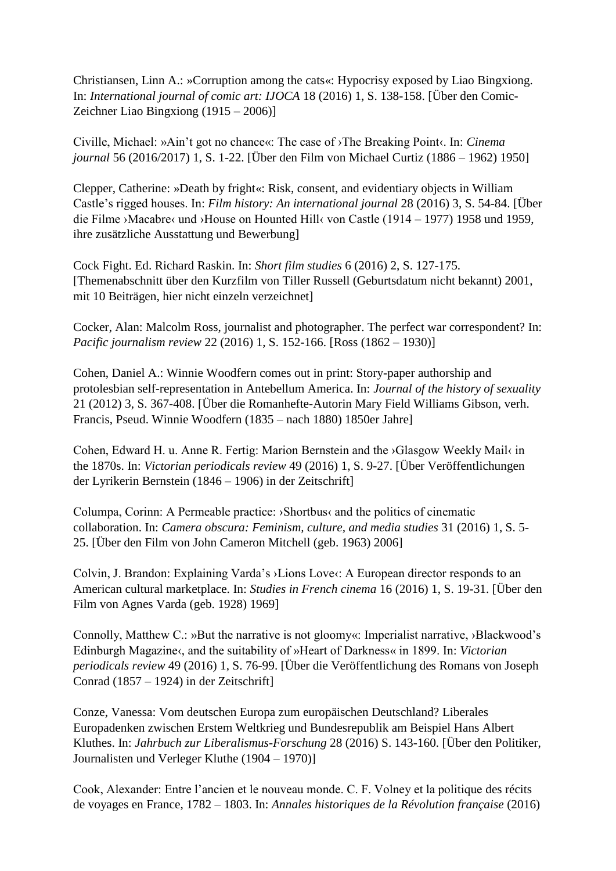Christiansen, Linn A.: »Corruption among the cats«: Hypocrisy exposed by Liao Bingxiong. In: *International journal of comic art: IJOCA* 18 (2016) 1, S. 138-158. [Über den Comic-Zeichner Liao Bingxiong (1915 – 2006)]

Civille, Michael: »Ain't got no chance«: The case of ›The Breaking Point‹. In: *Cinema journal* 56 (2016/2017) 1, S. 1-22. [Über den Film von Michael Curtiz (1886 – 1962) 1950]

Clepper, Catherine: »Death by fright«: Risk, consent, and evidentiary objects in William Castle's rigged houses. In: *Film history: An international journal* 28 (2016) 3, S. 54-84. [Über die Filme ›Macabre‹ und ›House on Hounted Hill‹ von Castle (1914 – 1977) 1958 und 1959, ihre zusätzliche Ausstattung und Bewerbung]

Cock Fight. Ed. Richard Raskin. In: *Short film studies* 6 (2016) 2, S. 127-175. [Themenabschnitt über den Kurzfilm von Tiller Russell (Geburtsdatum nicht bekannt) 2001, mit 10 Beiträgen, hier nicht einzeln verzeichnet]

Cocker, Alan: Malcolm Ross, journalist and photographer. The perfect war correspondent? In: *Pacific journalism review* 22 (2016) 1, S. 152-166. [Ross (1862 – 1930)]

Cohen, Daniel A.: Winnie Woodfern comes out in print: Story-paper authorship and protolesbian self-representation in Antebellum America. In: *Journal of the history of sexuality* 21 (2012) 3, S. 367-408. [Über die Romanhefte-Autorin Mary Field Williams Gibson, verh. Francis, Pseud. Winnie Woodfern (1835 – nach 1880) 1850er Jahre]

Cohen, Edward H. u. Anne R. Fertig: Marion Bernstein and the ›Glasgow Weekly Mail‹ in the 1870s. In: *Victorian periodicals review* 49 (2016) 1, S. 9-27. [Über Veröffentlichungen der Lyrikerin Bernstein (1846 – 1906) in der Zeitschrift]

Columpa, Corinn: A Permeable practice: ›Shortbus‹ and the politics of cinematic collaboration. In: *Camera obscura: Feminism, culture, and media studies* 31 (2016) 1, S. 5- 25. [Über den Film von John Cameron Mitchell (geb. 1963) 2006]

Colvin, J. Brandon: Explaining Varda's ›Lions Love‹: A European director responds to an American cultural marketplace. In: *Studies in French cinema* 16 (2016) 1, S. 19-31. [Über den Film von Agnes Varda (geb. 1928) 1969]

Connolly, Matthew C.: »But the narrative is not gloomy«: Imperialist narrative, ›Blackwood's Edinburgh Magazine‹, and the suitability of »Heart of Darkness« in 1899. In: *Victorian periodicals review* 49 (2016) 1, S. 76-99. [Über die Veröffentlichung des Romans von Joseph Conrad (1857 – 1924) in der Zeitschrift]

Conze, Vanessa: Vom deutschen Europa zum europäischen Deutschland? Liberales Europadenken zwischen Erstem Weltkrieg und Bundesrepublik am Beispiel Hans Albert Kluthes. In: *Jahrbuch zur Liberalismus-Forschung* 28 (2016) S. 143-160. [Über den Politiker, Journalisten und Verleger Kluthe (1904 – 1970)]

Cook, Alexander: Entre l'ancien et le nouveau monde. C. F. Volney et la politique des récits de voyages en France, 1782 – 1803. In: *Annales historiques de la Révolution française* (2016)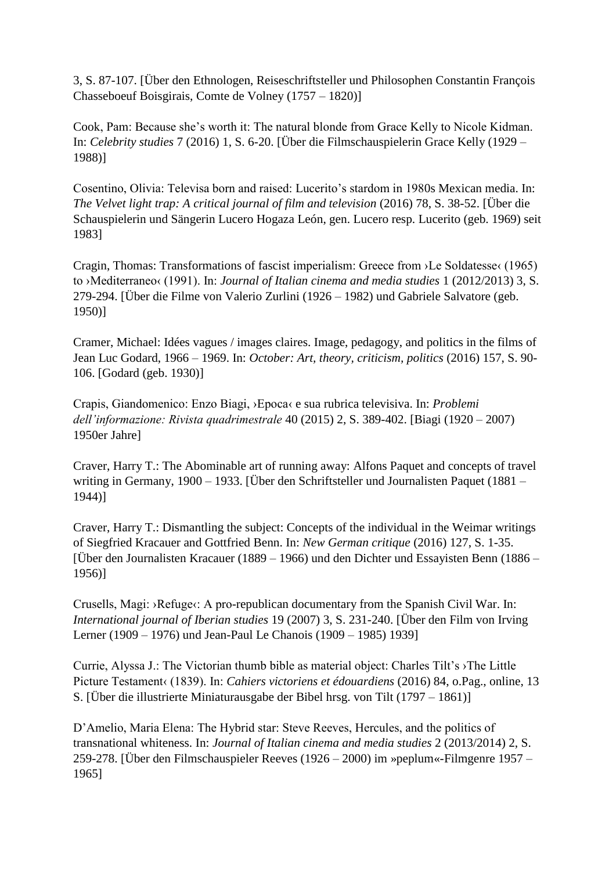3, S. 87-107. [Über den Ethnologen, Reiseschriftsteller und Philosophen Constantin François Chasseboeuf Boisgirais, Comte de Volney (1757 – 1820)]

Cook, Pam: Because she's worth it: The natural blonde from Grace Kelly to Nicole Kidman. In: *Celebrity studies* 7 (2016) 1, S. 6-20. [Über die Filmschauspielerin Grace Kelly (1929 – 1988)]

Cosentino, Olivia: Televisa born and raised: Lucerito's stardom in 1980s Mexican media. In: *The Velvet light trap: A critical journal of film and television* (2016) 78, S. 38-52. [Über die Schauspielerin und Sängerin Lucero Hogaza León, gen. Lucero resp. Lucerito (geb. 1969) seit 1983]

Cragin, Thomas: Transformations of fascist imperialism: Greece from ›Le Soldatesse‹ (1965) to ›Mediterraneo‹ (1991). In: *Journal of Italian cinema and media studies* 1 (2012/2013) 3, S. 279-294. [Über die Filme von Valerio Zurlini (1926 – 1982) und Gabriele Salvatore (geb. 1950)]

Cramer, Michael: Idées vagues / images claires. Image, pedagogy, and politics in the films of Jean Luc Godard, 1966 – 1969. In: *October: Art, theory, criticism, politics* (2016) 157, S. 90- 106. [Godard (geb. 1930)]

Crapis, Giandomenico: Enzo Biagi, ›Epoca‹ e sua rubrica televisiva. In: *Problemi dell'informazione: Rivista quadrimestrale* 40 (2015) 2, S. 389-402. [Biagi (1920 – 2007) 1950er Jahre]

Craver, Harry T.: The Abominable art of running away: Alfons Paquet and concepts of travel writing in Germany, 1900 – 1933. [Über den Schriftsteller und Journalisten Paquet (1881 – 1944)]

Craver, Harry T.: Dismantling the subject: Concepts of the individual in the Weimar writings of Siegfried Kracauer and Gottfried Benn. In: *New German critique* (2016) 127, S. 1-35. [Über den Journalisten Kracauer (1889 – 1966) und den Dichter und Essayisten Benn (1886 – 1956)]

Crusells, Magi: ›Refuge‹: A pro-republican documentary from the Spanish Civil War. In: *International journal of Iberian studies* 19 (2007) 3, S. 231-240. [Über den Film von Irving Lerner (1909 – 1976) und Jean-Paul Le Chanois (1909 – 1985) 1939]

Currie, Alyssa J.: The Victorian thumb bible as material object: Charles Tilt's ›The Little Picture Testament‹ (1839). In: *Cahiers victoriens et édouardiens* (2016) 84, o.Pag., online, 13 S. [Über die illustrierte Miniaturausgabe der Bibel hrsg. von Tilt (1797 – 1861)]

D'Amelio, Maria Elena: The Hybrid star: Steve Reeves, Hercules, and the politics of transnational whiteness. In: *Journal of Italian cinema and media studies* 2 (2013/2014) 2, S. 259-278. [Über den Filmschauspieler Reeves (1926 – 2000) im »peplum«-Filmgenre 1957 – 1965]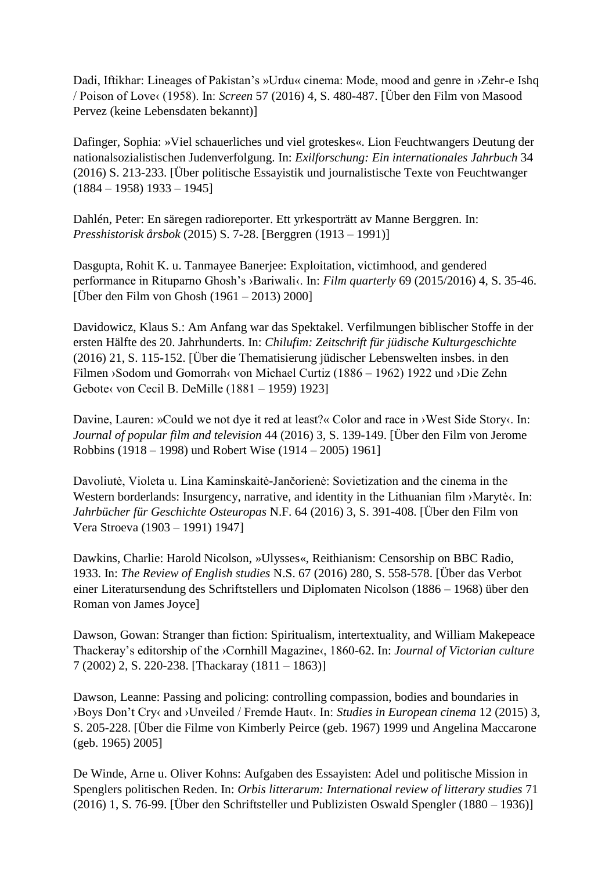Dadi, Iftikhar: Lineages of Pakistan's »Urdu« cinema: Mode, mood and genre in ›Zehr-e Ishq / Poison of Love‹ (1958). In: *Screen* 57 (2016) 4, S. 480-487. [Über den Film von Masood Pervez (keine Lebensdaten bekannt)]

Dafinger, Sophia: »Viel schauerliches und viel groteskes«. Lion Feuchtwangers Deutung der nationalsozialistischen Judenverfolgung. In: *Exilforschung: Ein internationales Jahrbuch* 34 (2016) S. 213-233. [Über politische Essayistik und journalistische Texte von Feuchtwanger  $(1884 - 1958)$  1933 – 1945]

Dahlén, Peter: En säregen radioreporter. Ett yrkesporträtt av Manne Berggren. In: *Presshistorisk årsbok* (2015) S. 7-28. [Berggren (1913 – 1991)]

Dasgupta, Rohit K. u. Tanmayee Banerjee: Exploitation, victimhood, and gendered performance in Rituparno Ghosh's ›Bariwali‹. In: *Film quarterly* 69 (2015/2016) 4, S. 35-46. [Über den Film von Ghosh (1961 – 2013) 2000]

Davidowicz, Klaus S.: Am Anfang war das Spektakel. Verfilmungen biblischer Stoffe in der ersten Hälfte des 20. Jahrhunderts. In: *Chilufim: Zeitschrift für jüdische Kulturgeschichte*  (2016) 21, S. 115-152. [Über die Thematisierung jüdischer Lebenswelten insbes. in den Filmen ›Sodom und Gomorrah‹ von Michael Curtiz (1886 – 1962) 1922 und ›Die Zehn Gebote‹ von Cecil B. DeMille (1881 – 1959) 1923]

Davine, Lauren: »Could we not dye it red at least?« Color and race in >West Side Story‹. In: *Journal of popular film and television* 44 (2016) 3, S. 139-149. [Über den Film von Jerome Robbins (1918 – 1998) und Robert Wise (1914 – 2005) 1961]

Davoliutė, Violeta u. Lina Kaminskaitė-Jančorienė: Sovietization and the cinema in the Western borderlands: Insurgency, narrative, and identity in the Lithuanian film ›Marytė‹. In: *Jahrbücher für Geschichte Osteuropas* N.F. 64 (2016) 3, S. 391-408. [Über den Film von Vera Stroeva (1903 – 1991) 1947]

Dawkins, Charlie: Harold Nicolson, »Ulysses«, Reithianism: Censorship on BBC Radio, 1933. In: *The Review of English studies* N.S. 67 (2016) 280, S. 558-578. [Über das Verbot einer Literatursendung des Schriftstellers und Diplomaten Nicolson (1886 – 1968) über den Roman von James Joyce]

Dawson, Gowan: Stranger than fiction: Spiritualism, intertextuality, and William Makepeace Thackeray's editorship of the ›Cornhill Magazine‹, 1860-62. In: *Journal of Victorian culture* 7 (2002) 2, S. 220-238. [Thackaray (1811 – 1863)]

Dawson, Leanne: Passing and policing: controlling compassion, bodies and boundaries in ›Boys Don't Cry‹ and ›Unveiled / Fremde Haut‹. In: *Studies in European cinema* 12 (2015) 3, S. 205-228. [Über die Filme von Kimberly Peirce (geb. 1967) 1999 und Angelina Maccarone (geb. 1965) 2005]

De Winde, Arne u. Oliver Kohns: Aufgaben des Essayisten: Adel und politische Mission in Spenglers politischen Reden. In: *Orbis litterarum: International review of litterary studies* 71 (2016) 1, S. 76-99. [Über den Schriftsteller und Publizisten Oswald Spengler (1880 – 1936)]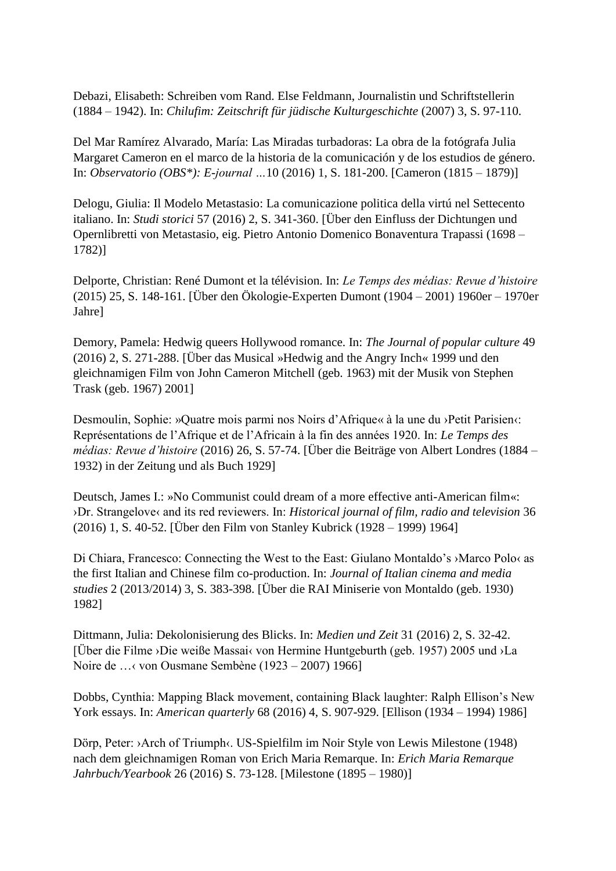Debazi, Elisabeth: Schreiben vom Rand. Else Feldmann, Journalistin und Schriftstellerin (1884 – 1942). In: *Chilufim: Zeitschrift für jüdische Kulturgeschichte* (2007) 3, S. 97-110.

Del Mar Ramírez Alvarado, María: Las Miradas turbadoras: La obra de la fotógrafa Julia Margaret Cameron en el marco de la historia de la comunicación y de los estudios de género. In: *Observatorio (OBS\*): E-journal …*10 (2016) 1, S. 181-200. [Cameron (1815 – 1879)]

Delogu, Giulia: Il Modelo Metastasio: La comunicazione politica della virtú nel Settecento italiano. In: *Studi storici* 57 (2016) 2, S. 341-360. [Über den Einfluss der Dichtungen und Opernlibretti von Metastasio, eig. Pietro Antonio Domenico Bonaventura Trapassi (1698 – 1782)]

Delporte, Christian: René Dumont et la télévision. In: *Le Temps des médias: Revue d'histoire* (2015) 25, S. 148-161. [Über den Ökologie-Experten Dumont (1904 – 2001) 1960er – 1970er Jahre]

Demory, Pamela: Hedwig queers Hollywood romance. In: *The Journal of popular culture* 49 (2016) 2, S. 271-288. [Über das Musical »Hedwig and the Angry Inch« 1999 und den gleichnamigen Film von John Cameron Mitchell (geb. 1963) mit der Musik von Stephen Trask (geb. 1967) 2001]

Desmoulin, Sophie: »Quatre mois parmi nos Noirs d'Afrique« à la une du ›Petit Parisien‹: Représentations de l'Afrique et de l'Africain à la fin des années 1920. In: *Le Temps des médias: Revue d'histoire* (2016) 26, S. 57-74. [Über die Beiträge von Albert Londres (1884 – 1932) in der Zeitung und als Buch 1929]

Deutsch, James I.: »No Communist could dream of a more effective anti-American film«: ›Dr. Strangelove‹ and its red reviewers. In: *Historical journal of film, radio and television* 36 (2016) 1, S. 40-52. [Über den Film von Stanley Kubrick (1928 – 1999) 1964]

Di Chiara, Francesco: Connecting the West to the East: Giulano Montaldo's ›Marco Polo‹ as the first Italian and Chinese film co-production. In: *Journal of Italian cinema and media studies* 2 (2013/2014) 3, S. 383-398. [Über die RAI Miniserie von Montaldo (geb. 1930) 1982]

Dittmann, Julia: Dekolonisierung des Blicks. In: *Medien und Zeit* 31 (2016) 2, S. 32-42. [Über die Filme ›Die weiße Massai‹ von Hermine Huntgeburth (geb. 1957) 2005 und ›La Noire de …‹ von Ousmane Sembène (1923 – 2007) 1966]

Dobbs, Cynthia: Mapping Black movement, containing Black laughter: Ralph Ellison's New York essays. In: *American quarterly* 68 (2016) 4, S. 907-929. [Ellison (1934 – 1994) 1986]

Dörp, Peter: ›Arch of Triumph‹. US-Spielfilm im Noir Style von Lewis Milestone (1948) nach dem gleichnamigen Roman von Erich Maria Remarque. In: *Erich Maria Remarque Jahrbuch/Yearbook* 26 (2016) S. 73-128. [Milestone (1895 – 1980)]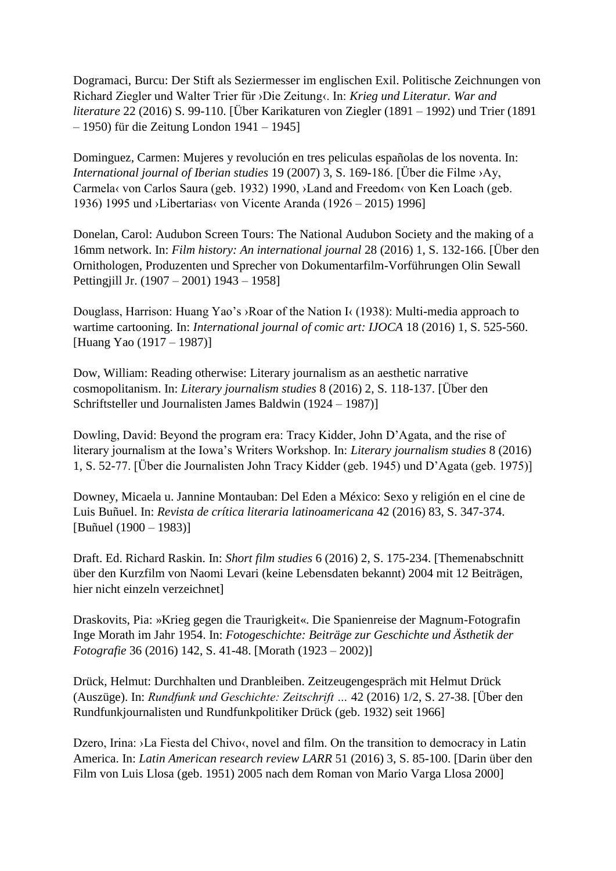Dogramaci, Burcu: Der Stift als Seziermesser im englischen Exil. Politische Zeichnungen von Richard Ziegler und Walter Trier für ›Die Zeitung‹. In: *Krieg und Literatur. War and literature* 22 (2016) S. 99-110. [Über Karikaturen von Ziegler (1891 – 1992) und Trier (1891 – 1950) für die Zeitung London 1941 – 1945]

Dominguez, Carmen: Mujeres y revolución en tres peliculas españolas de los noventa. In: *International journal of Iberian studies* 19 (2007) 3, S. 169-186. [Über die Filme ›Ay, Carmela‹ von Carlos Saura (geb. 1932) 1990, ›Land and Freedom‹ von Ken Loach (geb. 1936) 1995 und ›Libertarias‹ von Vicente Aranda (1926 – 2015) 1996]

Donelan, Carol: Audubon Screen Tours: The National Audubon Society and the making of a 16mm network. In: *Film history: An international journal* 28 (2016) 1, S. 132-166. [Über den Ornithologen, Produzenten und Sprecher von Dokumentarfilm-Vorführungen Olin Sewall Pettingjill Jr. (1907 – 2001) 1943 – 1958]

Douglass, Harrison: Huang Yao's ›Roar of the Nation I‹ (1938): Multi-media approach to wartime cartooning. In: *International journal of comic art: IJOCA* 18 (2016) 1, S. 525-560. [Huang Yao (1917 – 1987)]

Dow, William: Reading otherwise: Literary journalism as an aesthetic narrative cosmopolitanism. In: *Literary journalism studies* 8 (2016) 2, S. 118-137. [Über den Schriftsteller und Journalisten James Baldwin (1924 – 1987)]

Dowling, David: Beyond the program era: Tracy Kidder, John D'Agata, and the rise of literary journalism at the Iowa's Writers Workshop. In: *Literary journalism studies* 8 (2016) 1, S. 52-77. [Über die Journalisten John Tracy Kidder (geb. 1945) und D'Agata (geb. 1975)]

Downey, Micaela u. Jannine Montauban: Del Eden a México: Sexo y religión en el cine de Luis Buñuel. In: *Revista de crítica literaria latinoamericana* 42 (2016) 83, S. 347-374. [Buñuel (1900 – 1983)]

Draft. Ed. Richard Raskin. In: *Short film studies* 6 (2016) 2, S. 175-234. [Themenabschnitt über den Kurzfilm von Naomi Levari (keine Lebensdaten bekannt) 2004 mit 12 Beiträgen, hier nicht einzeln verzeichnet]

Draskovits, Pia: »Krieg gegen die Traurigkeit«. Die Spanienreise der Magnum-Fotografin Inge Morath im Jahr 1954. In: *Fotogeschichte: Beiträge zur Geschichte und Ästhetik der Fotografie* 36 (2016) 142, S. 41-48. [Morath (1923 – 2002)]

Drück, Helmut: Durchhalten und Dranbleiben. Zeitzeugengespräch mit Helmut Drück (Auszüge). In: *Rundfunk und Geschichte: Zeitschrift …* 42 (2016) 1/2, S. 27-38. [Über den Rundfunkjournalisten und Rundfunkpolitiker Drück (geb. 1932) seit 1966]

Dzero, Irina: >La Fiesta del Chivo<, novel and film. On the transition to democracy in Latin America. In: *Latin American research review LARR* 51 (2016) 3, S. 85-100. [Darin über den Film von Luis Llosa (geb. 1951) 2005 nach dem Roman von Mario Varga Llosa 2000]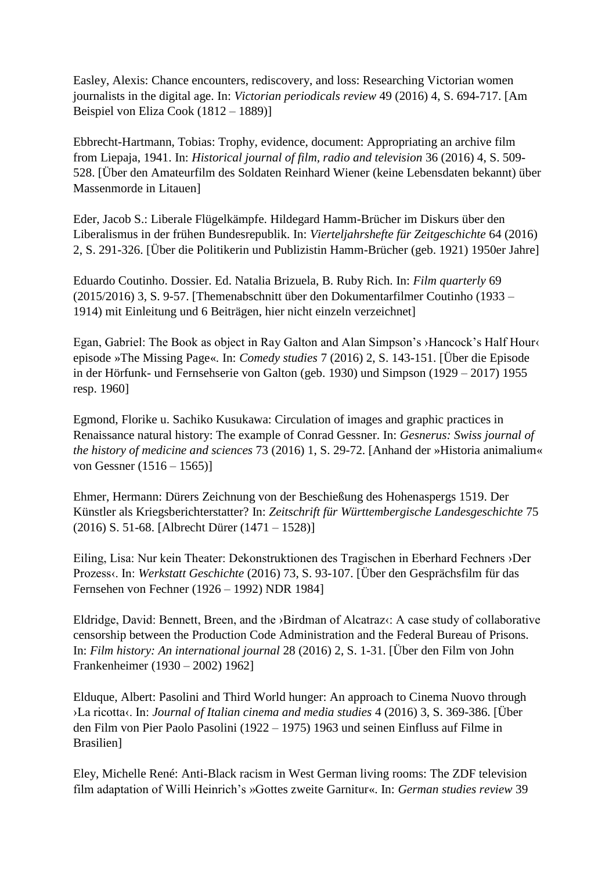Easley, Alexis: Chance encounters, rediscovery, and loss: Researching Victorian women journalists in the digital age. In: *Victorian periodicals review* 49 (2016) 4, S. 694-717. [Am Beispiel von Eliza Cook (1812 – 1889)]

Ebbrecht-Hartmann, Tobias: Trophy, evidence, document: Appropriating an archive film from Liepaja, 1941. In: *Historical journal of film, radio and television* 36 (2016) 4, S. 509- 528. [Über den Amateurfilm des Soldaten Reinhard Wiener (keine Lebensdaten bekannt) über Massenmorde in Litauen]

Eder, Jacob S.: Liberale Flügelkämpfe. Hildegard Hamm-Brücher im Diskurs über den Liberalismus in der frühen Bundesrepublik. In: *Vierteljahrshefte für Zeitgeschichte* 64 (2016) 2, S. 291-326. [Über die Politikerin und Publizistin Hamm-Brücher (geb. 1921) 1950er Jahre]

Eduardo Coutinho. Dossier. Ed. Natalia Brizuela, B. Ruby Rich. In: *Film quarterly* 69 (2015/2016) 3, S. 9-57. [Themenabschnitt über den Dokumentarfilmer Coutinho (1933 – 1914) mit Einleitung und 6 Beiträgen, hier nicht einzeln verzeichnet]

Egan, Gabriel: The Book as object in Ray Galton and Alan Simpson's ›Hancock's Half Hour‹ episode »The Missing Page«. In: *Comedy studies* 7 (2016) 2, S. 143-151. [Über die Episode in der Hörfunk- und Fernsehserie von Galton (geb. 1930) und Simpson (1929 – 2017) 1955 resp. 1960]

Egmond, Florike u. Sachiko Kusukawa: Circulation of images and graphic practices in Renaissance natural history: The example of Conrad Gessner. In: *Gesnerus: Swiss journal of the history of medicine and sciences* 73 (2016) 1, S. 29-72. [Anhand der »Historia animalium« von Gessner (1516 – 1565)]

Ehmer, Hermann: Dürers Zeichnung von der Beschießung des Hohenaspergs 1519. Der Künstler als Kriegsberichterstatter? In: *Zeitschrift für Württembergische Landesgeschichte* 75 (2016) S. 51-68. [Albrecht Dürer (1471 – 1528)]

Eiling, Lisa: Nur kein Theater: Dekonstruktionen des Tragischen in Eberhard Fechners ›Der Prozess‹. In: *Werkstatt Geschichte* (2016) 73, S. 93-107. [Über den Gesprächsfilm für das Fernsehen von Fechner (1926 – 1992) NDR 1984]

Eldridge, David: Bennett, Breen, and the ›Birdman of Alcatraz‹: A case study of collaborative censorship between the Production Code Administration and the Federal Bureau of Prisons. In: *Film history: An international journal* 28 (2016) 2, S. 1-31. [Über den Film von John Frankenheimer (1930 – 2002) 1962]

Elduque, Albert: Pasolini and Third World hunger: An approach to Cinema Nuovo through ›La ricotta‹. In: *Journal of Italian cinema and media studies* 4 (2016) 3, S. 369-386. [Über den Film von Pier Paolo Pasolini (1922 – 1975) 1963 und seinen Einfluss auf Filme in Brasilien]

Eley, Michelle René: Anti-Black racism in West German living rooms: The ZDF television film adaptation of Willi Heinrich's »Gottes zweite Garnitur«. In: *German studies review* 39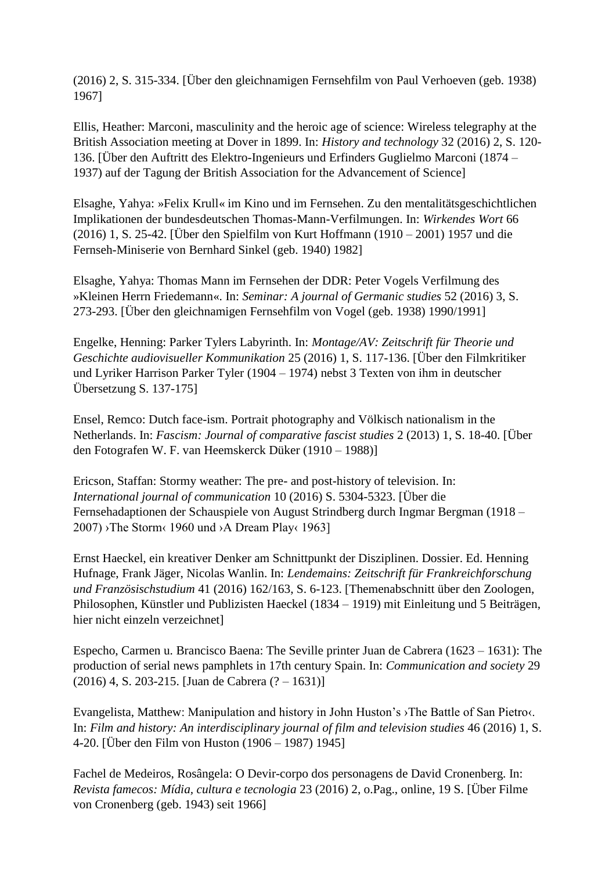(2016) 2, S. 315-334. [Über den gleichnamigen Fernsehfilm von Paul Verhoeven (geb. 1938) 1967]

Ellis, Heather: Marconi, masculinity and the heroic age of science: Wireless telegraphy at the British Association meeting at Dover in 1899. In: *History and technology* 32 (2016) 2, S. 120- 136. [Über den Auftritt des Elektro-Ingenieurs und Erfinders Guglielmo Marconi (1874 – 1937) auf der Tagung der British Association for the Advancement of Science]

Elsaghe, Yahya: »Felix Krull« im Kino und im Fernsehen. Zu den mentalitätsgeschichtlichen Implikationen der bundesdeutschen Thomas-Mann-Verfilmungen. In: *Wirkendes Wort* 66 (2016) 1, S. 25-42. [Über den Spielfilm von Kurt Hoffmann (1910 – 2001) 1957 und die Fernseh-Miniserie von Bernhard Sinkel (geb. 1940) 1982]

Elsaghe, Yahya: Thomas Mann im Fernsehen der DDR: Peter Vogels Verfilmung des »Kleinen Herrn Friedemann«. In: *Seminar: A journal of Germanic studies* 52 (2016) 3, S. 273-293. [Über den gleichnamigen Fernsehfilm von Vogel (geb. 1938) 1990/1991]

Engelke, Henning: Parker Tylers Labyrinth. In: *Montage/AV: Zeitschrift für Theorie und Geschichte audiovisueller Kommunikation* 25 (2016) 1, S. 117-136. [Über den Filmkritiker und Lyriker Harrison Parker Tyler (1904 – 1974) nebst 3 Texten von ihm in deutscher Übersetzung S. 137-175]

Ensel, Remco: Dutch face-ism. Portrait photography and Völkisch nationalism in the Netherlands. In: *Fascism: Journal of comparative fascist studies* 2 (2013) 1, S. 18-40. [Über den Fotografen W. F. van Heemskerck Düker (1910 – 1988)]

Ericson, Staffan: Stormy weather: The pre- and post-history of television. In: *International journal of communication* 10 (2016) S. 5304-5323. [Über die Fernsehadaptionen der Schauspiele von August Strindberg durch Ingmar Bergman (1918 –  $2007$ ) >The Storm< 1960 und >A Dream Play< 1963]

Ernst Haeckel, ein kreativer Denker am Schnittpunkt der Disziplinen. Dossier. Ed. Henning Hufnage, Frank Jäger, Nicolas Wanlin. In: *Lendemains: Zeitschrift für Frankreichforschung und Französischstudium* 41 (2016) 162/163, S. 6-123. [Themenabschnitt über den Zoologen, Philosophen, Künstler und Publizisten Haeckel (1834 – 1919) mit Einleitung und 5 Beiträgen, hier nicht einzeln verzeichnet]

Especho, Carmen u. Brancisco Baena: The Seville printer Juan de Cabrera (1623 – 1631): The production of serial news pamphlets in 17th century Spain. In: *Communication and society* 29 (2016) 4, S. 203-215. [Juan de Cabrera (? – 1631)]

Evangelista, Matthew: Manipulation and history in John Huston's ›The Battle of San Pietro‹. In: *Film and history: An interdisciplinary journal of film and television studies* 46 (2016) 1, S. 4-20. [Über den Film von Huston (1906 – 1987) 1945]

Fachel de Medeiros, Rosângela: O Devir-corpo dos personagens de David Cronenberg. In: *Revista famecos: Mídia, cultura e tecnologia* 23 (2016) 2, o.Pag., online, 19 S. [Über Filme von Cronenberg (geb. 1943) seit 1966]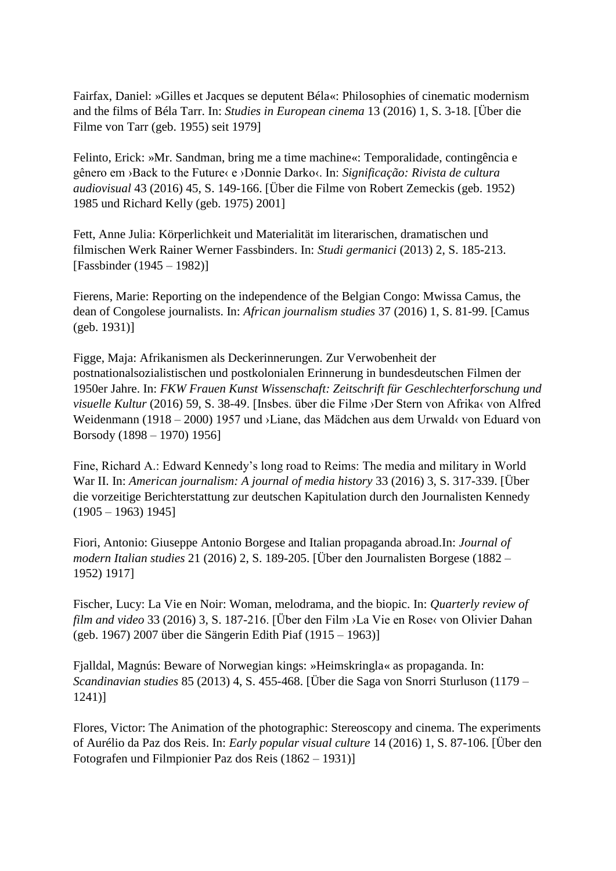Fairfax, Daniel: »Gilles et Jacques se deputent Béla«: Philosophies of cinematic modernism and the films of Béla Tarr. In: *Studies in European cinema* 13 (2016) 1, S. 3-18. [Über die Filme von Tarr (geb. 1955) seit 1979]

Felinto, Erick: »Mr. Sandman, bring me a time machine«: Temporalidade, contingência e gênero em ›Back to the Future‹ e ›Donnie Darko‹. In: *Significação: Rivista de cultura audiovisual* 43 (2016) 45, S. 149-166. [Über die Filme von Robert Zemeckis (geb. 1952) 1985 und Richard Kelly (geb. 1975) 2001]

Fett, Anne Julia: Körperlichkeit und Materialität im literarischen, dramatischen und filmischen Werk Rainer Werner Fassbinders. In: *Studi germanici* (2013) 2, S. 185-213. [Fassbinder (1945 – 1982)]

Fierens, Marie: Reporting on the independence of the Belgian Congo: Mwissa Camus, the dean of Congolese journalists. In: *African journalism studies* 37 (2016) 1, S. 81-99. [Camus (geb. 1931)]

Figge, Maja: Afrikanismen als Deckerinnerungen. Zur Verwobenheit der postnationalsozialistischen und postkolonialen Erinnerung in bundesdeutschen Filmen der 1950er Jahre. In: *FKW Frauen Kunst Wissenschaft: Zeitschrift für Geschlechterforschung und visuelle Kultur* (2016) 59, S. 38-49. [Insbes. über die Filme ›Der Stern von Afrika‹ von Alfred Weidenmann (1918 – 2000) 1957 und ›Liane, das Mädchen aus dem Urwald‹ von Eduard von Borsody (1898 – 1970) 1956]

Fine, Richard A.: Edward Kennedy's long road to Reims: The media and military in World War II. In: *American journalism: A journal of media history* 33 (2016) 3, S. 317-339. [Über die vorzeitige Berichterstattung zur deutschen Kapitulation durch den Journalisten Kennedy  $(1905 - 1963)$  1945]

Fiori, Antonio: Giuseppe Antonio Borgese and Italian propaganda abroad.In: *Journal of modern Italian studies* 21 (2016) 2, S. 189-205. [Über den Journalisten Borgese (1882 – 1952) 1917]

Fischer, Lucy: La Vie en Noir: Woman, melodrama, and the biopic. In: *Quarterly review of film and video* 33 (2016) 3, S. 187-216. [Über den Film ›La Vie en Rose‹ von Olivier Dahan (geb. 1967) 2007 über die Sängerin Edith Piaf (1915 – 1963)]

Fjalldal, Magnús: Beware of Norwegian kings: »Heimskringla« as propaganda. In: *Scandinavian studies* 85 (2013) 4, S. 455-468. [Über die Saga von Snorri Sturluson (1179 – 1241)]

Flores, Victor: The Animation of the photographic: Stereoscopy and cinema. The experiments of Aurélio da Paz dos Reis. In: *Early popular visual culture* 14 (2016) 1, S. 87-106. [Über den Fotografen und Filmpionier Paz dos Reis (1862 – 1931)]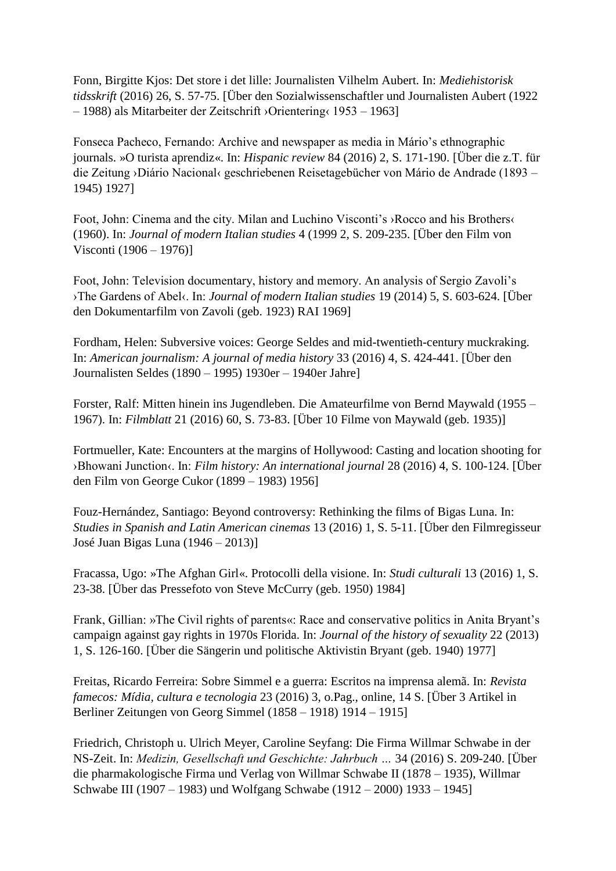Fonn, Birgitte Kjos: Det store i det lille: Journalisten Vilhelm Aubert. In: *Mediehistorisk tidsskrift* (2016) 26, S. 57-75. [Über den Sozialwissenschaftler und Journalisten Aubert (1922 – 1988) als Mitarbeiter der Zeitschrift ›Orientering‹ 1953 – 1963]

Fonseca Pacheco, Fernando: Archive and newspaper as media in Mário's ethnographic journals. »O turista aprendiz«. In: *Hispanic review* 84 (2016) 2, S. 171-190. [Über die z.T. für die Zeitung ›Diário Nacional‹ geschriebenen Reisetagebücher von Mário de Andrade (1893 – 1945) 1927]

Foot, John: Cinema and the city. Milan and Luchino Visconti's ›Rocco and his Brothers‹ (1960). In: *Journal of modern Italian studies* 4 (1999 2, S. 209-235. [Über den Film von Visconti (1906 – 1976)]

Foot, John: Television documentary, history and memory. An analysis of Sergio Zavoli's ›The Gardens of Abel‹. In: *Journal of modern Italian studies* 19 (2014) 5, S. 603-624. [Über den Dokumentarfilm von Zavoli (geb. 1923) RAI 1969]

Fordham, Helen: Subversive voices: George Seldes and mid-twentieth-century muckraking. In: *American journalism: A journal of media history* 33 (2016) 4, S. 424-441. [Über den Journalisten Seldes (1890 – 1995) 1930er – 1940er Jahre]

Forster, Ralf: Mitten hinein ins Jugendleben. Die Amateurfilme von Bernd Maywald (1955 – 1967). In: *Filmblatt* 21 (2016) 60, S. 73-83. [Über 10 Filme von Maywald (geb. 1935)]

Fortmueller, Kate: Encounters at the margins of Hollywood: Casting and location shooting for ›Bhowani Junction‹. In: *Film history: An international journal* 28 (2016) 4, S. 100-124. [Über den Film von George Cukor (1899 – 1983) 1956]

Fouz-Hernández, Santiago: Beyond controversy: Rethinking the films of Bigas Luna. In: *Studies in Spanish and Latin American cinemas* 13 (2016) 1, S. 5-11. [Über den Filmregisseur José Juan Bigas Luna (1946 – 2013)]

Fracassa, Ugo: »The Afghan Girl«. Protocolli della visione. In: *Studi culturali* 13 (2016) 1, S. 23-38. [Über das Pressefoto von Steve McCurry (geb. 1950) 1984]

Frank, Gillian: »The Civil rights of parents«: Race and conservative politics in Anita Bryant's campaign against gay rights in 1970s Florida. In: *Journal of the history of sexuality* 22 (2013) 1, S. 126-160. [Über die Sängerin und politische Aktivistin Bryant (geb. 1940) 1977]

Freitas, Ricardo Ferreira: Sobre Simmel e a guerra: Escritos na imprensa alemã. In: *Revista famecos: Mídia, cultura e tecnologia* 23 (2016) 3, o.Pag., online, 14 S. [Über 3 Artikel in Berliner Zeitungen von Georg Simmel (1858 – 1918) 1914 – 1915]

Friedrich, Christoph u. Ulrich Meyer, Caroline Seyfang: Die Firma Willmar Schwabe in der NS-Zeit. In: *Medizin, Gesellschaft und Geschichte: Jahrbuch …* 34 (2016) S. 209-240. [Über die pharmakologische Firma und Verlag von Willmar Schwabe II (1878 – 1935), Willmar Schwabe III (1907 – 1983) und Wolfgang Schwabe (1912 – 2000) 1933 – 1945]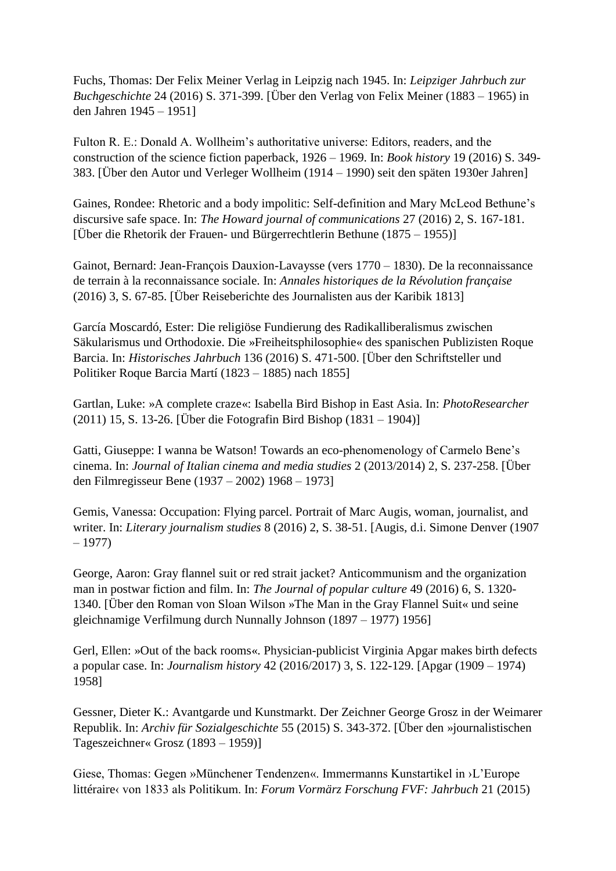Fuchs, Thomas: Der Felix Meiner Verlag in Leipzig nach 1945. In: *Leipziger Jahrbuch zur Buchgeschichte* 24 (2016) S. 371-399. [Über den Verlag von Felix Meiner (1883 – 1965) in den Jahren 1945 – 1951]

Fulton R. E.: Donald A. Wollheim's authoritative universe: Editors, readers, and the construction of the science fiction paperback, 1926 – 1969. In: *Book history* 19 (2016) S. 349- 383. [Über den Autor und Verleger Wollheim (1914 – 1990) seit den späten 1930er Jahren]

Gaines, Rondee: Rhetoric and a body impolitic: Self-definition and Mary McLeod Bethune's discursive safe space. In: *The Howard journal of communications* 27 (2016) 2, S. 167-181. [Über die Rhetorik der Frauen- und Bürgerrechtlerin Bethune (1875 – 1955)]

Gainot, Bernard: Jean-François Dauxion-Lavaysse (vers 1770 – 1830). De la reconnaissance de terrain à la reconnaissance sociale. In: *Annales historiques de la Révolution française* (2016) 3, S. 67-85. [Über Reiseberichte des Journalisten aus der Karibik 1813]

García Moscardó, Ester: Die religiöse Fundierung des Radikalliberalismus zwischen Säkularismus und Orthodoxie. Die »Freiheitsphilosophie« des spanischen Publizisten Roque Barcia. In: *Historisches Jahrbuch* 136 (2016) S. 471-500. [Über den Schriftsteller und Politiker Roque Barcia Martí (1823 – 1885) nach 1855]

Gartlan, Luke: »A complete craze«: Isabella Bird Bishop in East Asia. In: *PhotoResearcher* (2011) 15, S. 13-26. [Über die Fotografin Bird Bishop (1831 – 1904)]

Gatti, Giuseppe: I wanna be Watson! Towards an eco-phenomenology of Carmelo Bene's cinema. In: *Journal of Italian cinema and media studies* 2 (2013/2014) 2, S. 237-258. [Über den Filmregisseur Bene (1937 – 2002) 1968 – 1973]

Gemis, Vanessa: Occupation: Flying parcel. Portrait of Marc Augis, woman, journalist, and writer. In: *Literary journalism studies* 8 (2016) 2, S. 38-51. [Augis, d.i. Simone Denver (1907  $-1977$ 

George, Aaron: Gray flannel suit or red strait jacket? Anticommunism and the organization man in postwar fiction and film. In: *The Journal of popular culture* 49 (2016) 6, S. 1320- 1340. [Über den Roman von Sloan Wilson »The Man in the Gray Flannel Suit« und seine gleichnamige Verfilmung durch Nunnally Johnson (1897 – 1977) 1956]

Gerl, Ellen: »Out of the back rooms«. Physician-publicist Virginia Apgar makes birth defects a popular case. In: *Journalism history* 42 (2016/2017) 3, S. 122-129. [Apgar (1909 – 1974) 1958]

Gessner, Dieter K.: Avantgarde und Kunstmarkt. Der Zeichner George Grosz in der Weimarer Republik. In: *Archiv für Sozialgeschichte* 55 (2015) S. 343-372. [Über den »journalistischen Tageszeichner« Grosz (1893 – 1959)]

Giese, Thomas: Gegen »Münchener Tendenzen«. Immermanns Kunstartikel in ›L'Europe littéraire‹ von 1833 als Politikum. In: *Forum Vormärz Forschung FVF: Jahrbuch* 21 (2015)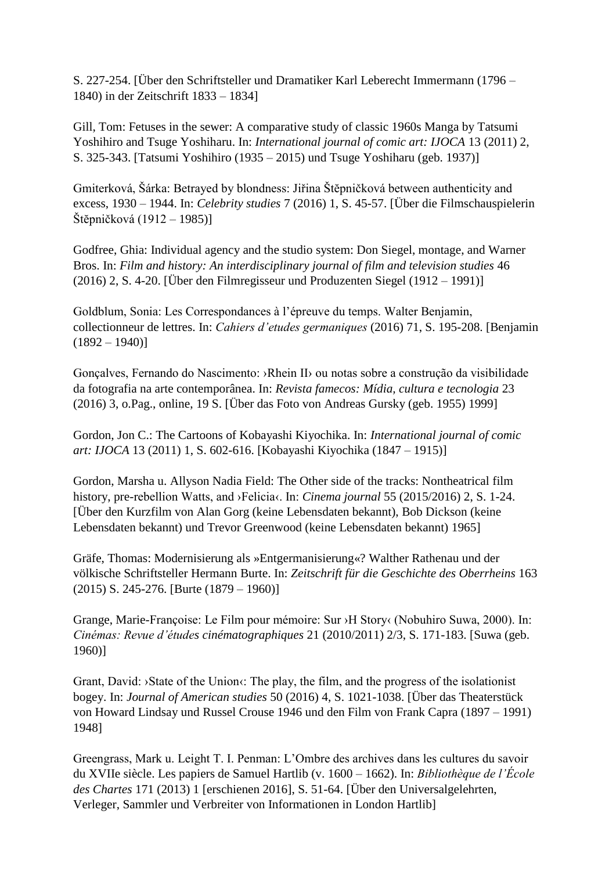S. 227-254. [Über den Schriftsteller und Dramatiker Karl Leberecht Immermann (1796 – 1840) in der Zeitschrift 1833 – 1834]

Gill, Tom: Fetuses in the sewer: A comparative study of classic 1960s Manga by Tatsumi Yoshihiro and Tsuge Yoshiharu. In: *International journal of comic art: IJOCA* 13 (2011) 2, S. 325-343. [Tatsumi Yoshihiro (1935 – 2015) und Tsuge Yoshiharu (geb. 1937)]

Gmiterková, Šárka: Betrayed by blondness: Jiřina Štĕpničková between authenticity and excess, 1930 – 1944. In: *Celebrity studies* 7 (2016) 1, S. 45-57. [Über die Filmschauspielerin Štĕpničková (1912 – 1985)]

Godfree, Ghia: Individual agency and the studio system: Don Siegel, montage, and Warner Bros. In: *Film and history: An interdisciplinary journal of film and television studies* 46 (2016) 2, S. 4-20. [Über den Filmregisseur und Produzenten Siegel (1912 – 1991)]

Goldblum, Sonia: Les Correspondances à l'épreuve du temps. Walter Benjamin, collectionneur de lettres. In: *Cahiers d'etudes germaniques* (2016) 71, S. 195-208. [Benjamin  $(1892 - 1940)$ 

Gonçalves, Fernando do Nascimento: ›Rhein II› ou notas sobre a construção da visibilidade da fotografia na arte contemporânea. In: *Revista famecos: Mídia, cultura e tecnologia* 23 (2016) 3, o.Pag., online, 19 S. [Über das Foto von Andreas Gursky (geb. 1955) 1999]

Gordon, Jon C.: The Cartoons of Kobayashi Kiyochika. In: *International journal of comic art: IJOCA* 13 (2011) 1, S. 602-616. [Kobayashi Kiyochika (1847 – 1915)]

Gordon, Marsha u. Allyson Nadia Field: The Other side of the tracks: Nontheatrical film history, pre-rebellion Watts, and ›Felicia‹. In: *Cinema journal* 55 (2015/2016) 2, S. 1-24. [Über den Kurzfilm von Alan Gorg (keine Lebensdaten bekannt), Bob Dickson (keine Lebensdaten bekannt) und Trevor Greenwood (keine Lebensdaten bekannt) 1965]

Gräfe, Thomas: Modernisierung als »Entgermanisierung«? Walther Rathenau und der völkische Schriftsteller Hermann Burte. In: *Zeitschrift für die Geschichte des Oberrheins* 163 (2015) S. 245-276. [Burte (1879 – 1960)]

Grange, Marie-Françoise: Le Film pour mémoire: Sur ›H Story‹ (Nobuhiro Suwa, 2000). In: *Cinémas: Revue d'études cinématographiques* 21 (2010/2011) 2/3, S. 171-183. [Suwa (geb. 1960)]

Grant, David: >State of the Union $\cdot$ : The play, the film, and the progress of the isolationist bogey. In: *Journal of American studies* 50 (2016) 4, S. 1021-1038. [Über das Theaterstück von Howard Lindsay und Russel Crouse 1946 und den Film von Frank Capra (1897 – 1991) 1948]

Greengrass, Mark u. Leight T. I. Penman: L'Ombre des archives dans les cultures du savoir du XVIIe siècle. Les papiers de Samuel Hartlib (v. 1600 – 1662). In: *Bibliothèque de l'École des Chartes* 171 (2013) 1 [erschienen 2016], S. 51-64. [Über den Universalgelehrten, Verleger, Sammler und Verbreiter von Informationen in London Hartlib]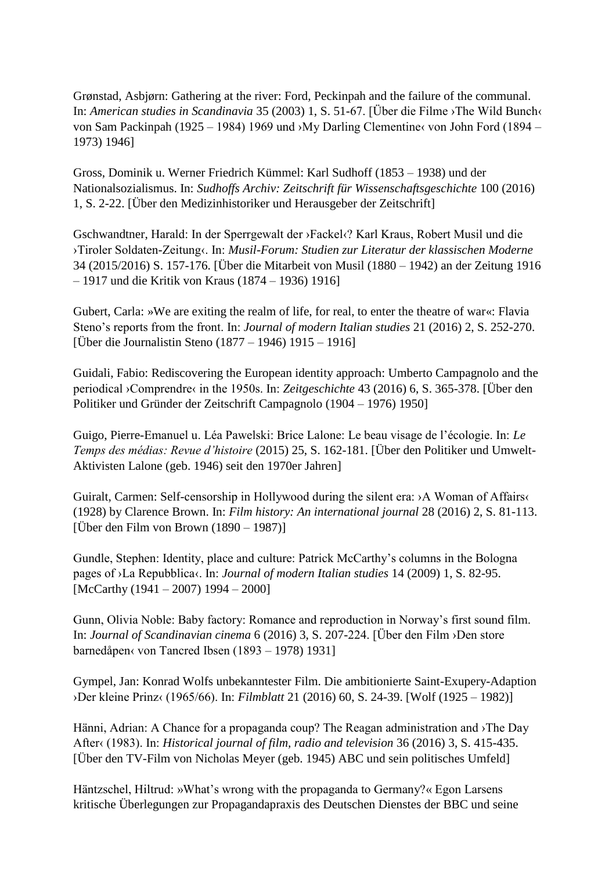Grønstad, Asbjørn: Gathering at the river: Ford, Peckinpah and the failure of the communal. In: *American studies in Scandinavia* 35 (2003) 1, S. 51-67. [Über die Filme ›The Wild Bunch‹ von Sam Packinpah (1925 – 1984) 1969 und >My Darling Clementine‹ von John Ford (1894 – 1973) 1946]

Gross, Dominik u. Werner Friedrich Kümmel: Karl Sudhoff (1853 – 1938) und der Nationalsozialismus. In: *Sudhoffs Archiv: Zeitschrift für Wissenschaftsgeschichte* 100 (2016) 1, S. 2-22. [Über den Medizinhistoriker und Herausgeber der Zeitschrift]

Gschwandtner, Harald: In der Sperrgewalt der ›Fackel‹? Karl Kraus, Robert Musil und die ›Tiroler Soldaten-Zeitung‹. In: *Musil-Forum: Studien zur Literatur der klassischen Moderne* 34 (2015/2016) S. 157-176. [Über die Mitarbeit von Musil (1880 – 1942) an der Zeitung 1916 – 1917 und die Kritik von Kraus (1874 – 1936) 1916]

Gubert, Carla: »We are exiting the realm of life, for real, to enter the theatre of war«: Flavia Steno's reports from the front. In: *Journal of modern Italian studies* 21 (2016) 2, S. 252-270. [Über die Journalistin Steno (1877 – 1946) 1915 – 1916]

Guidali, Fabio: Rediscovering the European identity approach: Umberto Campagnolo and the periodical ›Comprendre‹ in the 1950s. In: *Zeitgeschichte* 43 (2016) 6, S. 365-378. [Über den Politiker und Gründer der Zeitschrift Campagnolo (1904 – 1976) 1950]

Guigo, Pierre-Emanuel u. Léa Pawelski: Brice Lalone: Le beau visage de l'écologie. In: *Le Temps des médias: Revue d'histoire* (2015) 25, S. 162-181. [Über den Politiker und Umwelt-Aktivisten Lalone (geb. 1946) seit den 1970er Jahren]

Guiralt, Carmen: Self-censorship in Hollywood during the silent era: ›A Woman of Affairs‹ (1928) by Clarence Brown. In: *Film history: An international journal* 28 (2016) 2, S. 81-113. [Über den Film von Brown (1890 – 1987)]

Gundle, Stephen: Identity, place and culture: Patrick McCarthy's columns in the Bologna pages of ›La Repubblica‹. In: *Journal of modern Italian studies* 14 (2009) 1, S. 82-95. [McCarthy (1941 – 2007) 1994 – 2000]

Gunn, Olivia Noble: Baby factory: Romance and reproduction in Norway's first sound film. In: *Journal of Scandinavian cinema* 6 (2016) 3, S. 207-224. [Über den Film ›Den store barnedåpen‹ von Tancred Ibsen (1893 – 1978) 1931]

Gympel, Jan: Konrad Wolfs unbekanntester Film. Die ambitionierte Saint-Exupery-Adaption ›Der kleine Prinz‹ (1965/66). In: *Filmblatt* 21 (2016) 60, S. 24-39. [Wolf (1925 – 1982)]

Hänni, Adrian: A Chance for a propaganda coup? The Reagan administration and ›The Day After‹ (1983). In: *Historical journal of film, radio and television* 36 (2016) 3, S. 415-435. [Über den TV-Film von Nicholas Meyer (geb. 1945) ABC und sein politisches Umfeld]

Häntzschel, Hiltrud: »What's wrong with the propaganda to Germany?« Egon Larsens kritische Überlegungen zur Propagandapraxis des Deutschen Dienstes der BBC und seine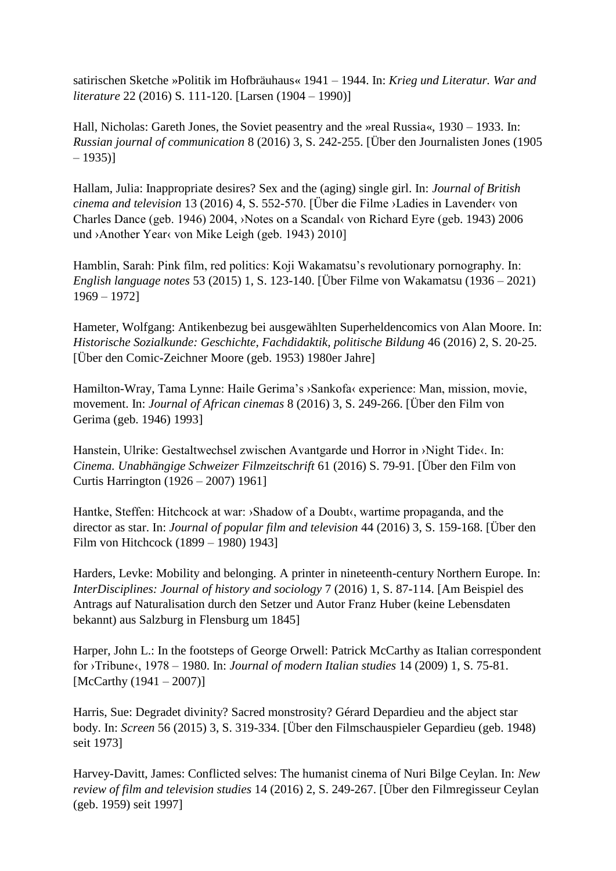satirischen Sketche »Politik im Hofbräuhaus« 1941 – 1944. In: *Krieg und Literatur. War and literature* 22 (2016) S. 111-120. [Larsen (1904 – 1990)]

Hall, Nicholas: Gareth Jones, the Soviet peasentry and the »real Russia«, 1930 – 1933. In: *Russian journal of communication* 8 (2016) 3, S. 242-255. [Über den Journalisten Jones (1905  $-1935$ ]

Hallam, Julia: Inappropriate desires? Sex and the (aging) single girl. In: *Journal of British cinema and television* 13 (2016) 4, S. 552-570. [Über die Filme ›Ladies in Lavender‹ von Charles Dance (geb. 1946) 2004, ›Notes on a Scandal‹ von Richard Eyre (geb. 1943) 2006 und >Another Year‹ von Mike Leigh (geb. 1943) 2010]

Hamblin, Sarah: Pink film, red politics: Koji Wakamatsu's revolutionary pornography. In: *English language notes* 53 (2015) 1, S. 123-140. [Über Filme von Wakamatsu (1936 – 2021) 1969 – 1972]

Hameter, Wolfgang: Antikenbezug bei ausgewählten Superheldencomics von Alan Moore. In: *Historische Sozialkunde: Geschichte, Fachdidaktik, politische Bildung* 46 (2016) 2, S. 20-25. [Über den Comic-Zeichner Moore (geb. 1953) 1980er Jahre]

Hamilton-Wray, Tama Lynne: Haile Gerima's ›Sankofa‹ experience: Man, mission, movie, movement. In: *Journal of African cinemas* 8 (2016) 3, S. 249-266. [Über den Film von Gerima (geb. 1946) 1993]

Hanstein, Ulrike: Gestaltwechsel zwischen Avantgarde und Horror in ›Night Tide‹. In: *Cinema. Unabhängige Schweizer Filmzeitschrift* 61 (2016) S. 79-91. [Über den Film von Curtis Harrington (1926 – 2007) 1961]

Hantke, Steffen: Hitchcock at war: >Shadow of a Doubt<, wartime propaganda, and the director as star. In: *Journal of popular film and television* 44 (2016) 3, S. 159-168. [Über den Film von Hitchcock (1899 – 1980) 1943]

Harders, Levke: Mobility and belonging. A printer in nineteenth-century Northern Europe. In: *InterDisciplines: Journal of history and sociology* 7 (2016) 1, S. 87-114. [Am Beispiel des Antrags auf Naturalisation durch den Setzer und Autor Franz Huber (keine Lebensdaten bekannt) aus Salzburg in Flensburg um 1845]

Harper, John L.: In the footsteps of George Orwell: Patrick McCarthy as Italian correspondent for ›Tribune‹, 1978 – 1980. In: *Journal of modern Italian studies* 14 (2009) 1, S. 75-81. [McCarthy (1941 – 2007)]

Harris, Sue: Degradet divinity? Sacred monstrosity? Gérard Depardieu and the abject star body. In: *Screen* 56 (2015) 3, S. 319-334. [Über den Filmschauspieler Gepardieu (geb. 1948) seit 1973]

Harvey-Davitt, James: Conflicted selves: The humanist cinema of Nuri Bilge Ceylan. In: *New review of film and television studies* 14 (2016) 2, S. 249-267. [Über den Filmregisseur Ceylan (geb. 1959) seit 1997]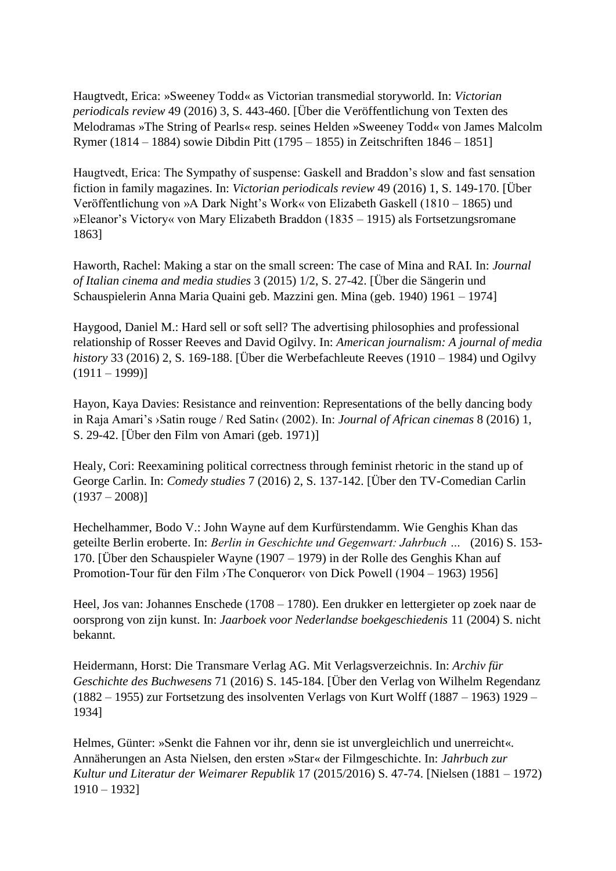Haugtvedt, Erica: »Sweeney Todd« as Victorian transmedial storyworld. In: *Victorian periodicals review* 49 (2016) 3, S. 443-460. [Über die Veröffentlichung von Texten des Melodramas »The String of Pearls« resp. seines Helden »Sweeney Todd« von James Malcolm Rymer (1814 – 1884) sowie Dibdin Pitt (1795 – 1855) in Zeitschriften 1846 – 1851]

Haugtvedt, Erica: The Sympathy of suspense: Gaskell and Braddon's slow and fast sensation fiction in family magazines. In: *Victorian periodicals review* 49 (2016) 1, S. 149-170. [Über Veröffentlichung von »A Dark Night's Work« von Elizabeth Gaskell (1810 – 1865) und »Eleanor's Victory« von Mary Elizabeth Braddon (1835 – 1915) als Fortsetzungsromane 1863]

Haworth, Rachel: Making a star on the small screen: The case of Mina and RAI. In: *Journal of Italian cinema and media studies* 3 (2015) 1/2, S. 27-42. [Über die Sängerin und Schauspielerin Anna Maria Quaini geb. Mazzini gen. Mina (geb. 1940) 1961 – 1974]

Haygood, Daniel M.: Hard sell or soft sell? The advertising philosophies and professional relationship of Rosser Reeves and David Ogilvy. In: *American journalism: A journal of media history* 33 (2016) 2, S. 169-188. [Über die Werbefachleute Reeves (1910 – 1984) und Ogilvy  $(1911 - 1999)$ 

Hayon, Kaya Davies: Resistance and reinvention: Representations of the belly dancing body in Raja Amari's ›Satin rouge / Red Satin‹ (2002). In: *Journal of African cinemas* 8 (2016) 1, S. 29-42. [Über den Film von Amari (geb. 1971)]

Healy, Cori: Reexamining political correctness through feminist rhetoric in the stand up of George Carlin. In: *Comedy studies* 7 (2016) 2, S. 137-142. [Über den TV-Comedian Carlin  $(1937 - 2008)$ ]

Hechelhammer, Bodo V.: John Wayne auf dem Kurfürstendamm. Wie Genghis Khan das geteilte Berlin eroberte. In: *Berlin in Geschichte und Gegenwart: Jahrbuch …* (2016) S. 153- 170. [Über den Schauspieler Wayne (1907 – 1979) in der Rolle des Genghis Khan auf Promotion-Tour für den Film ›The Conqueror‹ von Dick Powell (1904 – 1963) 1956]

Heel, Jos van: Johannes Enschede (1708 – 1780). Een drukker en lettergieter op zoek naar de oorsprong von zijn kunst. In: *Jaarboek voor Nederlandse boekgeschiedenis* 11 (2004) S. nicht bekannt.

Heidermann, Horst: Die Transmare Verlag AG. Mit Verlagsverzeichnis. In: *Archiv für Geschichte des Buchwesens* 71 (2016) S. 145-184. [Über den Verlag von Wilhelm Regendanz (1882 – 1955) zur Fortsetzung des insolventen Verlags von Kurt Wolff (1887 – 1963) 1929 – 1934]

Helmes, Günter: »Senkt die Fahnen vor ihr, denn sie ist unvergleichlich und unerreicht«. Annäherungen an Asta Nielsen, den ersten »Star« der Filmgeschichte. In: *Jahrbuch zur Kultur und Literatur der Weimarer Republik* 17 (2015/2016) S. 47-74. [Nielsen (1881 – 1972) 1910 – 1932]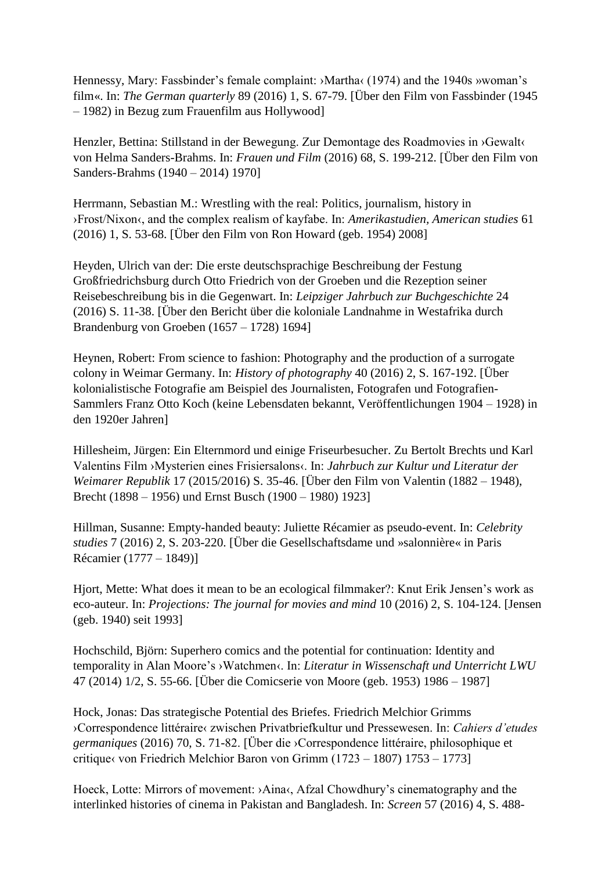Hennessy, Mary: Fassbinder's female complaint: >Martha< (1974) and the 1940s »woman's film«. In: *The German quarterly* 89 (2016) 1, S. 67-79. [Über den Film von Fassbinder (1945 – 1982) in Bezug zum Frauenfilm aus Hollywood]

Henzler, Bettina: Stillstand in der Bewegung. Zur Demontage des Roadmovies in ›Gewalt‹ von Helma Sanders-Brahms. In: *Frauen und Film* (2016) 68, S. 199-212. [Über den Film von Sanders-Brahms (1940 – 2014) 1970]

Herrmann, Sebastian M.: Wrestling with the real: Politics, journalism, history in ›Frost/Nixon‹, and the complex realism of kayfabe. In: *Amerikastudien, American studies* 61 (2016) 1, S. 53-68. [Über den Film von Ron Howard (geb. 1954) 2008]

Heyden, Ulrich van der: Die erste deutschsprachige Beschreibung der Festung Großfriedrichsburg durch Otto Friedrich von der Groeben und die Rezeption seiner Reisebeschreibung bis in die Gegenwart. In: *Leipziger Jahrbuch zur Buchgeschichte* 24 (2016) S. 11-38. [Über den Bericht über die koloniale Landnahme in Westafrika durch Brandenburg von Groeben (1657 – 1728) 1694]

Heynen, Robert: From science to fashion: Photography and the production of a surrogate colony in Weimar Germany. In: *History of photography* 40 (2016) 2, S. 167-192. [Über kolonialistische Fotografie am Beispiel des Journalisten, Fotografen und Fotografien-Sammlers Franz Otto Koch (keine Lebensdaten bekannt, Veröffentlichungen 1904 – 1928) in den 1920er Jahren]

Hillesheim, Jürgen: Ein Elternmord und einige Friseurbesucher. Zu Bertolt Brechts und Karl Valentins Film ›Mysterien eines Frisiersalons‹. In: *Jahrbuch zur Kultur und Literatur der Weimarer Republik* 17 (2015/2016) S. 35-46. [Über den Film von Valentin (1882 – 1948), Brecht (1898 – 1956) und Ernst Busch (1900 – 1980) 1923]

Hillman, Susanne: Empty-handed beauty: Juliette Récamier as pseudo-event. In: *Celebrity studies* 7 (2016) 2, S. 203-220. [Über die Gesellschaftsdame und »salonnière« in Paris Récamier (1777 – 1849)]

Hjort, Mette: What does it mean to be an ecological filmmaker?: Knut Erik Jensen's work as eco-auteur. In: *Projections: The journal for movies and mind* 10 (2016) 2, S. 104-124. [Jensen (geb. 1940) seit 1993]

Hochschild, Björn: Superhero comics and the potential for continuation: Identity and temporality in Alan Moore's ›Watchmen‹. In: *Literatur in Wissenschaft und Unterricht LWU* 47 (2014) 1/2, S. 55-66. [Über die Comicserie von Moore (geb. 1953) 1986 – 1987]

Hock, Jonas: Das strategische Potential des Briefes. Friedrich Melchior Grimms ›Correspondence littéraire‹ zwischen Privatbriefkultur und Pressewesen. In: *Cahiers d'etudes germaniques* (2016) 70, S. 71-82. [Über die ›Correspondence littéraire, philosophique et critique‹ von Friedrich Melchior Baron von Grimm (1723 – 1807) 1753 – 1773]

Hoeck, Lotte: Mirrors of movement: >Aina<, Afzal Chowdhury's cinematography and the interlinked histories of cinema in Pakistan and Bangladesh. In: *Screen* 57 (2016) 4, S. 488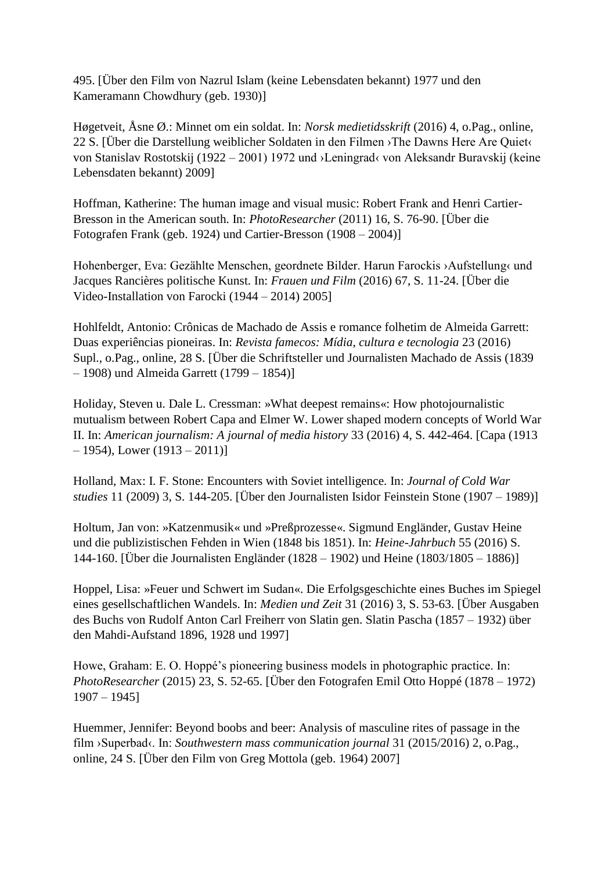495. [Über den Film von Nazrul Islam (keine Lebensdaten bekannt) 1977 und den Kameramann Chowdhury (geb. 1930)]

Høgetveit, Åsne Ø.: Minnet om ein soldat. In: *Norsk medietidsskrift* (2016) 4, o.Pag., online, 22 S. [Über die Darstellung weiblicher Soldaten in den Filmen ›The Dawns Here Are Quiet‹ von Stanislav Rostotskij (1922 – 2001) 1972 und ›Leningrad‹ von Aleksandr Buravskij (keine Lebensdaten bekannt) 2009]

Hoffman, Katherine: The human image and visual music: Robert Frank and Henri Cartier-Bresson in the American south. In: *PhotoResearcher* (2011) 16, S. 76-90. [Über die Fotografen Frank (geb. 1924) und Cartier-Bresson (1908 – 2004)]

Hohenberger, Eva: Gezählte Menschen, geordnete Bilder. Harun Farockis ›Aufstellung‹ und Jacques Rancières politische Kunst. In: *Frauen und Film* (2016) 67, S. 11-24. [Über die Video-Installation von Farocki (1944 – 2014) 2005]

Hohlfeldt, Antonio: Crônicas de Machado de Assis e romance folhetim de Almeida Garrett: Duas experiências pioneiras. In: *Revista famecos: Mídia, cultura e tecnologia* 23 (2016) Supl., o.Pag., online, 28 S. [Über die Schriftsteller und Journalisten Machado de Assis (1839 – 1908) und Almeida Garrett (1799 – 1854)]

Holiday, Steven u. Dale L. Cressman: »What deepest remains«: How photojournalistic mutualism between Robert Capa and Elmer W. Lower shaped modern concepts of World War II. In: *American journalism: A journal of media history* 33 (2016) 4, S. 442-464. [Capa (1913  $-1954$ ), Lower  $(1913 - 2011)$ 

Holland, Max: I. F. Stone: Encounters with Soviet intelligence. In: *Journal of Cold War studies* 11 (2009) 3, S. 144-205. [Über den Journalisten Isidor Feinstein Stone (1907 – 1989)]

Holtum, Jan von: »Katzenmusik« und »Preßprozesse«. Sigmund Engländer, Gustav Heine und die publizistischen Fehden in Wien (1848 bis 1851). In: *Heine-Jahrbuch* 55 (2016) S. 144-160. [Über die Journalisten Engländer (1828 – 1902) und Heine (1803/1805 – 1886)]

Hoppel, Lisa: »Feuer und Schwert im Sudan«. Die Erfolgsgeschichte eines Buches im Spiegel eines gesellschaftlichen Wandels. In: *Medien und Zeit* 31 (2016) 3, S. 53-63. [Über Ausgaben des Buchs von Rudolf Anton Carl Freiherr von Slatin gen. Slatin Pascha (1857 – 1932) über den Mahdi-Aufstand 1896, 1928 und 1997]

Howe, Graham: E. O. Hoppé's pioneering business models in photographic practice. In: *PhotoResearcher* (2015) 23, S. 52-65. [Über den Fotografen Emil Otto Hoppé (1878 – 1972) 1907 – 1945]

Huemmer, Jennifer: Beyond boobs and beer: Analysis of masculine rites of passage in the film ›Superbad‹. In: *Southwestern mass communication journal* 31 (2015/2016) 2, o.Pag., online, 24 S. [Über den Film von Greg Mottola (geb. 1964) 2007]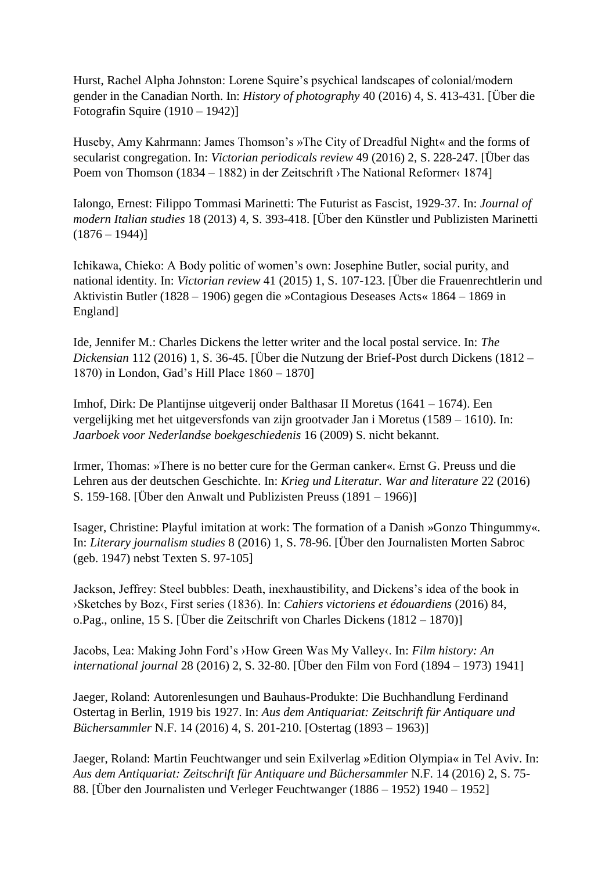Hurst, Rachel Alpha Johnston: Lorene Squire's psychical landscapes of colonial/modern gender in the Canadian North. In: *History of photography* 40 (2016) 4, S. 413-431. [Über die Fotografin Squire (1910 – 1942)]

Huseby, Amy Kahrmann: James Thomson's »The City of Dreadful Night« and the forms of secularist congregation. In: *Victorian periodicals review* 49 (2016) 2, S. 228-247. [Über das Poem von Thomson (1834 – 1882) in der Zeitschrift ›The National Reformer‹ 1874]

Ialongo, Ernest: Filippo Tommasi Marinetti: The Futurist as Fascist, 1929-37. In: *Journal of modern Italian studies* 18 (2013) 4, S. 393-418. [Über den Künstler und Publizisten Marinetti  $(1876 - 1944)$ 

Ichikawa, Chieko: A Body politic of women's own: Josephine Butler, social purity, and national identity. In: *Victorian review* 41 (2015) 1, S. 107-123. [Über die Frauenrechtlerin und Aktivistin Butler (1828 – 1906) gegen die »Contagious Deseases Acts« 1864 – 1869 in England]

Ide, Jennifer M.: Charles Dickens the letter writer and the local postal service. In: *The Dickensian* 112 (2016) 1, S. 36-45. [Über die Nutzung der Brief-Post durch Dickens (1812 – 1870) in London, Gad's Hill Place 1860 – 1870]

Imhof, Dirk: De Plantijnse uitgeverij onder Balthasar II Moretus (1641 – 1674). Een vergelijking met het uitgeversfonds van zijn grootvader Jan i Moretus (1589 – 1610). In: *Jaarboek voor Nederlandse boekgeschiedenis* 16 (2009) S. nicht bekannt.

Irmer, Thomas: »There is no better cure for the German canker«. Ernst G. Preuss und die Lehren aus der deutschen Geschichte. In: *Krieg und Literatur. War and literature* 22 (2016) S. 159-168. [Über den Anwalt und Publizisten Preuss (1891 – 1966)]

Isager, Christine: Playful imitation at work: The formation of a Danish »Gonzo Thingummy«. In: *Literary journalism studies* 8 (2016) 1, S. 78-96. [Über den Journalisten Morten Sabroc (geb. 1947) nebst Texten S. 97-105]

Jackson, Jeffrey: Steel bubbles: Death, inexhaustibility, and Dickens's idea of the book in ›Sketches by Boz‹, First series (1836). In: *Cahiers victoriens et édouardiens* (2016) 84, o.Pag., online, 15 S. [Über die Zeitschrift von Charles Dickens (1812 – 1870)]

Jacobs, Lea: Making John Ford's ›How Green Was My Valley‹. In: *Film history: An international journal* 28 (2016) 2, S. 32-80. [Über den Film von Ford (1894 – 1973) 1941]

Jaeger, Roland: Autorenlesungen und Bauhaus-Produkte: Die Buchhandlung Ferdinand Ostertag in Berlin, 1919 bis 1927. In: *Aus dem Antiquariat: Zeitschrift für Antiquare und Büchersammler* N.F. 14 (2016) 4, S. 201-210. [Ostertag (1893 – 1963)]

Jaeger, Roland: Martin Feuchtwanger und sein Exilverlag »Edition Olympia« in Tel Aviv. In: *Aus dem Antiquariat: Zeitschrift für Antiquare und Büchersammler* N.F. 14 (2016) 2, S. 75- 88. [Über den Journalisten und Verleger Feuchtwanger (1886 – 1952) 1940 – 1952]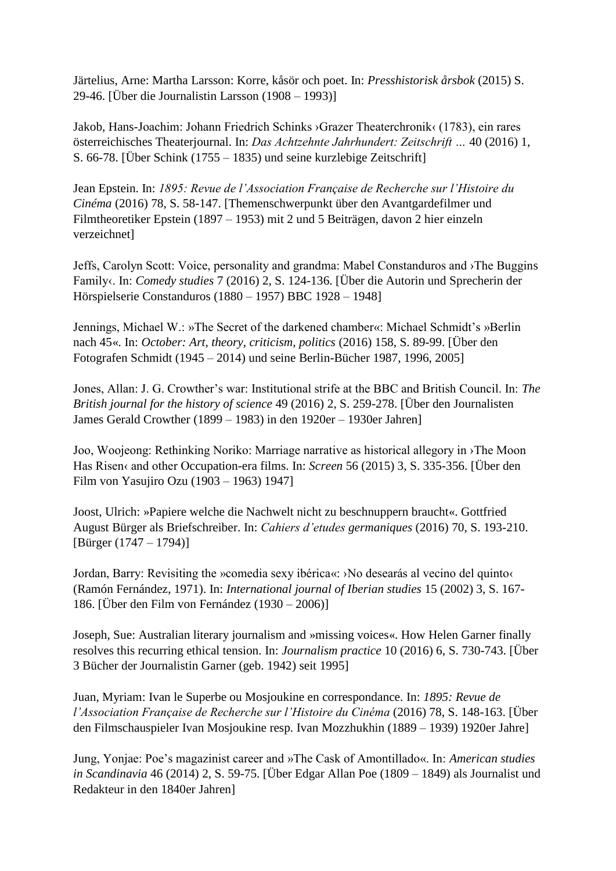Järtelius, Arne: Martha Larsson: Korre, kåsör och poet. In: *Presshistorisk årsbok* (2015) S. 29-46. [Über die Journalistin Larsson (1908 – 1993)]

Jakob, Hans-Joachim: Johann Friedrich Schinks ›Grazer Theaterchronik‹ (1783), ein rares österreichisches Theaterjournal. In: *Das Achtzehnte Jahrhundert: Zeitschrift …* 40 (2016) 1, S. 66-78. [Über Schink (1755 – 1835) und seine kurzlebige Zeitschrift]

Jean Epstein. In: *1895: Revue de l'Association Française de Recherche sur l'Histoire du Cinéma* (2016) 78, S. 58-147. [Themenschwerpunkt über den Avantgardefilmer und Filmtheoretiker Epstein (1897 – 1953) mit 2 und 5 Beiträgen, davon 2 hier einzeln verzeichnet]

Jeffs, Carolyn Scott: Voice, personality and grandma: Mabel Constanduros and ›The Buggins Family‹. In: *Comedy studies* 7 (2016) 2, S. 124-136. [Über die Autorin und Sprecherin der Hörspielserie Constanduros (1880 – 1957) BBC 1928 – 1948]

Jennings, Michael W.: »The Secret of the darkened chamber«: Michael Schmidt's »Berlin nach 45«. In: *October: Art, theory, criticism, politics* (2016) 158, S. 89-99. [Über den Fotografen Schmidt (1945 – 2014) und seine Berlin-Bücher 1987, 1996, 2005]

Jones, Allan: J. G. Crowther's war: Institutional strife at the BBC and British Council. In: *The British journal for the history of science* 49 (2016) 2, S. 259-278. [Über den Journalisten James Gerald Crowther (1899 – 1983) in den 1920er – 1930er Jahren]

Joo, Woojeong: Rethinking Noriko: Marriage narrative as historical allegory in ›The Moon Has Risen‹ and other Occupation-era films. In: *Screen* 56 (2015) 3, S. 335-356. [Über den Film von Yasujiro Ozu (1903 – 1963) 1947]

Joost, Ulrich: »Papiere welche die Nachwelt nicht zu beschnuppern braucht«. Gottfried August Bürger als Briefschreiber. In: *Cahiers d'etudes germaniques* (2016) 70, S. 193-210. [Bürger (1747 – 1794)]

Jordan, Barry: Revisiting the »comedia sexy ibérica«: >No desearás al vecino del quinto (Ramón Fernández, 1971). In: *International journal of Iberian studies* 15 (2002) 3, S. 167- 186. [Über den Film von Fernández (1930 – 2006)]

Joseph, Sue: Australian literary journalism and »missing voices«. How Helen Garner finally resolves this recurring ethical tension. In: *Journalism practice* 10 (2016) 6, S. 730-743. [Über 3 Bücher der Journalistin Garner (geb. 1942) seit 1995]

Juan, Myriam: Ivan le Superbe ou Mosjoukine en correspondance. In: *1895: Revue de l'Association Française de Recherche sur l'Histoire du Cinéma* (2016) 78, S. 148-163. [Über den Filmschauspieler Ivan Mosjoukine resp. Ivan Mozzhukhin (1889 – 1939) 1920er Jahre]

Jung, Yonjae: Poe's magazinist career and »The Cask of Amontillado«. In: *American studies in Scandinavia* 46 (2014) 2, S. 59-75. [Über Edgar Allan Poe (1809 – 1849) als Journalist und Redakteur in den 1840er Jahren]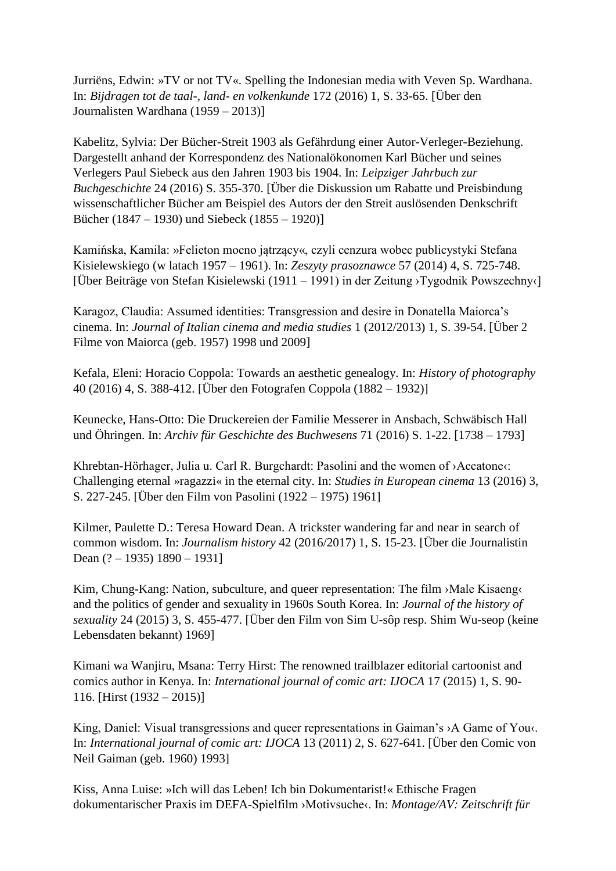Jurriëns, Edwin: »TV or not TV«. Spelling the Indonesian media with Veven Sp. Wardhana. In: *Bijdragen tot de taal-, land- en volkenkunde* 172 (2016) 1, S. 33-65. [Über den Journalisten Wardhana (1959 – 2013)]

Kabelitz, Sylvia: Der Bücher-Streit 1903 als Gefährdung einer Autor-Verleger-Beziehung. Dargestellt anhand der Korrespondenz des Nationalökonomen Karl Bücher und seines Verlegers Paul Siebeck aus den Jahren 1903 bis 1904. In: *Leipziger Jahrbuch zur Buchgeschichte* 24 (2016) S. 355-370. [Über die Diskussion um Rabatte und Preisbindung wissenschaftlicher Bücher am Beispiel des Autors der den Streit auslösenden Denkschrift Bücher (1847 – 1930) und Siebeck (1855 – 1920)]

Kamińska, Kamila: »Felieton mocno jątrzący«, czyli cenzura wobec publicystyki Stefana Kisielewskiego (w latach 1957 – 1961). In: *Zeszyty prasoznawce* 57 (2014) 4, S. 725-748. [Über Beiträge von Stefan Kisielewski (1911 – 1991) in der Zeitung ›Tygodnik Powszechny‹]

Karagoz, Claudia: Assumed identities: Transgression and desire in Donatella Maiorca's cinema. In: *Journal of Italian cinema and media studies* 1 (2012/2013) 1, S. 39-54. [Über 2 Filme von Maiorca (geb. 1957) 1998 und 2009]

Kefala, Eleni: Horacio Coppola: Towards an aesthetic genealogy. In: *History of photography* 40 (2016) 4, S. 388-412. [Über den Fotografen Coppola (1882 – 1932)]

Keunecke, Hans-Otto: Die Druckereien der Familie Messerer in Ansbach, Schwäbisch Hall und Öhringen. In: *Archiv für Geschichte des Buchwesens* 71 (2016) S. 1-22. [1738 – 1793]

Khrebtan-Hörhager, Julia u. Carl R. Burgchardt: Pasolini and the women of >Accatone<: Challenging eternal »ragazzi« in the eternal city. In: *Studies in European cinema* 13 (2016) 3, S. 227-245. [Über den Film von Pasolini (1922 – 1975) 1961]

Kilmer, Paulette D.: Teresa Howard Dean. A trickster wandering far and near in search of common wisdom. In: *Journalism history* 42 (2016/2017) 1, S. 15-23. [Über die Journalistin Dean (? – 1935) 1890 – 1931]

Kim, Chung-Kang: Nation, subculture, and queer representation: The film ›Male Kisaeng‹ and the politics of gender and sexuality in 1960s South Korea. In: *Journal of the history of sexuality* 24 (2015) 3, S. 455-477. [Über den Film von Sim U-sôp resp. Shim Wu-seop (keine Lebensdaten bekannt) 1969]

Kimani wa Wanjiru, Msana: Terry Hirst: The renowned trailblazer editorial cartoonist and comics author in Kenya. In: *International journal of comic art: IJOCA* 17 (2015) 1, S. 90- 116. [Hirst  $(1932 - 2015)$ ]

King, Daniel: Visual transgressions and queer representations in Gaiman's ›A Game of You‹. In: *International journal of comic art: IJOCA* 13 (2011) 2, S. 627-641. [Über den Comic von Neil Gaiman (geb. 1960) 1993]

Kiss, Anna Luise: »Ich will das Leben! Ich bin Dokumentarist!« Ethische Fragen dokumentarischer Praxis im DEFA-Spielfilm ›Motivsuche‹. In: *Montage/AV: Zeitschrift für*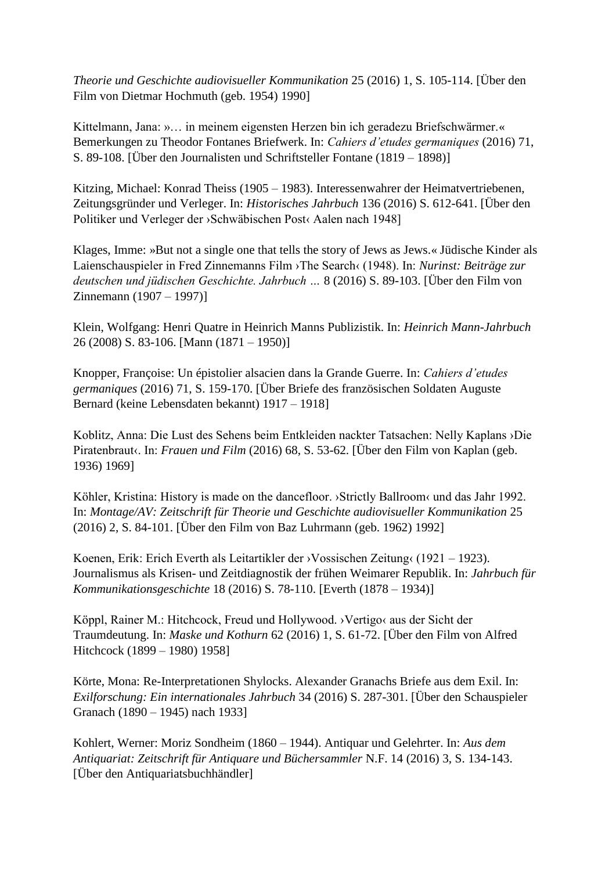*Theorie und Geschichte audiovisueller Kommunikation* 25 (2016) 1, S. 105-114. [Über den Film von Dietmar Hochmuth (geb. 1954) 1990]

Kittelmann, Jana: »… in meinem eigensten Herzen bin ich geradezu Briefschwärmer.« Bemerkungen zu Theodor Fontanes Briefwerk. In: *Cahiers d'etudes germaniques* (2016) 71, S. 89-108. [Über den Journalisten und Schriftsteller Fontane (1819 – 1898)]

Kitzing, Michael: Konrad Theiss (1905 – 1983). Interessenwahrer der Heimatvertriebenen, Zeitungsgründer und Verleger. In: *Historisches Jahrbuch* 136 (2016) S. 612-641. [Über den Politiker und Verleger der ›Schwäbischen Post‹ Aalen nach 1948]

Klages, Imme: »But not a single one that tells the story of Jews as Jews.« Jüdische Kinder als Laienschauspieler in Fred Zinnemanns Film ›The Search‹ (1948). In: *Nurinst: Beiträge zur deutschen und jüdischen Geschichte. Jahrbuch …* 8 (2016) S. 89-103. [Über den Film von Zinnemann (1907 – 1997)]

Klein, Wolfgang: Henri Quatre in Heinrich Manns Publizistik. In: *Heinrich Mann-Jahrbuch* 26 (2008) S. 83-106. [Mann (1871 – 1950)]

Knopper, Françoise: Un épistolier alsacien dans la Grande Guerre. In: *Cahiers d'etudes germaniques* (2016) 71, S. 159-170. [Über Briefe des französischen Soldaten Auguste Bernard (keine Lebensdaten bekannt) 1917 – 1918]

Koblitz, Anna: Die Lust des Sehens beim Entkleiden nackter Tatsachen: Nelly Kaplans ›Die Piratenbraut«. In: *Frauen und Film* (2016) 68, S. 53-62. [Über den Film von Kaplan (geb. 1936) 1969]

Köhler, Kristina: History is made on the dancefloor. ›Strictly Ballroom‹ und das Jahr 1992. In: *Montage/AV: Zeitschrift für Theorie und Geschichte audiovisueller Kommunikation* 25 (2016) 2, S. 84-101. [Über den Film von Baz Luhrmann (geb. 1962) 1992]

Koenen, Erik: Erich Everth als Leitartikler der ›Vossischen Zeitung‹ (1921 – 1923). Journalismus als Krisen- und Zeitdiagnostik der frühen Weimarer Republik. In: *Jahrbuch für Kommunikationsgeschichte* 18 (2016) S. 78-110. [Everth (1878 – 1934)]

Köppl, Rainer M.: Hitchcock, Freud und Hollywood. ›Vertigo‹ aus der Sicht der Traumdeutung. In: *Maske und Kothurn* 62 (2016) 1, S. 61-72. [Über den Film von Alfred Hitchcock (1899 – 1980) 1958]

Körte, Mona: Re-Interpretationen Shylocks. Alexander Granachs Briefe aus dem Exil. In: *Exilforschung: Ein internationales Jahrbuch* 34 (2016) S. 287-301. [Über den Schauspieler Granach (1890 – 1945) nach 1933]

Kohlert, Werner: Moriz Sondheim (1860 – 1944). Antiquar und Gelehrter. In: *Aus dem Antiquariat: Zeitschrift für Antiquare und Büchersammler* N.F. 14 (2016) 3, S. 134-143. [Über den Antiquariatsbuchhändler]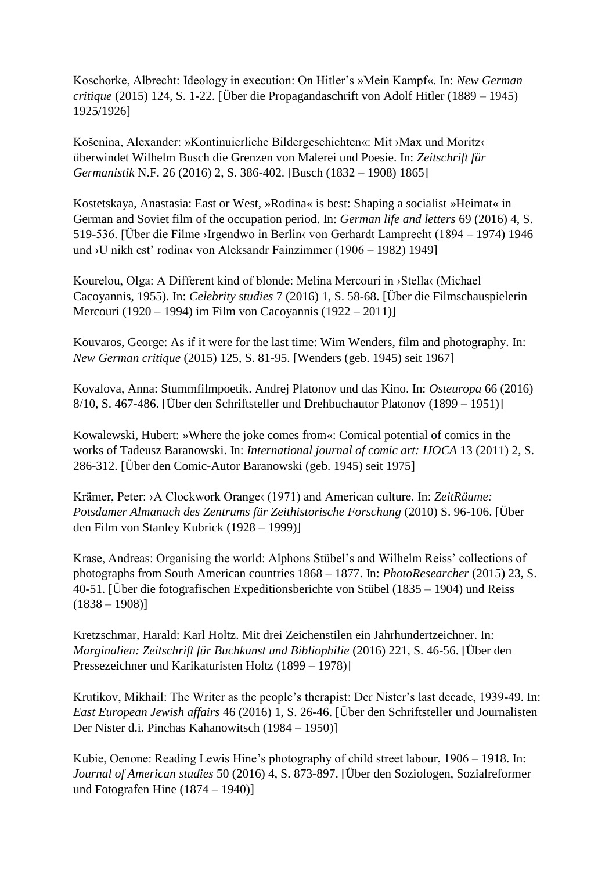Koschorke, Albrecht: Ideology in execution: On Hitler's »Mein Kampf«. In: *New German critique* (2015) 124, S. 1-22. [Über die Propagandaschrift von Adolf Hitler (1889 – 1945) 1925/1926]

Košenina, Alexander: »Kontinuierliche Bildergeschichten«: Mit ›Max und Moritz‹ überwindet Wilhelm Busch die Grenzen von Malerei und Poesie. In: *Zeitschrift für Germanistik* N.F. 26 (2016) 2, S. 386-402. [Busch (1832 – 1908) 1865]

Kostetskaya, Anastasia: East or West, »Rodina« is best: Shaping a socialist »Heimat« in German and Soviet film of the occupation period. In: *German life and letters* 69 (2016) 4, S. 519-536. [Über die Filme ›Irgendwo in Berlin‹ von Gerhardt Lamprecht (1894 – 1974) 1946 und ›U nikh est' rodina‹ von Aleksandr Fainzimmer (1906 – 1982) 1949]

Kourelou, Olga: A Different kind of blonde: Melina Mercouri in ›Stella‹ (Michael Cacoyannis, 1955). In: *Celebrity studies* 7 (2016) 1, S. 58-68. [Über die Filmschauspielerin Mercouri (1920 – 1994) im Film von Cacoyannis (1922 – 2011)]

Kouvaros, George: As if it were for the last time: Wim Wenders, film and photography. In: *New German critique* (2015) 125, S. 81-95. [Wenders (geb. 1945) seit 1967]

Kovalova, Anna: Stummfilmpoetik. Andrej Platonov und das Kino. In: *Osteuropa* 66 (2016) 8/10, S. 467-486. [Über den Schriftsteller und Drehbuchautor Platonov (1899 – 1951)]

Kowalewski, Hubert: »Where the joke comes from«: Comical potential of comics in the works of Tadeusz Baranowski. In: *International journal of comic art: IJOCA* 13 (2011) 2, S. 286-312. [Über den Comic-Autor Baranowski (geb. 1945) seit 1975]

Krämer, Peter: ›A Clockwork Orange‹ (1971) and American culture. In: *ZeitRäume: Potsdamer Almanach des Zentrums für Zeithistorische Forschung* (2010) S. 96-106. [Über den Film von Stanley Kubrick (1928 – 1999)]

Krase, Andreas: Organising the world: Alphons Stübel's and Wilhelm Reiss' collections of photographs from South American countries 1868 – 1877. In: *PhotoResearcher* (2015) 23, S. 40-51. [Über die fotografischen Expeditionsberichte von Stübel (1835 – 1904) und Reiss  $(1838 - 1908)$ 

Kretzschmar, Harald: Karl Holtz. Mit drei Zeichenstilen ein Jahrhundertzeichner. In: *Marginalien: Zeitschrift für Buchkunst und Bibliophilie* (2016) 221, S. 46-56. [Über den Pressezeichner und Karikaturisten Holtz (1899 – 1978)]

Krutikov, Mikhail: The Writer as the people's therapist: Der Nister's last decade, 1939-49. In: *East European Jewish affairs* 46 (2016) 1, S. 26-46. [Über den Schriftsteller und Journalisten Der Nister d.i. Pinchas Kahanowitsch (1984 – 1950)]

Kubie, Oenone: Reading Lewis Hine's photography of child street labour, 1906 – 1918. In: *Journal of American studies* 50 (2016) 4, S. 873-897. [Über den Soziologen, Sozialreformer und Fotografen Hine (1874 – 1940)]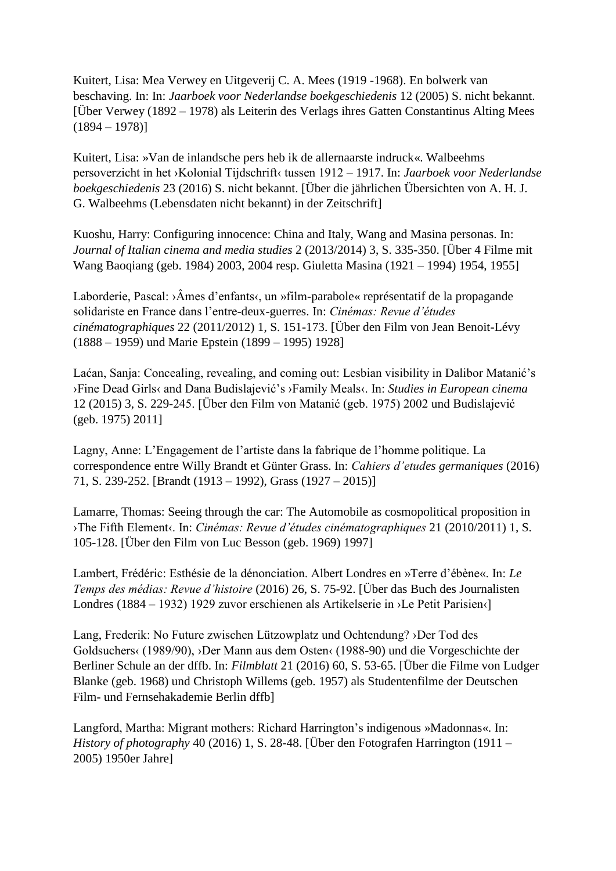Kuitert, Lisa: Mea Verwey en Uitgeverij C. A. Mees (1919 -1968). En bolwerk van beschaving. In: In: *Jaarboek voor Nederlandse boekgeschiedenis* 12 (2005) S. nicht bekannt. [Über Verwey (1892 – 1978) als Leiterin des Verlags ihres Gatten Constantinus Alting Mees  $(1894 - 1978)$ 

Kuitert, Lisa: »Van de inlandsche pers heb ik de allernaarste indruck«. Walbeehms persoverzicht in het ›Kolonial Tijdschrift‹ tussen 1912 – 1917. In: *Jaarboek voor Nederlandse boekgeschiedenis* 23 (2016) S. nicht bekannt. [Über die jährlichen Übersichten von A. H. J. G. Walbeehms (Lebensdaten nicht bekannt) in der Zeitschrift]

Kuoshu, Harry: Configuring innocence: China and Italy, Wang and Masina personas. In: *Journal of Italian cinema and media studies* 2 (2013/2014) 3, S. 335-350. [Über 4 Filme mit Wang Baoqiang (geb. 1984) 2003, 2004 resp. Giuletta Masina (1921 – 1994) 1954, 1955]

Laborderie, Pascal: ›Âmes d'enfants‹, un »film-parabole« représentatif de la propagande solidariste en France dans l'entre-deux-guerres. In: *Cinémas: Revue d'études cinématographiques* 22 (2011/2012) 1, S. 151-173. [Über den Film von Jean Benoit-Lévy (1888 – 1959) und Marie Epstein (1899 – 1995) 1928]

Laćan, Sanja: Concealing, revealing, and coming out: Lesbian visibility in Dalibor Matanić's ›Fine Dead Girls‹ and Dana Budislajević's ›Family Meals‹. In: *Studies in European cinema* 12 (2015) 3, S. 229-245. [Über den Film von Matanić (geb. 1975) 2002 und Budislajević (geb. 1975) 2011]

Lagny, Anne: L'Engagement de l'artiste dans la fabrique de l'homme politique. La correspondence entre Willy Brandt et Günter Grass. In: *Cahiers d'etudes germaniques* (2016) 71, S. 239-252. [Brandt (1913 – 1992), Grass (1927 – 2015)]

Lamarre, Thomas: Seeing through the car: The Automobile as cosmopolitical proposition in ›The Fifth Element‹. In: *Cinémas: Revue d'études cinématographiques* 21 (2010/2011) 1, S. 105-128. [Über den Film von Luc Besson (geb. 1969) 1997]

Lambert, Frédéric: Esthésie de la dénonciation. Albert Londres en »Terre d'ébène«. In: *Le Temps des médias: Revue d'histoire* (2016) 26, S. 75-92. [Über das Buch des Journalisten Londres (1884 – 1932) 1929 zuvor erschienen als Artikelserie in ›Le Petit Parisien‹]

Lang, Frederik: No Future zwischen Lützowplatz und Ochtendung? ›Der Tod des Goldsuchers‹ (1989/90), ›Der Mann aus dem Osten‹ (1988-90) und die Vorgeschichte der Berliner Schule an der dffb. In: *Filmblatt* 21 (2016) 60, S. 53-65. [Über die Filme von Ludger Blanke (geb. 1968) und Christoph Willems (geb. 1957) als Studentenfilme der Deutschen Film- und Fernsehakademie Berlin dffb]

Langford, Martha: Migrant mothers: Richard Harrington's indigenous »Madonnas«. In: *History of photography* 40 (2016) 1, S. 28-48. [Über den Fotografen Harrington (1911 – 2005) 1950er Jahre]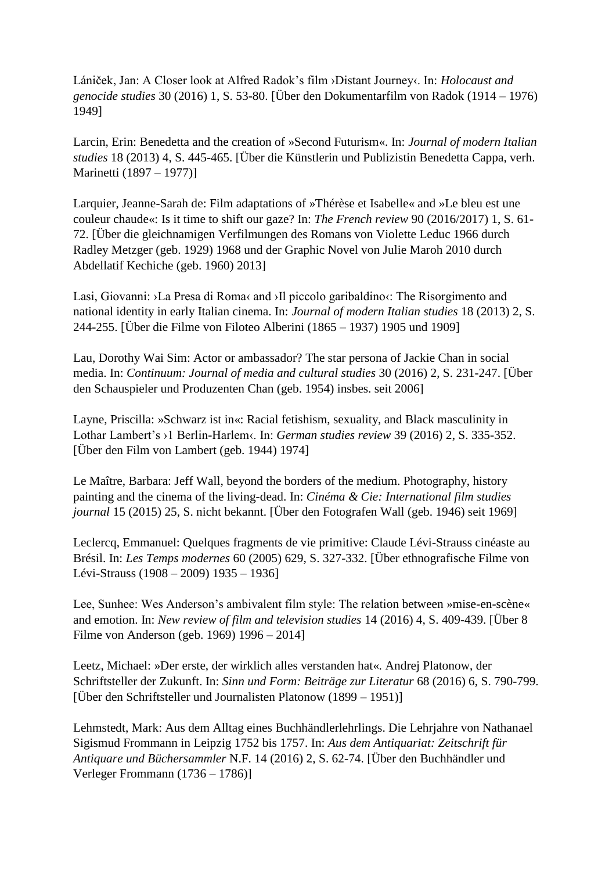Lániček, Jan: A Closer look at Alfred Radok's film ›Distant Journey‹. In: *Holocaust and genocide studies* 30 (2016) 1, S. 53-80. [Über den Dokumentarfilm von Radok (1914 – 1976) 1949]

Larcin, Erin: Benedetta and the creation of »Second Futurism«. In: *Journal of modern Italian studies* 18 (2013) 4, S. 445-465. [Über die Künstlerin und Publizistin Benedetta Cappa, verh. Marinetti (1897 – 1977)]

Larquier, Jeanne-Sarah de: Film adaptations of »Thérèse et Isabelle« and »Le bleu est une couleur chaude«: Is it time to shift our gaze? In: *The French review* 90 (2016/2017) 1, S. 61- 72. [Über die gleichnamigen Verfilmungen des Romans von Violette Leduc 1966 durch Radley Metzger (geb. 1929) 1968 und der Graphic Novel von Julie Maroh 2010 durch Abdellatif Kechiche (geb. 1960) 2013]

Lasi, Giovanni: ›La Presa di Roma‹ and ›Il piccolo garibaldino‹: The Risorgimento and national identity in early Italian cinema. In: *Journal of modern Italian studies* 18 (2013) 2, S. 244-255. [Über die Filme von Filoteo Alberini (1865 – 1937) 1905 und 1909]

Lau, Dorothy Wai Sim: Actor or ambassador? The star persona of Jackie Chan in social media. In: *Continuum: Journal of media and cultural studies* 30 (2016) 2, S. 231-247. [Über den Schauspieler und Produzenten Chan (geb. 1954) insbes. seit 2006]

Layne, Priscilla: »Schwarz ist in«: Racial fetishism, sexuality, and Black masculinity in Lothar Lambert's ›1 Berlin-Harlem‹. In: *German studies review* 39 (2016) 2, S. 335-352. [Über den Film von Lambert (geb. 1944) 1974]

Le Maître, Barbara: Jeff Wall, beyond the borders of the medium. Photography, history painting and the cinema of the living-dead. In: *Cinéma & Cie: International film studies journal* 15 (2015) 25, S. nicht bekannt. [Über den Fotografen Wall (geb. 1946) seit 1969]

Leclercq, Emmanuel: Quelques fragments de vie primitive: Claude Lévi-Strauss cinéaste au Brésil. In: *Les Temps modernes* 60 (2005) 629, S. 327-332. [Über ethnografische Filme von Lévi-Strauss (1908 – 2009) 1935 – 1936]

Lee, Sunhee: Wes Anderson's ambivalent film style: The relation between »mise-en-scène« and emotion. In: *New review of film and television studies* 14 (2016) 4, S. 409-439. [Über 8 Filme von Anderson (geb. 1969) 1996 – 2014]

Leetz, Michael: »Der erste, der wirklich alles verstanden hat«. Andrej Platonow, der Schriftsteller der Zukunft. In: *Sinn und Form: Beiträge zur Literatur* 68 (2016) 6, S. 790-799. [Über den Schriftsteller und Journalisten Platonow (1899 – 1951)]

Lehmstedt, Mark: Aus dem Alltag eines Buchhändlerlehrlings. Die Lehrjahre von Nathanael Sigismud Frommann in Leipzig 1752 bis 1757. In: *Aus dem Antiquariat: Zeitschrift für Antiquare und Büchersammler* N.F. 14 (2016) 2, S. 62-74. [Über den Buchhändler und Verleger Frommann (1736 – 1786)]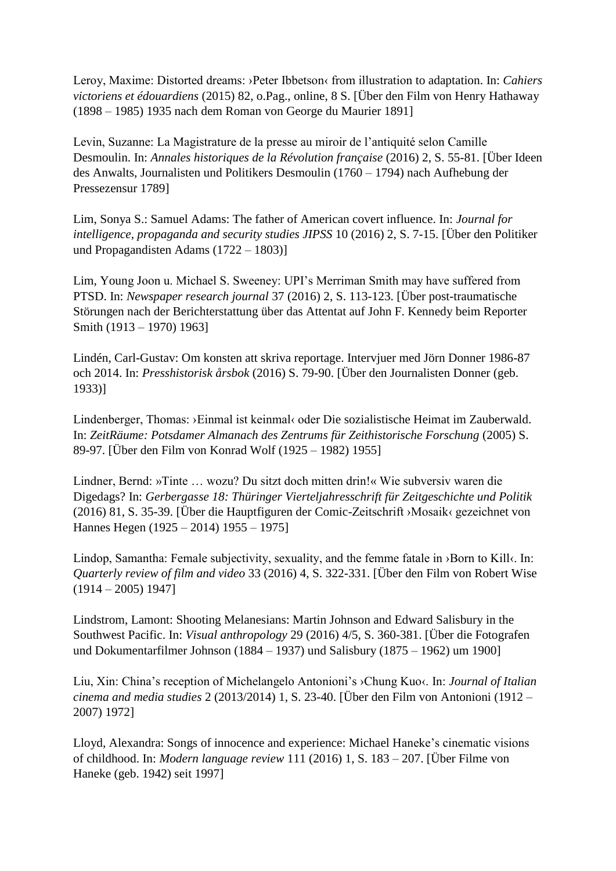Leroy, Maxime: Distorted dreams: ›Peter Ibbetson‹ from illustration to adaptation. In: *Cahiers victoriens et édouardiens* (2015) 82, o.Pag., online, 8 S. [Über den Film von Henry Hathaway (1898 – 1985) 1935 nach dem Roman von George du Maurier 1891]

Levin, Suzanne: La Magistrature de la presse au miroir de l'antiquité selon Camille Desmoulin. In: *Annales historiques de la Révolution française* (2016) 2, S. 55-81. [Über Ideen des Anwalts, Journalisten und Politikers Desmoulin (1760 – 1794) nach Aufhebung der Pressezensur 1789]

Lim, Sonya S.: Samuel Adams: The father of American covert influence. In: *Journal for intelligence, propaganda and security studies JIPSS* 10 (2016) 2, S. 7-15. [Über den Politiker und Propagandisten Adams (1722 – 1803)]

Lim, Young Joon u. Michael S. Sweeney: UPI's Merriman Smith may have suffered from PTSD. In: *Newspaper research journal* 37 (2016) 2, S. 113-123. [Über post-traumatische Störungen nach der Berichterstattung über das Attentat auf John F. Kennedy beim Reporter Smith (1913 – 1970) 1963]

Lindén, Carl-Gustav: Om konsten att skriva reportage. Intervjuer med Jörn Donner 1986-87 och 2014. In: *Presshistorisk årsbok* (2016) S. 79-90. [Über den Journalisten Donner (geb. 1933)]

Lindenberger, Thomas: ›Einmal ist keinmal‹ oder Die sozialistische Heimat im Zauberwald. In: *ZeitRäume: Potsdamer Almanach des Zentrums für Zeithistorische Forschung* (2005) S. 89-97. [Über den Film von Konrad Wolf (1925 – 1982) 1955]

Lindner, Bernd: »Tinte … wozu? Du sitzt doch mitten drin!« Wie subversiv waren die Digedags? In: *Gerbergasse 18: Thüringer Vierteljahresschrift für Zeitgeschichte und Politik* (2016) 81, S. 35-39. [Über die Hauptfiguren der Comic-Zeitschrift ›Mosaik‹ gezeichnet von Hannes Hegen (1925 – 2014) 1955 – 1975]

Lindop, Samantha: Female subjectivity, sexuality, and the femme fatale in >Born to Kill‹. In: *Quarterly review of film and video* 33 (2016) 4, S. 322-331. [Über den Film von Robert Wise  $(1914 - 2005)$  1947]

Lindstrom, Lamont: Shooting Melanesians: Martin Johnson and Edward Salisbury in the Southwest Pacific. In: *Visual anthropology* 29 (2016) 4/5, S. 360-381. [Über die Fotografen und Dokumentarfilmer Johnson (1884 – 1937) und Salisbury (1875 – 1962) um 1900]

Liu, Xin: China's reception of Michelangelo Antonioni's ›Chung Kuo‹. In: *Journal of Italian cinema and media studies* 2 (2013/2014) 1, S. 23-40. [Über den Film von Antonioni (1912 – 2007) 1972]

Lloyd, Alexandra: Songs of innocence and experience: Michael Haneke's cinematic visions of childhood. In: *Modern language review* 111 (2016) 1, S. 183 – 207. [Über Filme von Haneke (geb. 1942) seit 1997]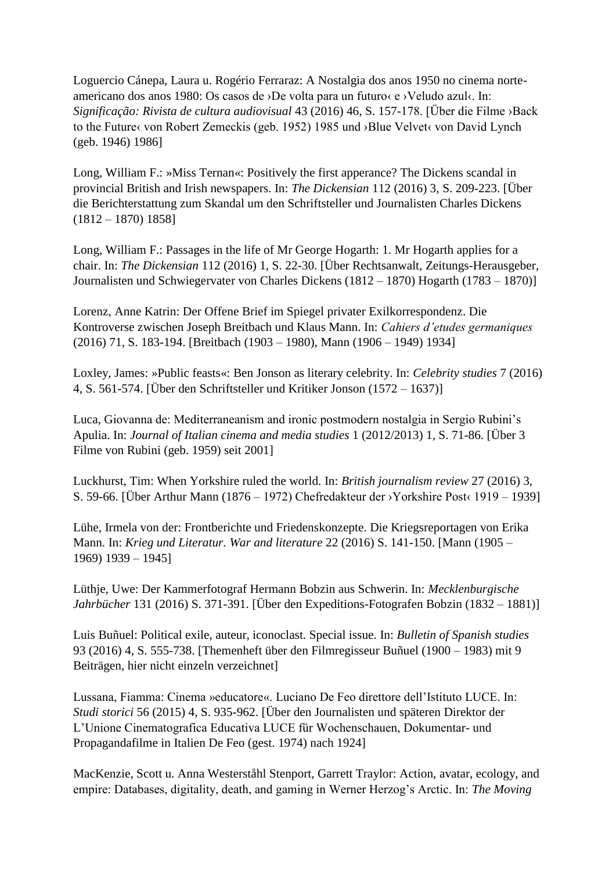Loguercio Cánepa, Laura u. Rogério Ferraraz: A Nostalgia dos anos 1950 no cinema norteamericano dos anos 1980: Os casos de ›De volta para un futuro‹ e ›Veludo azul‹. In: *Significação: Rivista de cultura audiovisual* 43 (2016) 46, S. 157-178. [Über die Filme ›Back to the Future von Robert Zemeckis (geb. 1952) 1985 und ›Blue Velvet‹ von David Lynch (geb. 1946) 1986]

Long, William F.: »Miss Ternan«: Positively the first apperance? The Dickens scandal in provincial British and Irish newspapers. In: *The Dickensian* 112 (2016) 3, S. 209-223. [Über die Berichterstattung zum Skandal um den Schriftsteller und Journalisten Charles Dickens (1812 – 1870) 1858]

Long, William F.: Passages in the life of Mr George Hogarth: 1. Mr Hogarth applies for a chair. In: *The Dickensian* 112 (2016) 1, S. 22-30. [Über Rechtsanwalt, Zeitungs-Herausgeber, Journalisten und Schwiegervater von Charles Dickens (1812 – 1870) Hogarth (1783 – 1870)]

Lorenz, Anne Katrin: Der Offene Brief im Spiegel privater Exilkorrespondenz. Die Kontroverse zwischen Joseph Breitbach und Klaus Mann. In: *Cahiers d'etudes germaniques* (2016) 71, S. 183-194. [Breitbach (1903 – 1980), Mann (1906 – 1949) 1934]

Loxley, James: »Public feasts«: Ben Jonson as literary celebrity. In: *Celebrity studies* 7 (2016) 4, S. 561-574. [Über den Schriftsteller und Kritiker Jonson (1572 – 1637)]

Luca, Giovanna de: Mediterraneanism and ironic postmodern nostalgia in Sergio Rubini's Apulia. In: *Journal of Italian cinema and media studies* 1 (2012/2013) 1, S. 71-86. [Über 3 Filme von Rubini (geb. 1959) seit 2001]

Luckhurst, Tim: When Yorkshire ruled the world. In: *British journalism review* 27 (2016) 3, S. 59-66. [Über Arthur Mann (1876 – 1972) Chefredakteur der ›Yorkshire Post‹ 1919 – 1939]

Lühe, Irmela von der: Frontberichte und Friedenskonzepte. Die Kriegsreportagen von Erika Mann. In: *Krieg und Literatur. War and literature* 22 (2016) S. 141-150. [Mann (1905 – 1969) 1939 – 1945]

Lüthje, Uwe: Der Kammerfotograf Hermann Bobzin aus Schwerin. In: *Mecklenburgische Jahrbücher* 131 (2016) S. 371-391. [Über den Expeditions-Fotografen Bobzin (1832 – 1881)]

Luis Buñuel: Political exile, auteur, iconoclast. Special issue. In: *Bulletin of Spanish studies* 93 (2016) 4, S. 555-738. [Themenheft über den Filmregisseur Buñuel (1900 – 1983) mit 9 Beiträgen, hier nicht einzeln verzeichnet]

Lussana, Fiamma: Cinema »educatore«. Luciano De Feo direttore dell'Istituto LUCE. In: *Studi storici* 56 (2015) 4, S. 935-962. [Über den Journalisten und späteren Direktor der L'Unione Cinematografica Educativa LUCE für Wochenschauen, Dokumentar- und Propagandafilme in Italien De Feo (gest. 1974) nach 1924]

MacKenzie, Scott u. Anna Westerståhl Stenport, Garrett Traylor: Action, avatar, ecology, and empire: Databases, digitality, death, and gaming in Werner Herzog's Arctic. In: *The Moving*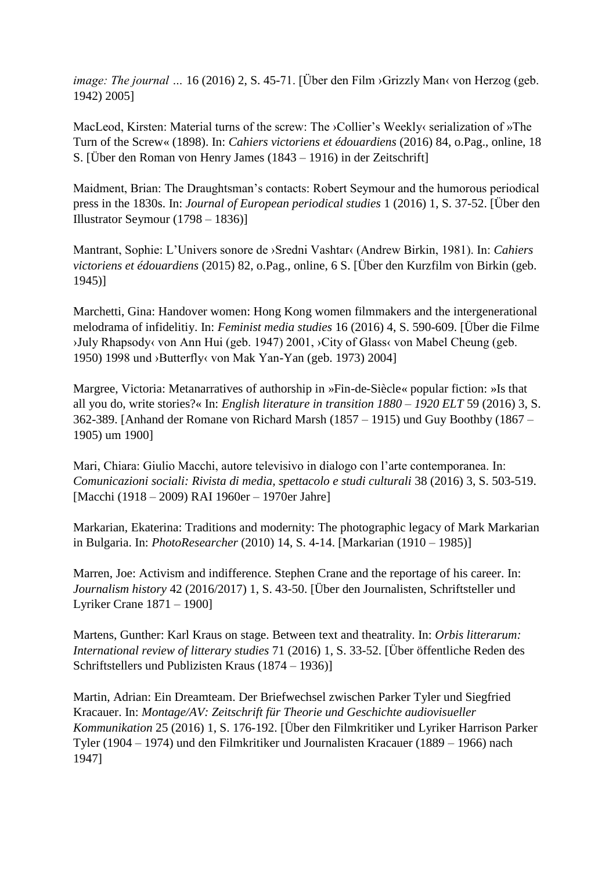*image: The journal* ... 16 (2016) 2, S. 45-71. [Über den Film > Grizzly Man< von Herzog (geb. 1942) 2005]

MacLeod, Kirsten: Material turns of the screw: The ›Collier's Weekly‹ serialization of »The Turn of the Screw« (1898). In: *Cahiers victoriens et édouardiens* (2016) 84, o.Pag., online, 18 S. [Über den Roman von Henry James (1843 – 1916) in der Zeitschrift]

Maidment, Brian: The Draughtsman's contacts: Robert Seymour and the humorous periodical press in the 1830s. In: *Journal of European periodical studies* 1 (2016) 1, S. 37-52. [Über den Illustrator Seymour (1798 – 1836)]

Mantrant, Sophie: L'Univers sonore de ›Sredni Vashtar‹ (Andrew Birkin, 1981). In: *Cahiers victoriens et édouardiens* (2015) 82, o.Pag., online, 6 S. [Über den Kurzfilm von Birkin (geb. 1945)]

Marchetti, Gina: Handover women: Hong Kong women filmmakers and the intergenerational melodrama of infidelitiy. In: *Feminist media studies* 16 (2016) 4, S. 590-609. [Über die Filme ›July Rhapsody‹ von Ann Hui (geb. 1947) 2001, ›City of Glass‹ von Mabel Cheung (geb. 1950) 1998 und ›Butterfly‹ von Mak Yan-Yan (geb. 1973) 2004]

Margree, Victoria: Metanarratives of authorship in »Fin-de-Siècle« popular fiction: »Is that all you do, write stories?« In: *English literature in transition 1880 – 1920 ELT* 59 (2016) 3, S. 362-389. [Anhand der Romane von Richard Marsh (1857 – 1915) und Guy Boothby (1867 – 1905) um 1900]

Mari, Chiara: Giulio Macchi, autore televisivo in dialogo con l'arte contemporanea. In: *Comunicazioni sociali: Rivista di media, spettacolo e studi culturali* 38 (2016) 3, S. 503-519. [Macchi (1918 – 2009) RAI 1960er – 1970er Jahre]

Markarian, Ekaterina: Traditions and modernity: The photographic legacy of Mark Markarian in Bulgaria. In: *PhotoResearcher* (2010) 14, S. 4-14. [Markarian (1910 – 1985)]

Marren, Joe: Activism and indifference. Stephen Crane and the reportage of his career. In: *Journalism history* 42 (2016/2017) 1, S. 43-50. [Über den Journalisten, Schriftsteller und Lyriker Crane 1871 – 1900]

Martens, Gunther: Karl Kraus on stage. Between text and theatrality. In: *Orbis litterarum: International review of litterary studies* 71 (2016) 1, S. 33-52. [Über öffentliche Reden des Schriftstellers und Publizisten Kraus (1874 – 1936)]

Martin, Adrian: Ein Dreamteam. Der Briefwechsel zwischen Parker Tyler und Siegfried Kracauer. In: *Montage/AV: Zeitschrift für Theorie und Geschichte audiovisueller Kommunikation* 25 (2016) 1, S. 176-192. [Über den Filmkritiker und Lyriker Harrison Parker Tyler (1904 – 1974) und den Filmkritiker und Journalisten Kracauer (1889 – 1966) nach 1947]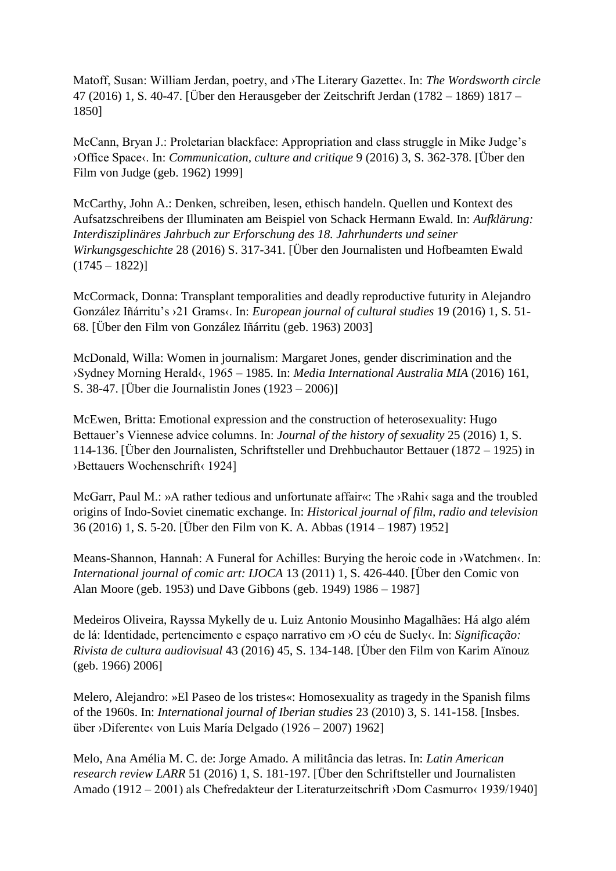Matoff, Susan: William Jerdan, poetry, and ›The Literary Gazette‹. In: *The Wordsworth circle* 47 (2016) 1, S. 40-47. [Über den Herausgeber der Zeitschrift Jerdan (1782 – 1869) 1817 – 1850]

McCann, Bryan J.: Proletarian blackface: Appropriation and class struggle in Mike Judge's ›Office Space‹. In: *Communication, culture and critique* 9 (2016) 3, S. 362-378. [Über den Film von Judge (geb. 1962) 1999]

McCarthy, John A.: Denken, schreiben, lesen, ethisch handeln. Quellen und Kontext des Aufsatzschreibens der Illuminaten am Beispiel von Schack Hermann Ewald. In: *Aufklärung: Interdisziplinäres Jahrbuch zur Erforschung des 18. Jahrhunderts und seiner Wirkungsgeschichte* 28 (2016) S. 317-341. [Über den Journalisten und Hofbeamten Ewald  $(1745 - 1822)$ 

McCormack, Donna: Transplant temporalities and deadly reproductive futurity in Alejandro González Iñárritu's ›21 Grams‹. In: *European journal of cultural studies* 19 (2016) 1, S. 51- 68. [Über den Film von González Iñárritu (geb. 1963) 2003]

McDonald, Willa: Women in journalism: Margaret Jones, gender discrimination and the ›Sydney Morning Herald‹, 1965 – 1985. In: *Media International Australia MIA* (2016) 161, S. 38-47. [Über die Journalistin Jones (1923 – 2006)]

McEwen, Britta: Emotional expression and the construction of heterosexuality: Hugo Bettauer's Viennese advice columns. In: *Journal of the history of sexuality* 25 (2016) 1, S. 114-136. [Über den Journalisten, Schriftsteller und Drehbuchautor Bettauer (1872 – 1925) in ›Bettauers Wochenschrift‹ 1924]

McGarr, Paul M.: »A rather tedious and unfortunate affair«: The ›Rahi‹ saga and the troubled origins of Indo-Soviet cinematic exchange. In: *Historical journal of film, radio and television* 36 (2016) 1, S. 5-20. [Über den Film von K. A. Abbas (1914 – 1987) 1952]

Means-Shannon, Hannah: A Funeral for Achilles: Burying the heroic code in >Watchmen<. In: *International journal of comic art: IJOCA* 13 (2011) 1, S. 426-440. [Über den Comic von Alan Moore (geb. 1953) und Dave Gibbons (geb. 1949) 1986 – 1987]

Medeiros Oliveira, Rayssa Mykelly de u. Luiz Antonio Mousinho Magalhães: Há algo além de lá: Identidade, pertencimento e espaço narrativo em ›O céu de Suely‹. In: *Significação: Rivista de cultura audiovisual* 43 (2016) 45, S. 134-148. [Über den Film von Karim Aïnouz (geb. 1966) 2006]

Melero, Alejandro: »El Paseo de los tristes«: Homosexuality as tragedy in the Spanish films of the 1960s. In: *International journal of Iberian studies* 23 (2010) 3, S. 141-158. [Insbes. über ›Diferente‹ von Luis María Delgado (1926 – 2007) 1962]

Melo, Ana Amélia M. C. de: Jorge Amado. A militância das letras. In: *Latin American research review LARR* 51 (2016) 1, S. 181-197. [Über den Schriftsteller und Journalisten Amado (1912 – 2001) als Chefredakteur der Literaturzeitschrift ›Dom Casmurro‹ 1939/1940]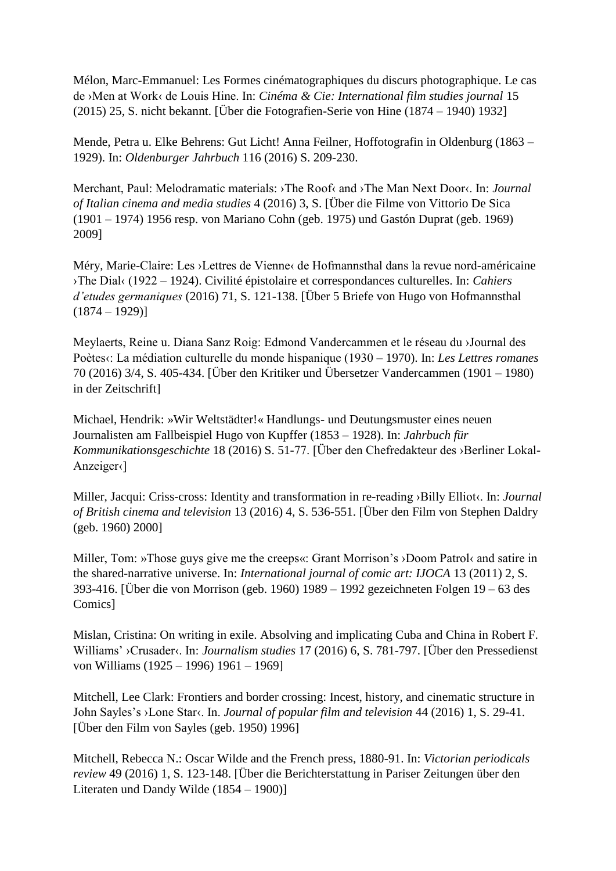Mélon, Marc-Emmanuel: Les Formes cinématographiques du discurs photographique. Le cas de ›Men at Work‹ de Louis Hine. In: *Cinéma & Cie: International film studies journal* 15 (2015) 25, S. nicht bekannt. [Über die Fotografien-Serie von Hine (1874 – 1940) 1932]

Mende, Petra u. Elke Behrens: Gut Licht! Anna Feilner, Hoffotografin in Oldenburg (1863 – 1929). In: *Oldenburger Jahrbuch* 116 (2016) S. 209-230.

Merchant, Paul: Melodramatic materials: ›The Roof‹ and ›The Man Next Door‹. In: *Journal of Italian cinema and media studies* 4 (2016) 3, S. [Über die Filme von Vittorio De Sica (1901 – 1974) 1956 resp. von Mariano Cohn (geb. 1975) und Gastón Duprat (geb. 1969) 2009]

Méry, Marie-Claire: Les >Lettres de Vienne< de Hofmannsthal dans la revue nord-américaine ›The Dial‹ (1922 – 1924). Civilité épistolaire et correspondances culturelles. In: *Cahiers d'etudes germaniques* (2016) 71, S. 121-138. [Über 5 Briefe von Hugo von Hofmannsthal  $(1874 - 1929)$ 

Meylaerts, Reine u. Diana Sanz Roig: Edmond Vandercammen et le réseau du ›Journal des Poètes«: La médiation culturelle du monde hispanique (1930 – 1970). In: *Les Lettres romanes* 70 (2016) 3/4, S. 405-434. [Über den Kritiker und Übersetzer Vandercammen (1901 – 1980) in der Zeitschrift]

Michael, Hendrik: »Wir Weltstädter!« Handlungs- und Deutungsmuster eines neuen Journalisten am Fallbeispiel Hugo von Kupffer (1853 – 1928). In: *Jahrbuch für Kommunikationsgeschichte* 18 (2016) S. 51-77. [Über den Chefredakteur des ›Berliner Lokal-Anzeiger‹]

Miller, Jacqui: Criss-cross: Identity and transformation in re-reading >Billy Elliot<sub>{</sub>. In: *Journal of British cinema and television* 13 (2016) 4, S. 536-551. [Über den Film von Stephen Daldry (geb. 1960) 2000]

Miller, Tom: »Those guys give me the creeps«: Grant Morrison's >Doom Patrol< and satire in the shared-narrative universe. In: *International journal of comic art: IJOCA* 13 (2011) 2, S. 393-416. [Über die von Morrison (geb. 1960) 1989 – 1992 gezeichneten Folgen 19 – 63 des Comics]

Mislan, Cristina: On writing in exile. Absolving and implicating Cuba and China in Robert F. Williams' ›Crusader‹. In: *Journalism studies* 17 (2016) 6, S. 781-797. [Über den Pressedienst von Williams (1925 – 1996) 1961 – 1969]

Mitchell, Lee Clark: Frontiers and border crossing: Incest, history, and cinematic structure in John Sayles's ›Lone Star‹. In. *Journal of popular film and television* 44 (2016) 1, S. 29-41. [Über den Film von Sayles (geb. 1950) 1996]

Mitchell, Rebecca N.: Oscar Wilde and the French press, 1880-91. In: *Victorian periodicals review* 49 (2016) 1, S. 123-148. [Über die Berichterstattung in Pariser Zeitungen über den Literaten und Dandy Wilde (1854 – 1900)]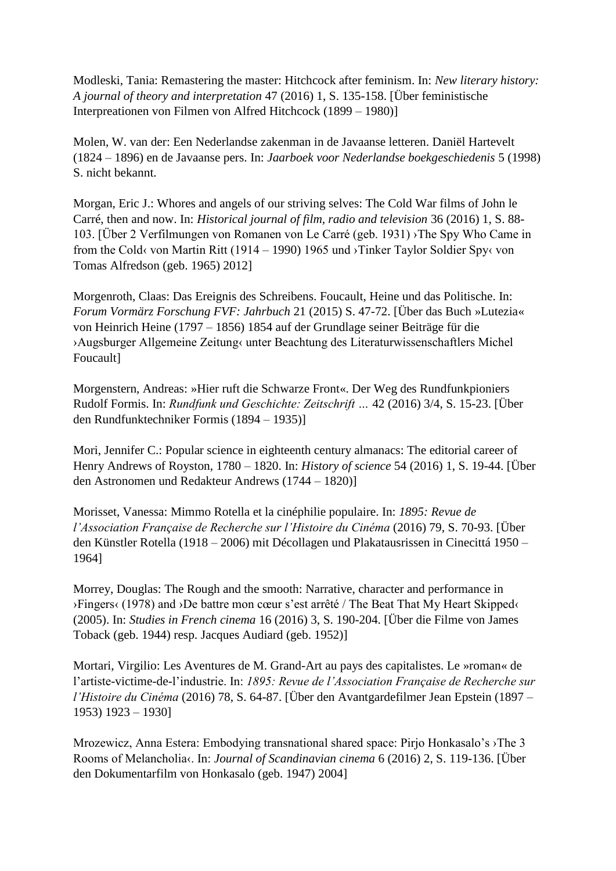Modleski, Tania: Remastering the master: Hitchcock after feminism. In: *New literary history: A journal of theory and interpretation* 47 (2016) 1, S. 135-158. [Über feministische Interpreationen von Filmen von Alfred Hitchcock (1899 – 1980)]

Molen, W. van der: Een Nederlandse zakenman in de Javaanse letteren. Daniël Hartevelt (1824 – 1896) en de Javaanse pers. In: *Jaarboek voor Nederlandse boekgeschiedenis* 5 (1998) S. nicht bekannt.

Morgan, Eric J.: Whores and angels of our striving selves: The Cold War films of John le Carré, then and now. In: *Historical journal of film, radio and television* 36 (2016) 1, S. 88- 103. [Über 2 Verfilmungen von Romanen von Le Carré (geb. 1931) ›The Spy Who Came in from the Cold‹ von Martin Ritt (1914 – 1990) 1965 und ›Tinker Taylor Soldier Spy‹ von Tomas Alfredson (geb. 1965) 2012]

Morgenroth, Claas: Das Ereignis des Schreibens. Foucault, Heine und das Politische. In: *Forum Vormärz Forschung FVF: Jahrbuch* 21 (2015) S. 47-72. [Über das Buch »Lutezia« von Heinrich Heine (1797 – 1856) 1854 auf der Grundlage seiner Beiträge für die ›Augsburger Allgemeine Zeitung‹ unter Beachtung des Literaturwissenschaftlers Michel Foucault]

Morgenstern, Andreas: »Hier ruft die Schwarze Front«. Der Weg des Rundfunkpioniers Rudolf Formis. In: *Rundfunk und Geschichte: Zeitschrift …* 42 (2016) 3/4, S. 15-23. [Über den Rundfunktechniker Formis (1894 – 1935)]

Mori, Jennifer C.: Popular science in eighteenth century almanacs: The editorial career of Henry Andrews of Royston, 1780 – 1820. In: *History of science* 54 (2016) 1, S. 19-44. [Über den Astronomen und Redakteur Andrews (1744 – 1820)]

Morisset, Vanessa: Mimmo Rotella et la cinéphilie populaire. In: *1895: Revue de l'Association Française de Recherche sur l'Histoire du Cinéma* (2016) 79, S. 70-93. [Über den Künstler Rotella (1918 – 2006) mit Décollagen und Plakatausrissen in Cinecittá 1950 – 1964]

Morrey, Douglas: The Rough and the smooth: Narrative, character and performance in ›Fingers‹ (1978) and ›De battre mon cœur s'est arrêté / The Beat That My Heart Skipped‹ (2005). In: *Studies in French cinema* 16 (2016) 3, S. 190-204. [Über die Filme von James Toback (geb. 1944) resp. Jacques Audiard (geb. 1952)]

Mortari, Virgilio: Les Aventures de M. Grand-Art au pays des capitalistes. Le »roman« de l'artiste-victime-de-l'industrie. In: *1895: Revue de l'Association Française de Recherche sur l'Histoire du Cinéma* (2016) 78, S. 64-87. [Über den Avantgardefilmer Jean Epstein (1897 – 1953) 1923 – 1930]

Mrozewicz, Anna Estera: Embodying transnational shared space: Pirjo Honkasalo's ›The 3 Rooms of Melancholia‹. In: *Journal of Scandinavian cinema* 6 (2016) 2, S. 119-136. [Über den Dokumentarfilm von Honkasalo (geb. 1947) 2004]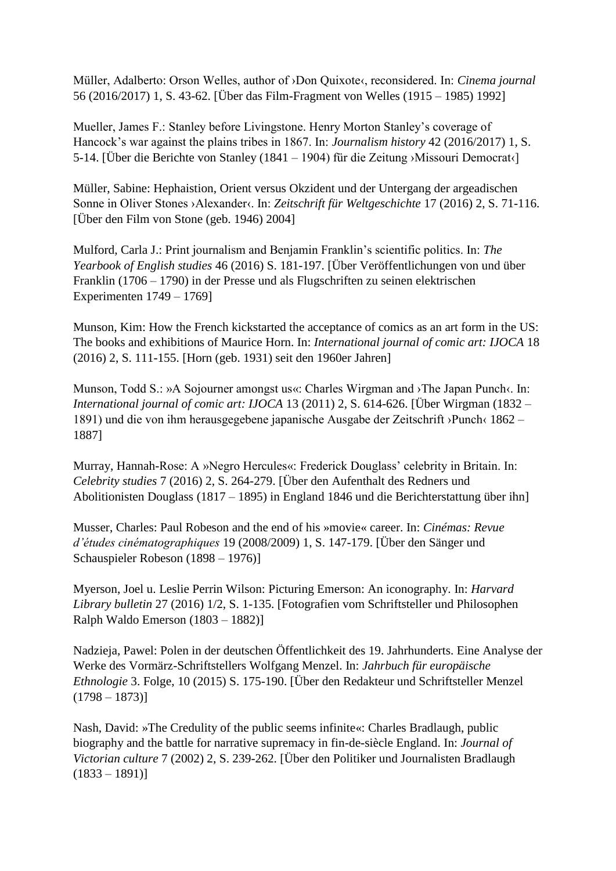Müller, Adalberto: Orson Welles, author of ›Don Quixote‹, reconsidered. In: *Cinema journal* 56 (2016/2017) 1, S. 43-62. [Über das Film-Fragment von Welles (1915 – 1985) 1992]

Mueller, James F.: Stanley before Livingstone. Henry Morton Stanley's coverage of Hancock's war against the plains tribes in 1867. In: *Journalism history* 42 (2016/2017) 1, S. 5-14. [Über die Berichte von Stanley (1841 – 1904) für die Zeitung ›Missouri Democrat‹]

Müller, Sabine: Hephaistion, Orient versus Okzident und der Untergang der argeadischen Sonne in Oliver Stones ›Alexander‹. In: *Zeitschrift für Weltgeschichte* 17 (2016) 2, S. 71-116. [Über den Film von Stone (geb. 1946) 2004]

Mulford, Carla J.: Print journalism and Benjamin Franklin's scientific politics. In: *The Yearbook of English studies* 46 (2016) S. 181-197. [Über Veröffentlichungen von und über Franklin (1706 – 1790) in der Presse und als Flugschriften zu seinen elektrischen Experimenten 1749 – 1769]

Munson, Kim: How the French kickstarted the acceptance of comics as an art form in the US: The books and exhibitions of Maurice Horn. In: *International journal of comic art: IJOCA* 18 (2016) 2, S. 111-155. [Horn (geb. 1931) seit den 1960er Jahren]

Munson, Todd S.: »A Sojourner amongst us«: Charles Wirgman and ›The Japan Punch‹. In: *International journal of comic art: IJOCA* 13 (2011) 2, S. 614-626. [Über Wirgman (1832 – 1891) und die von ihm herausgegebene japanische Ausgabe der Zeitschrift ›Punch‹ 1862 – 1887]

Murray, Hannah-Rose: A »Negro Hercules«: Frederick Douglass' celebrity in Britain. In: *Celebrity studies* 7 (2016) 2, S. 264-279. [Über den Aufenthalt des Redners und Abolitionisten Douglass (1817 – 1895) in England 1846 und die Berichterstattung über ihn]

Musser, Charles: Paul Robeson and the end of his »movie« career. In: *Cinémas: Revue d'études cinématographiques* 19 (2008/2009) 1, S. 147-179. [Über den Sänger und Schauspieler Robeson (1898 – 1976)]

Myerson, Joel u. Leslie Perrin Wilson: Picturing Emerson: An iconography. In: *Harvard Library bulletin* 27 (2016) 1/2, S. 1-135. [Fotografien vom Schriftsteller und Philosophen Ralph Waldo Emerson (1803 – 1882)]

Nadzieja, Pawel: Polen in der deutschen Öffentlichkeit des 19. Jahrhunderts. Eine Analyse der Werke des Vormärz-Schriftstellers Wolfgang Menzel. In: *Jahrbuch für europäische Ethnologie* 3. Folge, 10 (2015) S. 175-190. [Über den Redakteur und Schriftsteller Menzel  $(1798 - 1873)$ 

Nash, David: »The Credulity of the public seems infinite«: Charles Bradlaugh, public biography and the battle for narrative supremacy in fin-de-siècle England. In: *Journal of Victorian culture* 7 (2002) 2, S. 239-262. [Über den Politiker und Journalisten Bradlaugh  $(1833 - 1891)$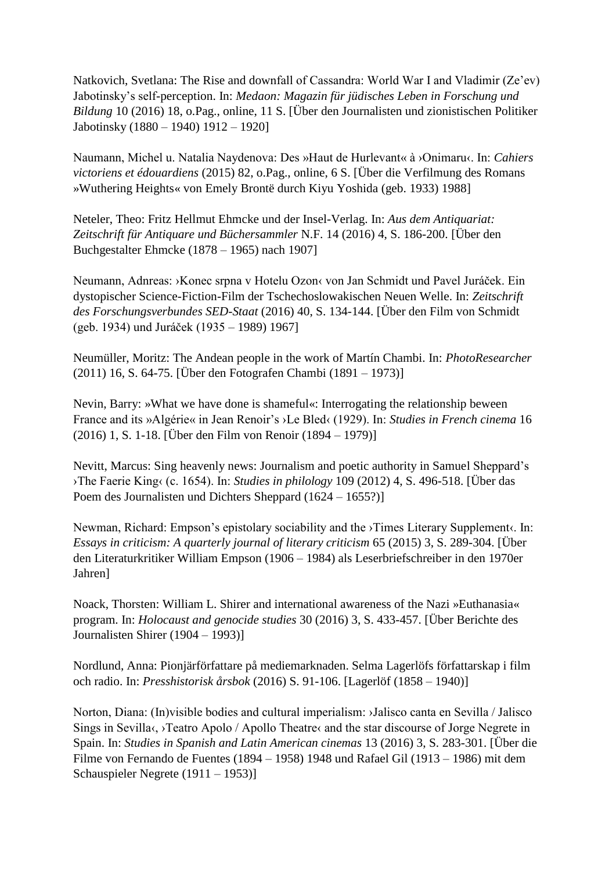Natkovich, Svetlana: The Rise and downfall of Cassandra: World War I and Vladimir (Ze'ev) Jabotinsky's self-perception. In: *Medaon: Magazin für jüdisches Leben in Forschung und Bildung* 10 (2016) 18, o.Pag., online, 11 S. [Über den Journalisten und zionistischen Politiker Jabotinsky (1880 – 1940) 1912 – 1920]

Naumann, Michel u. Natalia Naydenova: Des »Haut de Hurlevant« à ›Onimaru‹. In: *Cahiers victoriens et édouardiens* (2015) 82, o.Pag., online, 6 S. [Über die Verfilmung des Romans »Wuthering Heights« von Emely Brontë durch Kiyu Yoshida (geb. 1933) 1988]

Neteler, Theo: Fritz Hellmut Ehmcke und der Insel-Verlag. In: *Aus dem Antiquariat: Zeitschrift für Antiquare und Büchersammler* N.F. 14 (2016) 4, S. 186-200. [Über den Buchgestalter Ehmcke (1878 – 1965) nach 1907]

Neumann, Adnreas: ›Konec srpna v Hotelu Ozon‹ von Jan Schmidt und Pavel Juráček. Ein dystopischer Science-Fiction-Film der Tschechoslowakischen Neuen Welle. In: *Zeitschrift des Forschungsverbundes SED-Staat* (2016) 40, S. 134-144. [Über den Film von Schmidt (geb. 1934) und Juráček (1935 – 1989) 1967]

Neumüller, Moritz: The Andean people in the work of Martín Chambi. In: *PhotoResearcher* (2011) 16, S. 64-75. [Über den Fotografen Chambi (1891 – 1973)]

Nevin, Barry: »What we have done is shameful«: Interrogating the relationship beween France and its »Algérie« in Jean Renoir's ›Le Bled‹ (1929). In: *Studies in French cinema* 16 (2016) 1, S. 1-18. [Über den Film von Renoir (1894 – 1979)]

Nevitt, Marcus: Sing heavenly news: Journalism and poetic authority in Samuel Sheppard's ›The Faerie King‹ (c. 1654). In: *Studies in philology* 109 (2012) 4, S. 496-518. [Über das Poem des Journalisten und Dichters Sheppard (1624 – 1655?)]

Newman, Richard: Empson's epistolary sociability and the ›Times Literary Supplement‹. In: *Essays in criticism: A quarterly journal of literary criticism* 65 (2015) 3, S. 289-304. [Über den Literaturkritiker William Empson (1906 – 1984) als Leserbriefschreiber in den 1970er Jahren]

Noack, Thorsten: William L. Shirer and international awareness of the Nazi »Euthanasia« program. In: *Holocaust and genocide studies* 30 (2016) 3, S. 433-457. [Über Berichte des Journalisten Shirer (1904 – 1993)]

Nordlund, Anna: Pionjärförfattare på mediemarknaden. Selma Lagerlöfs författarskap i film och radio. In: *Presshistorisk årsbok* (2016) S. 91-106. [Lagerlöf (1858 – 1940)]

Norton, Diana: (In)visible bodies and cultural imperialism: ›Jalisco canta en Sevilla / Jalisco Sings in Sevilla $\langle$ , >Teatro Apolo / Apollo Theatre $\langle$  and the star discourse of Jorge Negrete in Spain. In: *Studies in Spanish and Latin American cinemas* 13 (2016) 3, S. 283-301. [Über die Filme von Fernando de Fuentes (1894 – 1958) 1948 und Rafael Gil (1913 – 1986) mit dem Schauspieler Negrete (1911 – 1953)]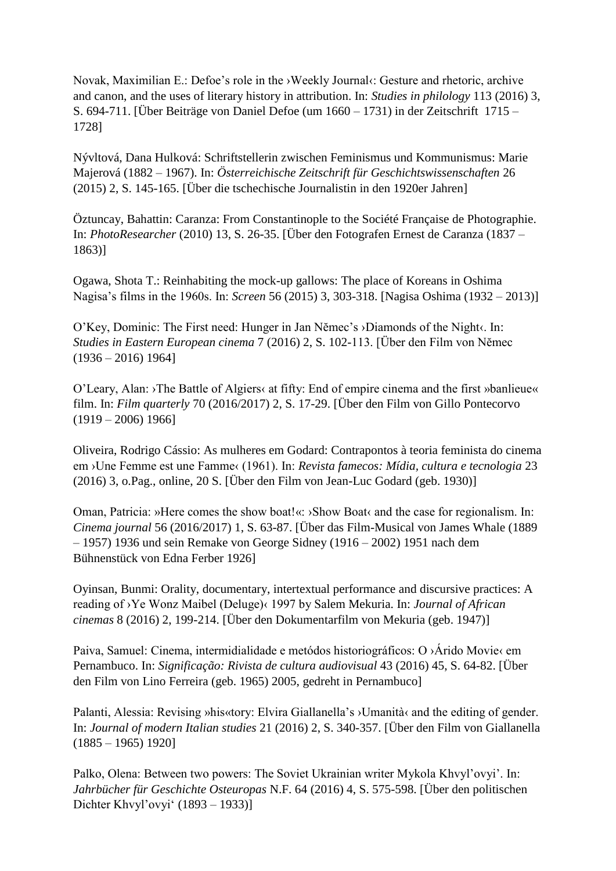Novak, Maximilian E.: Defoe's role in the ›Weekly Journal‹: Gesture and rhetoric, archive and canon, and the uses of literary history in attribution. In: *Studies in philology* 113 (2016) 3, S. 694-711. [Über Beiträge von Daniel Defoe (um 1660 – 1731) in der Zeitschrift 1715 – 1728]

Nývltová, Dana Hulková: Schriftstellerin zwischen Feminismus und Kommunismus: Marie Majerová (1882 – 1967). In: *Österreichische Zeitschrift für Geschichtswissenschaften* 26 (2015) 2, S. 145-165. [Über die tschechische Journalistin in den 1920er Jahren]

Öztuncay, Bahattin: Caranza: From Constantinople to the Société Française de Photographie. In: *PhotoResearcher* (2010) 13, S. 26-35. [Über den Fotografen Ernest de Caranza (1837 – 1863)]

Ogawa, Shota T.: Reinhabiting the mock-up gallows: The place of Koreans in Oshima Nagisa's films in the 1960s. In: *Screen* 56 (2015) 3, 303-318. [Nagisa Oshima (1932 – 2013)]

O'Key, Dominic: The First need: Hunger in Jan Nĕmec's ›Diamonds of the Night‹. In: *Studies in Eastern European cinema* 7 (2016) 2, S. 102-113. [Über den Film von Nĕmec  $(1936 - 2016)$  1964]

O'Leary, Alan: ›The Battle of Algiers‹ at fifty: End of empire cinema and the first »banlieue« film. In: *Film quarterly* 70 (2016/2017) 2, S. 17-29. [Über den Film von Gillo Pontecorvo  $(1919 - 2006) 1966$ 

Oliveira, Rodrigo Cássio: As mulheres em Godard: Contrapontos à teoria feminista do cinema em ›Une Femme est une Famme‹ (1961). In: *Revista famecos: Mídia, cultura e tecnologia* 23 (2016) 3, o.Pag., online, 20 S. [Über den Film von Jean-Luc Godard (geb. 1930)]

Oman, Patricia: »Here comes the show boat!«: ›Show Boat‹ and the case for regionalism. In: *Cinema journal* 56 (2016/2017) 1, S. 63-87. [Über das Film-Musical von James Whale (1889 – 1957) 1936 und sein Remake von George Sidney (1916 – 2002) 1951 nach dem Bühnenstück von Edna Ferber 1926]

Oyinsan, Bunmi: Orality, documentary, intertextual performance and discursive practices: A reading of ›Ye Wonz Maibel (Deluge)‹ 1997 by Salem Mekuria. In: *Journal of African cinemas* 8 (2016) 2, 199-214. [Über den Dokumentarfilm von Mekuria (geb. 1947)]

Paiva, Samuel: Cinema, intermidialidade e metódos historiográficos: O ›Árido Movie‹ em Pernambuco. In: *Significação: Rivista de cultura audiovisual* 43 (2016) 45, S. 64-82. [Über den Film von Lino Ferreira (geb. 1965) 2005, gedreht in Pernambuco]

Palanti, Alessia: Revising »his«tory: Elvira Giallanella's ›Umanità‹ and the editing of gender. In: *Journal of modern Italian studies* 21 (2016) 2, S. 340-357. [Über den Film von Giallanella  $(1885 - 1965)$  1920]

Palko, Olena: Between two powers: The Soviet Ukrainian writer Mykola Khvyl'ovyi'. In: *Jahrbücher für Geschichte Osteuropas* N.F. 64 (2016) 4, S. 575-598. [Über den politischen Dichter Khvyl'ovyi' (1893 – 1933)]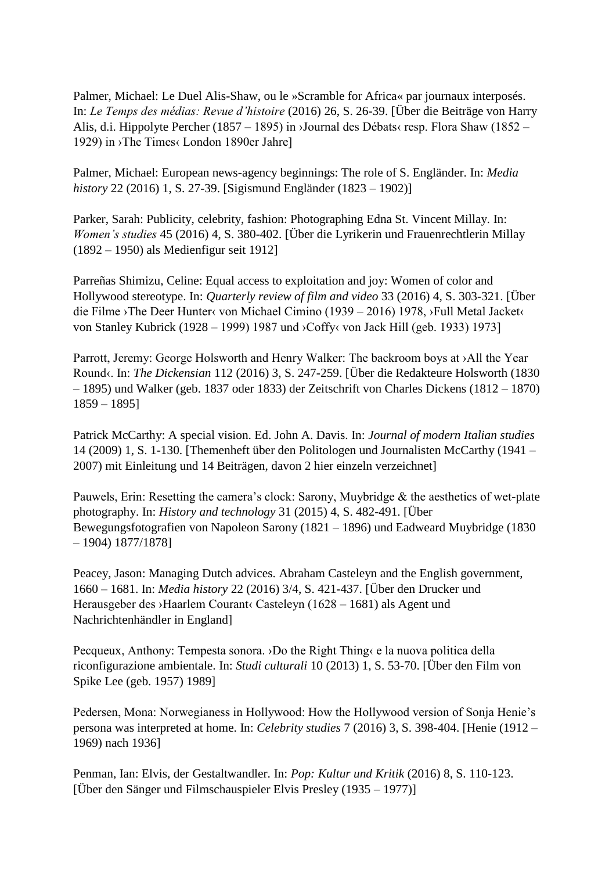Palmer, Michael: Le Duel Alis-Shaw, ou le »Scramble for Africa« par journaux interposés. In: *Le Temps des médias: Revue d'histoire* (2016) 26, S. 26-39. [Über die Beiträge von Harry Alis, d.i. Hippolyte Percher (1857 – 1895) in ›Journal des Débats‹ resp. Flora Shaw (1852 – 1929) in ›The Times‹ London 1890er Jahre]

Palmer, Michael: European news-agency beginnings: The role of S. Engländer. In: *Media history* 22 (2016) 1, S. 27-39. [Sigismund Engländer (1823 – 1902)]

Parker, Sarah: Publicity, celebrity, fashion: Photographing Edna St. Vincent Millay. In: *Women's studies* 45 (2016) 4, S. 380-402. [Über die Lyrikerin und Frauenrechtlerin Millay (1892 – 1950) als Medienfigur seit 1912]

Parreñas Shimizu, Celine: Equal access to exploitation and joy: Women of color and Hollywood stereotype. In: *Quarterly review of film and video* 33 (2016) 4, S. 303-321. [Über die Filme ›The Deer Hunter‹ von Michael Cimino (1939 – 2016) 1978, ›Full Metal Jacket‹ von Stanley Kubrick (1928 – 1999) 1987 und ›Coffy‹ von Jack Hill (geb. 1933) 1973]

Parrott, Jeremy: George Holsworth and Henry Walker: The backroom boys at >All the Year Round‹. In: *The Dickensian* 112 (2016) 3, S. 247-259. [Über die Redakteure Holsworth (1830 – 1895) und Walker (geb. 1837 oder 1833) der Zeitschrift von Charles Dickens (1812 – 1870) 1859 – 1895]

Patrick McCarthy: A special vision. Ed. John A. Davis. In: *Journal of modern Italian studies* 14 (2009) 1, S. 1-130. [Themenheft über den Politologen und Journalisten McCarthy (1941 – 2007) mit Einleitung und 14 Beiträgen, davon 2 hier einzeln verzeichnet]

Pauwels, Erin: Resetting the camera's clock: Sarony, Muybridge & the aesthetics of wet-plate photography. In: *History and technology* 31 (2015) 4, S. 482-491. [Über Bewegungsfotografien von Napoleon Sarony (1821 – 1896) und Eadweard Muybridge (1830 – 1904) 1877/1878]

Peacey, Jason: Managing Dutch advices. Abraham Casteleyn and the English government, 1660 – 1681. In: *Media history* 22 (2016) 3/4, S. 421-437. [Über den Drucker und Herausgeber des ›Haarlem Courant‹ Casteleyn (1628 – 1681) als Agent und Nachrichtenhändler in England]

Pecqueux, Anthony: Tempesta sonora. ›Do the Right Thing‹ e la nuova politica della riconfigurazione ambientale. In: *Studi culturali* 10 (2013) 1, S. 53-70. [Über den Film von Spike Lee (geb. 1957) 1989]

Pedersen, Mona: Norwegianess in Hollywood: How the Hollywood version of Sonja Henie's persona was interpreted at home. In: *Celebrity studies* 7 (2016) 3, S. 398-404. [Henie (1912 – 1969) nach 1936]

Penman, Ian: Elvis, der Gestaltwandler. In: *Pop: Kultur und Kritik* (2016) 8, S. 110-123. [Über den Sänger und Filmschauspieler Elvis Presley (1935 – 1977)]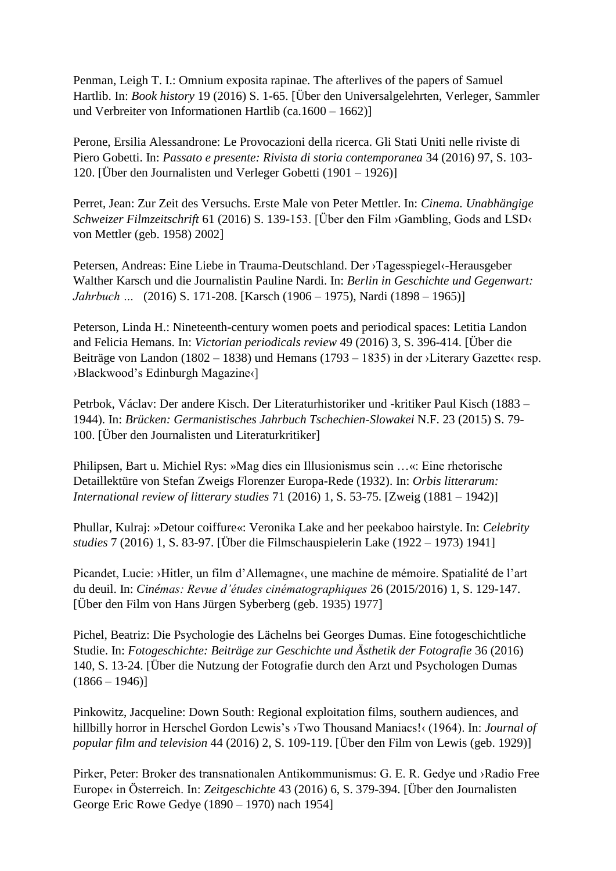Penman, Leigh T. I.: Omnium exposita rapinae. The afterlives of the papers of Samuel Hartlib. In: *Book history* 19 (2016) S. 1-65. [Über den Universalgelehrten, Verleger, Sammler und Verbreiter von Informationen Hartlib (ca.1600 – 1662)]

Perone, Ersilia Alessandrone: Le Provocazioni della ricerca. Gli Stati Uniti nelle riviste di Piero Gobetti. In: *Passato e presente: Rivista di storia contemporanea* 34 (2016) 97, S. 103- 120. [Über den Journalisten und Verleger Gobetti (1901 – 1926)]

Perret, Jean: Zur Zeit des Versuchs. Erste Male von Peter Mettler. In: *Cinema. Unabhängige Schweizer Filmzeitschrift* 61 (2016) S. 139-153. [Über den Film ›Gambling, Gods and LSD‹ von Mettler (geb. 1958) 2002]

Petersen, Andreas: Eine Liebe in Trauma-Deutschland. Der ›Tagesspiegel‹-Herausgeber Walther Karsch und die Journalistin Pauline Nardi. In: *Berlin in Geschichte und Gegenwart: Jahrbuch …* (2016) S. 171-208. [Karsch (1906 – 1975), Nardi (1898 – 1965)]

Peterson, Linda H.: Nineteenth-century women poets and periodical spaces: Letitia Landon and Felicia Hemans. In: *Victorian periodicals review* 49 (2016) 3, S. 396-414. [Über die Beiträge von Landon (1802 – 1838) und Hemans (1793 – 1835) in der >Literary Gazette‹ resp. ›Blackwood's Edinburgh Magazine‹]

Petrbok, Václav: Der andere Kisch. Der Literaturhistoriker und -kritiker Paul Kisch (1883 – 1944). In: *Brücken: Germanistisches Jahrbuch Tschechien-Slowakei* N.F. 23 (2015) S. 79- 100. [Über den Journalisten und Literaturkritiker]

Philipsen, Bart u. Michiel Rys: »Mag dies ein Illusionismus sein …«: Eine rhetorische Detaillektüre von Stefan Zweigs Florenzer Europa-Rede (1932). In: *Orbis litterarum: International review of litterary studies* 71 (2016) 1, S. 53-75. [Zweig (1881 – 1942)]

Phullar, Kulraj: »Detour coiffure«: Veronika Lake and her peekaboo hairstyle. In: *Celebrity studies* 7 (2016) 1, S. 83-97. [Über die Filmschauspielerin Lake (1922 – 1973) 1941]

Picandet, Lucie: ›Hitler, un film d'Allemagne‹, une machine de mémoire. Spatialité de l'art du deuil. In: *Cinémas: Revue d'études cinématographiques* 26 (2015/2016) 1, S. 129-147. [Über den Film von Hans Jürgen Syberberg (geb. 1935) 1977]

Pichel, Beatriz: Die Psychologie des Lächelns bei Georges Dumas. Eine fotogeschichtliche Studie. In: *Fotogeschichte: Beiträge zur Geschichte und Ästhetik der Fotografie* 36 (2016) 140, S. 13-24. [Über die Nutzung der Fotografie durch den Arzt und Psychologen Dumas  $(1866 - 1946)$ 

Pinkowitz, Jacqueline: Down South: Regional exploitation films, southern audiences, and hillbilly horror in Herschel Gordon Lewis's ›Two Thousand Maniacs!‹ (1964). In: *Journal of popular film and television* 44 (2016) 2, S. 109-119. [Über den Film von Lewis (geb. 1929)]

Pirker, Peter: Broker des transnationalen Antikommunismus: G. E. R. Gedye und ›Radio Free Europe‹ in Österreich. In: *Zeitgeschichte* 43 (2016) 6, S. 379-394. [Über den Journalisten George Eric Rowe Gedye (1890 – 1970) nach 1954]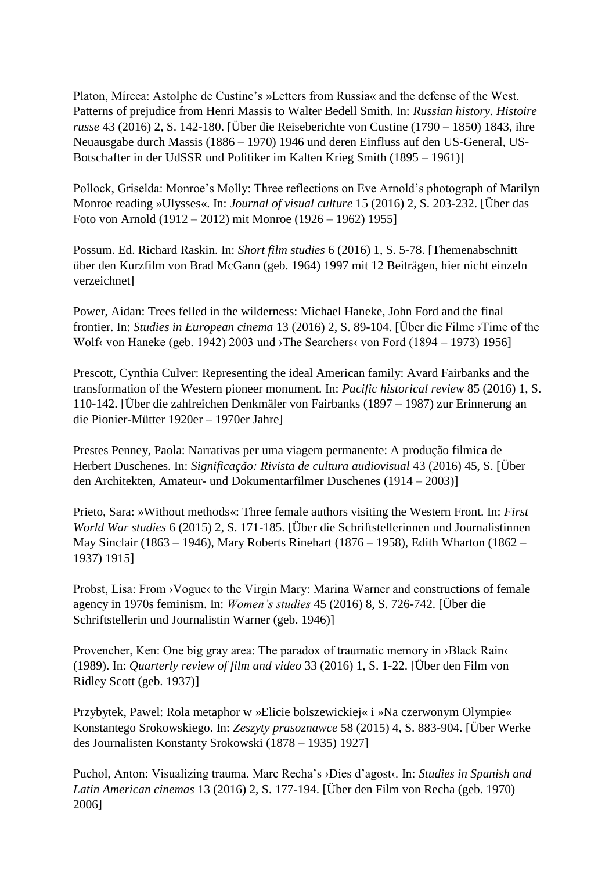Platon, Mírcea: Astolphe de Custine's »Letters from Russia« and the defense of the West. Patterns of prejudice from Henri Massis to Walter Bedell Smith. In: *Russian history. Histoire russe* 43 (2016) 2, S. 142-180. [Über die Reiseberichte von Custine (1790 – 1850) 1843, ihre Neuausgabe durch Massis (1886 – 1970) 1946 und deren Einfluss auf den US-General, US-Botschafter in der UdSSR und Politiker im Kalten Krieg Smith (1895 – 1961)]

Pollock, Griselda: Monroe's Molly: Three reflections on Eve Arnold's photograph of Marilyn Monroe reading »Ulysses«. In: *Journal of visual culture* 15 (2016) 2, S. 203-232. [Über das Foto von Arnold (1912 – 2012) mit Monroe (1926 – 1962) 1955]

Possum. Ed. Richard Raskin. In: *Short film studies* 6 (2016) 1, S. 5-78. [Themenabschnitt über den Kurzfilm von Brad McGann (geb. 1964) 1997 mit 12 Beiträgen, hier nicht einzeln verzeichnet]

Power, Aidan: Trees felled in the wilderness: Michael Haneke, John Ford and the final frontier. In: *Studies in European cinema* 13 (2016) 2, S. 89-104. [Über die Filme ›Time of the Wolf‹ von Haneke (geb. 1942) 2003 und ›The Searchers‹ von Ford (1894 – 1973) 1956]

Prescott, Cynthia Culver: Representing the ideal American family: Avard Fairbanks and the transformation of the Western pioneer monument. In: *Pacific historical review* 85 (2016) 1, S. 110-142. [Über die zahlreichen Denkmäler von Fairbanks (1897 – 1987) zur Erinnerung an die Pionier-Mütter 1920er – 1970er Jahre]

Prestes Penney, Paola: Narrativas per uma viagem permanente: A produção filmica de Herbert Duschenes. In: *Significação: Rivista de cultura audiovisual* 43 (2016) 45, S. [Über den Architekten, Amateur- und Dokumentarfilmer Duschenes (1914 – 2003)]

Prieto, Sara: »Without methods«: Three female authors visiting the Western Front. In: *First World War studies* 6 (2015) 2, S. 171-185. [Über die Schriftstellerinnen und Journalistinnen May Sinclair (1863 – 1946), Mary Roberts Rinehart (1876 – 1958), Edith Wharton (1862 – 1937) 1915]

Probst, Lisa: From > Vogue< to the Virgin Mary: Marina Warner and constructions of female agency in 1970s feminism. In: *Women's studies* 45 (2016) 8, S. 726-742. [Über die Schriftstellerin und Journalistin Warner (geb. 1946)]

Provencher, Ken: One big gray area: The paradox of traumatic memory in ›Black Rain‹ (1989). In: *Quarterly review of film and video* 33 (2016) 1, S. 1-22. [Über den Film von Ridley Scott (geb. 1937)]

Przybytek, Pawel: Rola metaphor w »Elicie bolszewickiej« i »Na czerwonym Olympie« Konstantego Srokowskiego. In: *Zeszyty prasoznawce* 58 (2015) 4, S. 883-904. [Über Werke des Journalisten Konstanty Srokowski (1878 – 1935) 1927]

Puchol, Anton: Visualizing trauma. Marc Recha's ›Dies d'agost‹. In: *Studies in Spanish and Latin American cinemas* 13 (2016) 2, S. 177-194. [Über den Film von Recha (geb. 1970) 2006]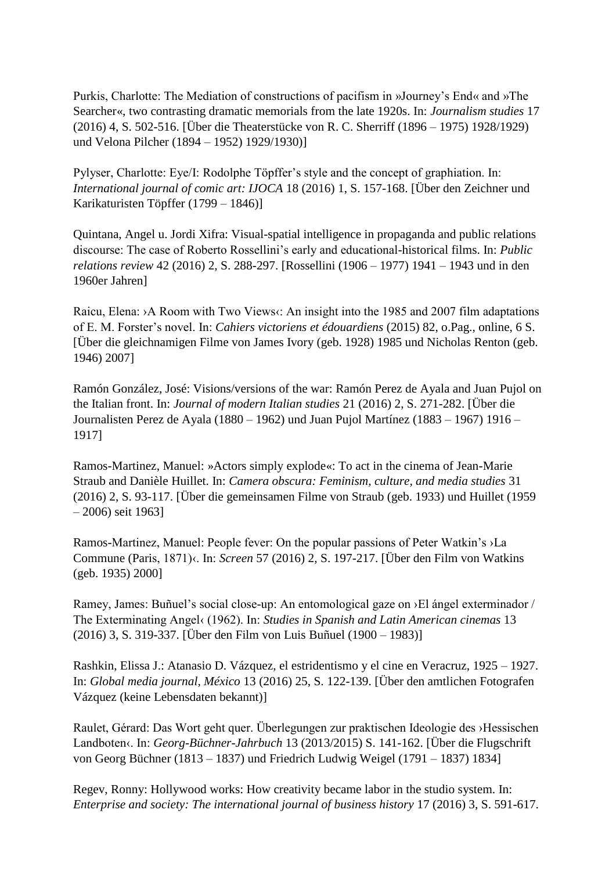Purkis, Charlotte: The Mediation of constructions of pacifism in »Journey's End« and »The Searcher«, two contrasting dramatic memorials from the late 1920s. In: *Journalism studies* 17 (2016) 4, S. 502-516. [Über die Theaterstücke von R. C. Sherriff (1896 – 1975) 1928/1929) und Velona Pilcher (1894 – 1952) 1929/1930)]

Pylyser, Charlotte: Eye/I: Rodolphe Töpffer's style and the concept of graphiation. In: *International journal of comic art: IJOCA* 18 (2016) 1, S. 157-168. [Über den Zeichner und Karikaturisten Töpffer (1799 – 1846)]

Quintana, Angel u. Jordi Xifra: Visual-spatial intelligence in propaganda and public relations discourse: The case of Roberto Rossellini's early and educational-historical films. In: *Public relations review* 42 (2016) 2, S. 288-297. [Rossellini (1906 – 1977) 1941 – 1943 und in den 1960er Jahren]

Raicu, Elena: >A Room with Two Views<: An insight into the 1985 and 2007 film adaptations of E. M. Forster's novel. In: *Cahiers victoriens et édouardiens* (2015) 82, o.Pag., online, 6 S. [Über die gleichnamigen Filme von James Ivory (geb. 1928) 1985 und Nicholas Renton (geb. 1946) 2007]

Ramón González, José: Visions/versions of the war: Ramón Perez de Ayala and Juan Pujol on the Italian front. In: *Journal of modern Italian studies* 21 (2016) 2, S. 271-282. [Über die Journalisten Perez de Ayala (1880 – 1962) und Juan Pujol Martínez (1883 – 1967) 1916 – 1917]

Ramos-Martinez, Manuel: »Actors simply explode«: To act in the cinema of Jean-Marie Straub and Danièle Huillet. In: *Camera obscura: Feminism, culture, and media studies* 31 (2016) 2, S. 93-117. [Über die gemeinsamen Filme von Straub (geb. 1933) und Huillet (1959 – 2006) seit 1963]

Ramos-Martinez, Manuel: People fever: On the popular passions of Peter Watkin's ›La Commune (Paris, 1871)‹. In: *Screen* 57 (2016) 2, S. 197-217. [Über den Film von Watkins (geb. 1935) 2000]

Ramey, James: Buñuel's social close-up: An entomological gaze on ›El ángel exterminador / The Exterminating Angel‹ (1962). In: *Studies in Spanish and Latin American cinemas* 13 (2016) 3, S. 319-337. [Über den Film von Luis Buñuel (1900 – 1983)]

Rashkin, Elissa J.: Atanasio D. Vázquez, el estridentismo y el cine en Veracruz, 1925 – 1927. In: *Global media journal, México* 13 (2016) 25, S. 122-139. [Über den amtlichen Fotografen Vázquez (keine Lebensdaten bekannt)]

Raulet, Gérard: Das Wort geht quer. Überlegungen zur praktischen Ideologie des ›Hessischen Landboten‹. In: *Georg-Büchner-Jahrbuch* 13 (2013/2015) S. 141-162. [Über die Flugschrift von Georg Büchner (1813 – 1837) und Friedrich Ludwig Weigel (1791 – 1837) 1834]

Regev, Ronny: Hollywood works: How creativity became labor in the studio system. In: *Enterprise and society: The international journal of business history* 17 (2016) 3, S. 591-617.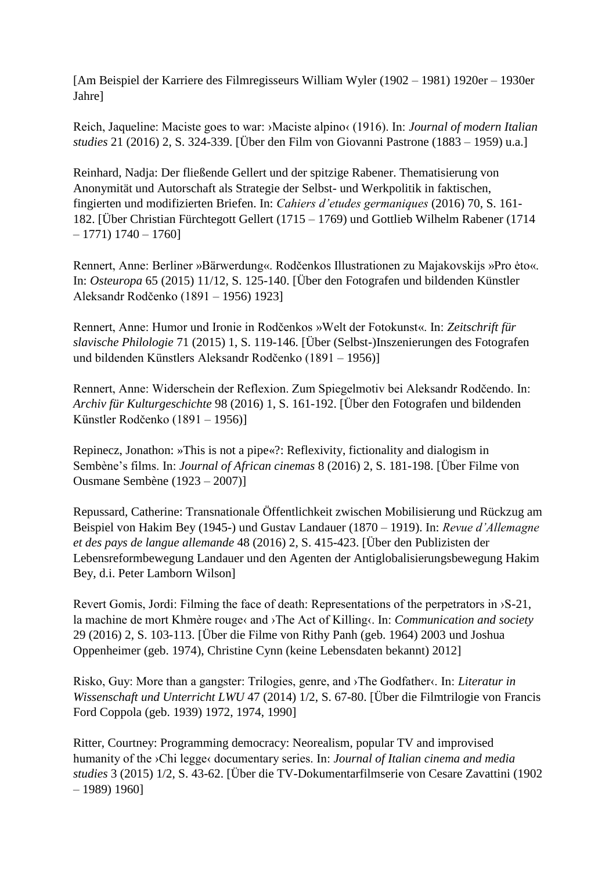[Am Beispiel der Karriere des Filmregisseurs William Wyler (1902 – 1981) 1920er – 1930er Jahre]

Reich, Jaqueline: Maciste goes to war: ›Maciste alpino‹ (1916). In: *Journal of modern Italian studies* 21 (2016) 2, S. 324-339. [Über den Film von Giovanni Pastrone (1883 – 1959) u.a.]

Reinhard, Nadja: Der fließende Gellert und der spitzige Rabener. Thematisierung von Anonymität und Autorschaft als Strategie der Selbst- und Werkpolitik in faktischen, fingierten und modifizierten Briefen. In: *Cahiers d'etudes germaniques* (2016) 70, S. 161- 182. [Über Christian Fürchtegott Gellert (1715 – 1769) und Gottlieb Wilhelm Rabener (1714  $-1771) 1740 - 1760$ 

Rennert, Anne: Berliner »Bärwerdung«. Rodčenkos Illustrationen zu Majakovskijs »Pro ėto«. In: *Osteuropa* 65 (2015) 11/12, S. 125-140. [Über den Fotografen und bildenden Künstler Aleksandr Rodčenko (1891 – 1956) 1923]

Rennert, Anne: Humor und Ironie in Rodčenkos »Welt der Fotokunst«. In: *Zeitschrift für slavische Philologie* 71 (2015) 1, S. 119-146. [Über (Selbst-)Inszenierungen des Fotografen und bildenden Künstlers Aleksandr Rodčenko (1891 – 1956)]

Rennert, Anne: Widerschein der Reflexion. Zum Spiegelmotiv bei Aleksandr Rodčendo. In: *Archiv für Kulturgeschichte* 98 (2016) 1, S. 161-192. [Über den Fotografen und bildenden Künstler Rodčenko (1891 – 1956)]

Repinecz, Jonathon: »This is not a pipe«?: Reflexivity, fictionality and dialogism in Sembène's films. In: *Journal of African cinemas* 8 (2016) 2, S. 181-198. [Über Filme von Ousmane Sembène (1923 – 2007)]

Repussard, Catherine: Transnationale Öffentlichkeit zwischen Mobilisierung und Rückzug am Beispiel von Hakim Bey (1945-) und Gustav Landauer (1870 – 1919). In: *Revue d'Allemagne et des pays de langue allemande* 48 (2016) 2, S. 415-423. [Über den Publizisten der Lebensreformbewegung Landauer und den Agenten der Antiglobalisierungsbewegung Hakim Bey, d.i. Peter Lamborn Wilson]

Revert Gomis, Jordi: Filming the face of death: Representations of the perpetrators in ›S-21, la machine de mort Khmère rouge‹ and ›The Act of Killing‹. In: *Communication and society*  29 (2016) 2, S. 103-113. [Über die Filme von Rithy Panh (geb. 1964) 2003 und Joshua Oppenheimer (geb. 1974), Christine Cynn (keine Lebensdaten bekannt) 2012]

Risko, Guy: More than a gangster: Trilogies, genre, and ›The Godfather‹. In: *Literatur in Wissenschaft und Unterricht LWU* 47 (2014) 1/2, S. 67-80. [Über die Filmtrilogie von Francis Ford Coppola (geb. 1939) 1972, 1974, 1990]

Ritter, Courtney: Programming democracy: Neorealism, popular TV and improvised humanity of the ›Chi legge‹ documentary series. In: *Journal of Italian cinema and media studies* 3 (2015) 1/2, S. 43-62. [Über die TV-Dokumentarfilmserie von Cesare Zavattini (1902 – 1989) 1960]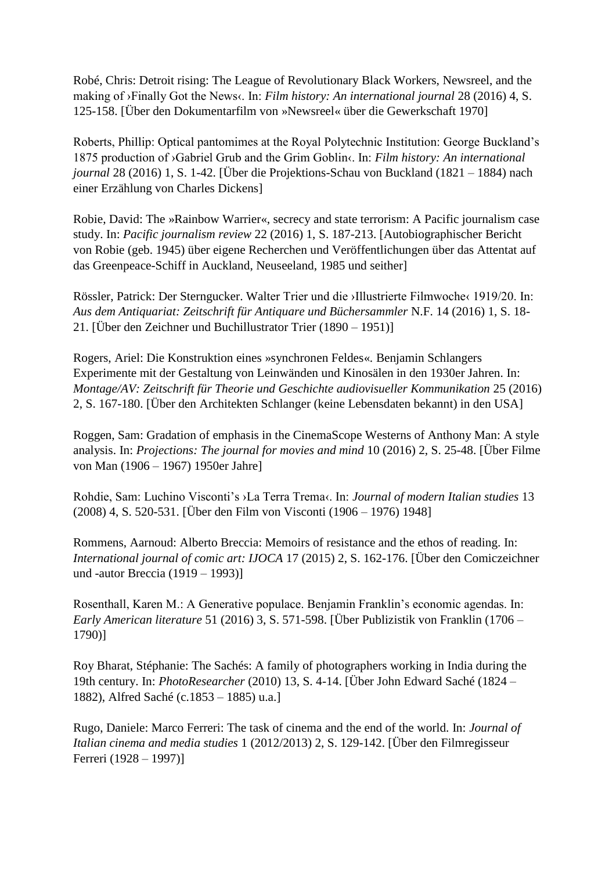Robé, Chris: Detroit rising: The League of Revolutionary Black Workers, Newsreel, and the making of ›Finally Got the News‹. In: *Film history: An international journal* 28 (2016) 4, S. 125-158. [Über den Dokumentarfilm von »Newsreel« über die Gewerkschaft 1970]

Roberts, Phillip: Optical pantomimes at the Royal Polytechnic Institution: George Buckland's 1875 production of ›Gabriel Grub and the Grim Goblin‹. In: *Film history: An international journal* 28 (2016) 1, S. 1-42. [Über die Projektions-Schau von Buckland (1821 – 1884) nach einer Erzählung von Charles Dickens]

Robie, David: The »Rainbow Warrier«, secrecy and state terrorism: A Pacific journalism case study. In: *Pacific journalism review* 22 (2016) 1, S. 187-213. [Autobiographischer Bericht von Robie (geb. 1945) über eigene Recherchen und Veröffentlichungen über das Attentat auf das Greenpeace-Schiff in Auckland, Neuseeland, 1985 und seither]

Rössler, Patrick: Der Sterngucker. Walter Trier und die ›Illustrierte Filmwoche‹ 1919/20. In: *Aus dem Antiquariat: Zeitschrift für Antiquare und Büchersammler* N.F. 14 (2016) 1, S. 18- 21. [Über den Zeichner und Buchillustrator Trier (1890 – 1951)]

Rogers, Ariel: Die Konstruktion eines »synchronen Feldes«. Benjamin Schlangers Experimente mit der Gestaltung von Leinwänden und Kinosälen in den 1930er Jahren. In: *Montage/AV: Zeitschrift für Theorie und Geschichte audiovisueller Kommunikation 25 (2016)* 2, S. 167-180. [Über den Architekten Schlanger (keine Lebensdaten bekannt) in den USA]

Roggen, Sam: Gradation of emphasis in the CinemaScope Westerns of Anthony Man: A style analysis. In: *Projections: The journal for movies and mind* 10 (2016) 2, S. 25-48. [Über Filme von Man (1906 – 1967) 1950er Jahre]

Rohdie, Sam: Luchino Visconti's ›La Terra Trema‹. In: *Journal of modern Italian studies* 13 (2008) 4, S. 520-531. [Über den Film von Visconti (1906 – 1976) 1948]

Rommens, Aarnoud: Alberto Breccia: Memoirs of resistance and the ethos of reading. In: *International journal of comic art: IJOCA* 17 (2015) 2, S. 162-176. [Über den Comiczeichner und -autor Breccia (1919 – 1993)]

Rosenthall, Karen M.: A Generative populace. Benjamin Franklin's economic agendas. In: *Early American literature* 51 (2016) 3, S. 571-598. [Über Publizistik von Franklin (1706 – 1790)]

Roy Bharat, Stéphanie: The Sachés: A family of photographers working in India during the 19th century. In: *PhotoResearcher* (2010) 13, S. 4-14. [Über John Edward Saché (1824 – 1882), Alfred Saché (c.1853 – 1885) u.a.]

Rugo, Daniele: Marco Ferreri: The task of cinema and the end of the world. In: *Journal of Italian cinema and media studies* 1 (2012/2013) 2, S. 129-142. [Über den Filmregisseur Ferreri (1928 – 1997)]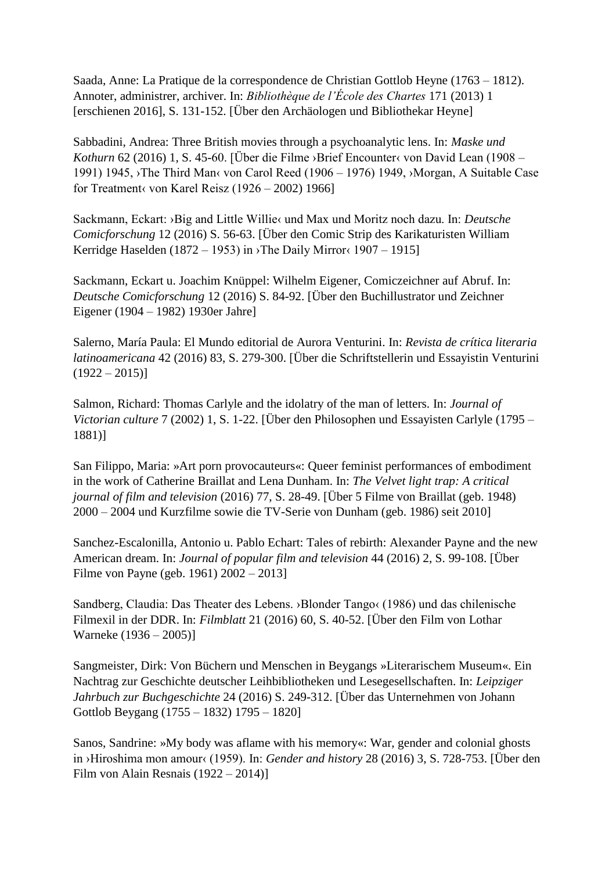Saada, Anne: La Pratique de la correspondence de Christian Gottlob Heyne (1763 – 1812). Annoter, administrer, archiver. In: *Bibliothèque de l'École des Chartes* 171 (2013) 1 [erschienen 2016], S. 131-152. [Über den Archäologen und Bibliothekar Heyne]

Sabbadini, Andrea: Three British movies through a psychoanalytic lens. In: *Maske und Kothurn* 62 (2016) 1, S. 45-60. [Über die Filme ›Brief Encounter‹ von David Lean (1908 – 1991) 1945, ›The Third Man‹ von Carol Reed (1906 – 1976) 1949, ›Morgan, A Suitable Case for Treatment<br/> $\langle$  von Karel Reisz (1926 – 2002) 1966]

Sackmann, Eckart: ›Big and Little Willie‹ und Max und Moritz noch dazu. In: *Deutsche Comicforschung* 12 (2016) S. 56-63. [Über den Comic Strip des Karikaturisten William Kerridge Haselden (1872 – 1953) in > The Daily Mirror(1907 – 1915]

Sackmann, Eckart u. Joachim Knüppel: Wilhelm Eigener, Comiczeichner auf Abruf. In: *Deutsche Comicforschung* 12 (2016) S. 84-92. [Über den Buchillustrator und Zeichner Eigener (1904 – 1982) 1930er Jahre]

Salerno, María Paula: El Mundo editorial de Aurora Venturini. In: *Revista de crítica literaria latinoamericana* 42 (2016) 83, S. 279-300. [Über die Schriftstellerin und Essayistin Venturini  $(1922 - 2015)$ 

Salmon, Richard: Thomas Carlyle and the idolatry of the man of letters. In: *Journal of Victorian culture* 7 (2002) 1, S. 1-22. [Über den Philosophen und Essayisten Carlyle (1795 – 1881)]

San Filippo, Maria: »Art porn provocauteurs«: Queer feminist performances of embodiment in the work of Catherine Braillat and Lena Dunham. In: *The Velvet light trap: A critical journal of film and television* (2016) 77, S. 28-49. [Über 5 Filme von Braillat (geb. 1948) 2000 – 2004 und Kurzfilme sowie die TV-Serie von Dunham (geb. 1986) seit 2010]

Sanchez-Escalonilla, Antonio u. Pablo Echart: Tales of rebirth: Alexander Payne and the new American dream. In: *Journal of popular film and television* 44 (2016) 2, S. 99-108. [Über Filme von Payne (geb. 1961) 2002 – 2013]

Sandberg, Claudia: Das Theater des Lebens. ›Blonder Tango‹ (1986) und das chilenische Filmexil in der DDR. In: *Filmblatt* 21 (2016) 60, S. 40-52. [Über den Film von Lothar Warneke (1936 – 2005)]

Sangmeister, Dirk: Von Büchern und Menschen in Beygangs »Literarischem Museum«. Ein Nachtrag zur Geschichte deutscher Leihbibliotheken und Lesegesellschaften. In: *Leipziger Jahrbuch zur Buchgeschichte* 24 (2016) S. 249-312. [Über das Unternehmen von Johann Gottlob Beygang (1755 – 1832) 1795 – 1820]

Sanos, Sandrine: »My body was aflame with his memory«: War, gender and colonial ghosts in ›Hiroshima mon amour‹ (1959). In: *Gender and history* 28 (2016) 3, S. 728-753. [Über den Film von Alain Resnais (1922 – 2014)]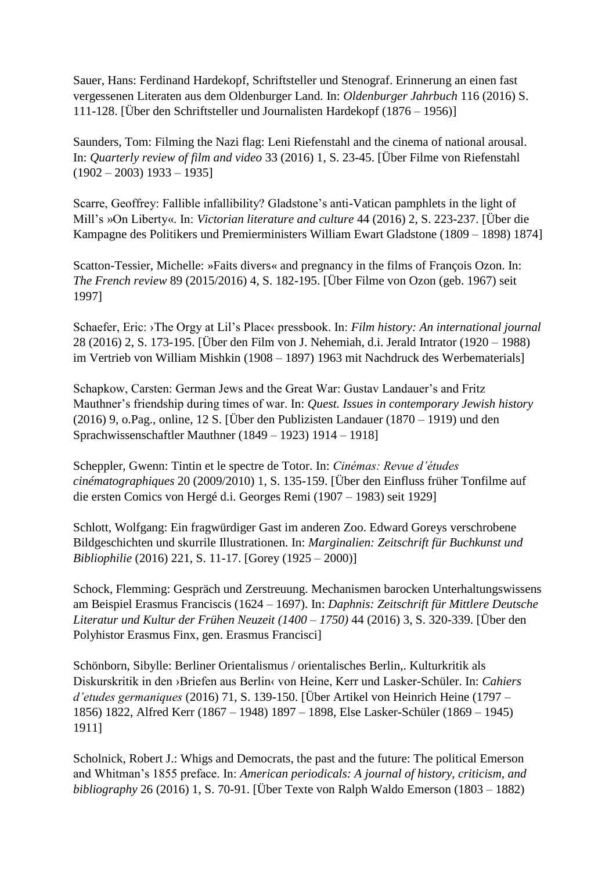Sauer, Hans: Ferdinand Hardekopf, Schriftsteller und Stenograf. Erinnerung an einen fast vergessenen Literaten aus dem Oldenburger Land. In: *Oldenburger Jahrbuch* 116 (2016) S. 111-128. [Über den Schriftsteller und Journalisten Hardekopf (1876 – 1956)]

Saunders, Tom: Filming the Nazi flag: Leni Riefenstahl and the cinema of national arousal. In: *Quarterly review of film and video* 33 (2016) 1, S. 23-45. [Über Filme von Riefenstahl  $(1902 - 2003)$  1933 – 1935]

Scarre, Geoffrey: Fallible infallibility? Gladstone's anti-Vatican pamphlets in the light of Mill's »On Liberty«. In: *Victorian literature and culture* 44 (2016) 2, S. 223-237. [Über die Kampagne des Politikers und Premierministers William Ewart Gladstone (1809 – 1898) 1874]

Scatton-Tessier, Michelle: »Faits divers« and pregnancy in the films of François Ozon. In: *The French review* 89 (2015/2016) 4, S. 182-195. [Über Filme von Ozon (geb. 1967) seit 1997]

Schaefer, Eric: ›The Orgy at Lil's Place‹ pressbook. In: *Film history: An international journal* 28 (2016) 2, S. 173-195. [Über den Film von J. Nehemiah, d.i. Jerald Intrator (1920 – 1988) im Vertrieb von William Mishkin (1908 – 1897) 1963 mit Nachdruck des Werbematerials]

Schapkow, Carsten: German Jews and the Great War: Gustav Landauer's and Fritz Mauthner's friendship during times of war. In: *Quest. Issues in contemporary Jewish history* (2016) 9, o.Pag., online, 12 S. [Über den Publizisten Landauer (1870 – 1919) und den Sprachwissenschaftler Mauthner (1849 – 1923) 1914 – 1918]

Scheppler, Gwenn: Tintin et le spectre de Totor. In: *Cinémas: Revue d'études cinématographiques* 20 (2009/2010) 1, S. 135-159. [Über den Einfluss früher Tonfilme auf die ersten Comics von Hergé d.i. Georges Remi (1907 – 1983) seit 1929]

Schlott, Wolfgang: Ein fragwürdiger Gast im anderen Zoo. Edward Goreys verschrobene Bildgeschichten und skurrile Illustrationen. In: *Marginalien: Zeitschrift für Buchkunst und Bibliophilie* (2016) 221, S. 11-17. [Gorey (1925 – 2000)]

Schock, Flemming: Gespräch und Zerstreuung. Mechanismen barocken Unterhaltungswissens am Beispiel Erasmus Franciscis (1624 – 1697). In: *Daphnis: Zeitschrift für Mittlere Deutsche Literatur und Kultur der Frühen Neuzeit (1400 – 1750)* 44 (2016) 3, S. 320-339. [Über den Polyhistor Erasmus Finx, gen. Erasmus Francisci]

Schönborn, Sibylle: Berliner Orientalismus / orientalisches Berlin,. Kulturkritik als Diskurskritik in den ›Briefen aus Berlin‹ von Heine, Kerr und Lasker-Schüler. In: *Cahiers d'etudes germaniques* (2016) 71, S. 139-150. [Über Artikel von Heinrich Heine (1797 – 1856) 1822, Alfred Kerr (1867 – 1948) 1897 – 1898, Else Lasker-Schüler (1869 – 1945) 1911]

Scholnick, Robert J.: Whigs and Democrats, the past and the future: The political Emerson and Whitman's 1855 preface. In: *American periodicals: A journal of history, criticism, and bibliography* 26 (2016) 1, S. 70-91. [Über Texte von Ralph Waldo Emerson (1803 – 1882)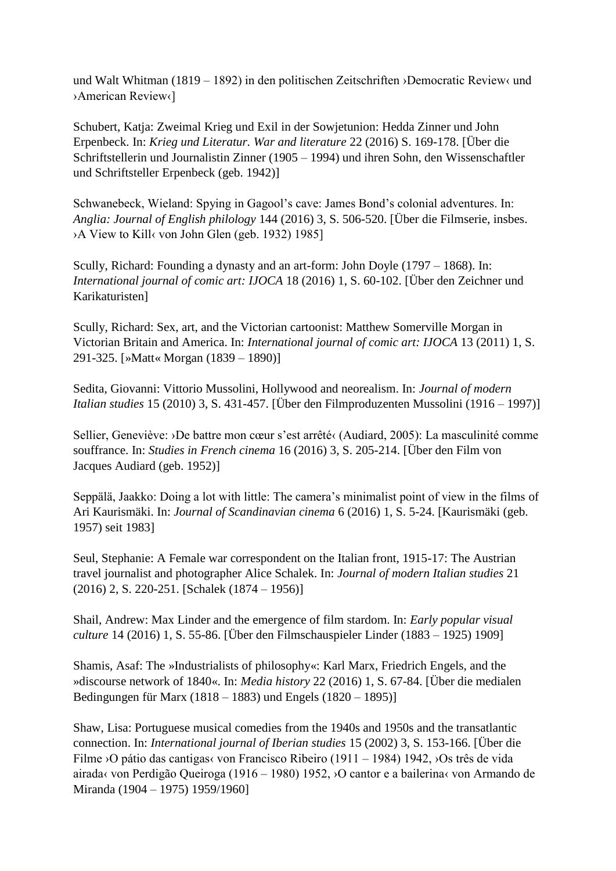und Walt Whitman (1819 – 1892) in den politischen Zeitschriften ›Democratic Review‹ und ›American Review‹]

Schubert, Katja: Zweimal Krieg und Exil in der Sowjetunion: Hedda Zinner und John Erpenbeck. In: *Krieg und Literatur. War and literature* 22 (2016) S. 169-178. [Über die Schriftstellerin und Journalistin Zinner (1905 – 1994) und ihren Sohn, den Wissenschaftler und Schriftsteller Erpenbeck (geb. 1942)]

Schwanebeck, Wieland: Spying in Gagool's cave: James Bond's colonial adventures. In: *Anglia: Journal of English philology* 144 (2016) 3, S. 506-520. [Über die Filmserie, insbes. ›A View to Kill‹ von John Glen (geb. 1932) 1985]

Scully, Richard: Founding a dynasty and an art-form: John Doyle (1797 – 1868). In: *International journal of comic art: IJOCA* 18 (2016) 1, S. 60-102. [Über den Zeichner und Karikaturisten]

Scully, Richard: Sex, art, and the Victorian cartoonist: Matthew Somerville Morgan in Victorian Britain and America. In: *International journal of comic art: IJOCA* 13 (2011) 1, S. 291-325. [»Matt« Morgan (1839 – 1890)]

Sedita, Giovanni: Vittorio Mussolini, Hollywood and neorealism. In: *Journal of modern Italian studies* 15 (2010) 3, S. 431-457. [Über den Filmproduzenten Mussolini (1916 – 1997)]

Sellier, Geneviève: ›De battre mon cœur s'est arrêté‹ (Audiard, 2005): La masculinité comme souffrance. In: *Studies in French cinema* 16 (2016) 3, S. 205-214. [Über den Film von Jacques Audiard (geb. 1952)]

Seppälä, Jaakko: Doing a lot with little: The camera's minimalist point of view in the films of Ari Kaurismäki. In: *Journal of Scandinavian cinema* 6 (2016) 1, S. 5-24. [Kaurismäki (geb. 1957) seit 1983]

Seul, Stephanie: A Female war correspondent on the Italian front, 1915-17: The Austrian travel journalist and photographer Alice Schalek. In: *Journal of modern Italian studies* 21 (2016) 2, S. 220-251. [Schalek (1874 – 1956)]

Shail, Andrew: Max Linder and the emergence of film stardom. In: *Early popular visual culture* 14 (2016) 1, S. 55-86. [Über den Filmschauspieler Linder (1883 – 1925) 1909]

Shamis, Asaf: The »Industrialists of philosophy«: Karl Marx, Friedrich Engels, and the »discourse network of 1840«. In: *Media history* 22 (2016) 1, S. 67-84. [Über die medialen Bedingungen für Marx (1818 – 1883) und Engels (1820 – 1895)]

Shaw, Lisa: Portuguese musical comedies from the 1940s and 1950s and the transatlantic connection. In: *International journal of Iberian studies* 15 (2002) 3, S. 153-166. [Über die Filme ›O pátio das cantigas‹ von Francisco Ribeiro (1911 – 1984) 1942, ›Os três de vida airada‹ von Perdigão Queiroga (1916 – 1980) 1952, ›O cantor e a bailerina‹ von Armando de Miranda (1904 – 1975) 1959/1960]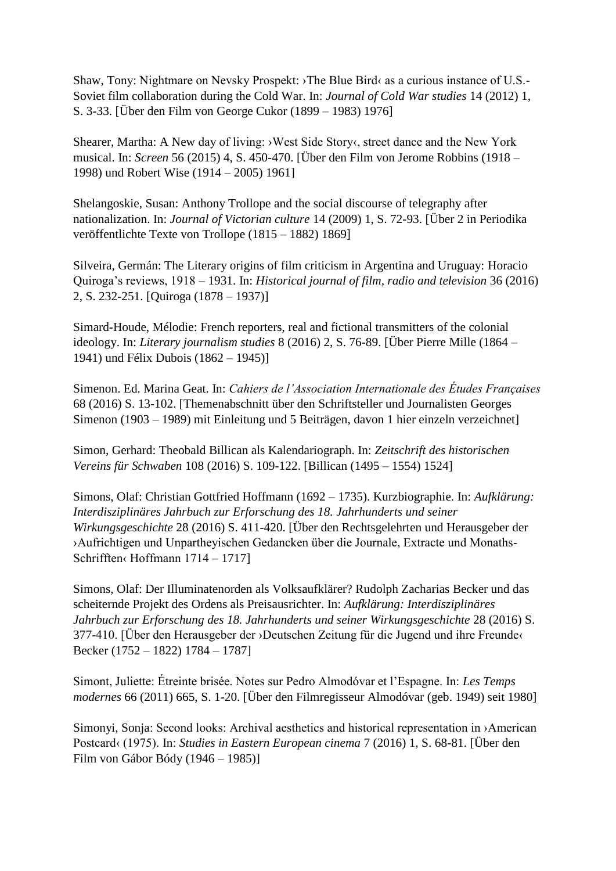Shaw, Tony: Nightmare on Nevsky Prospekt: ›The Blue Bird‹ as a curious instance of U.S.- Soviet film collaboration during the Cold War. In: *Journal of Cold War studies* 14 (2012) 1, S. 3-33. [Über den Film von George Cukor (1899 – 1983) 1976]

Shearer, Martha: A New day of living: ›West Side Story‹, street dance and the New York musical. In: *Screen* 56 (2015) 4, S. 450-470. [Über den Film von Jerome Robbins (1918 – 1998) und Robert Wise (1914 – 2005) 1961]

Shelangoskie, Susan: Anthony Trollope and the social discourse of telegraphy after nationalization. In: *Journal of Victorian culture* 14 (2009) 1, S. 72-93. [Über 2 in Periodika veröffentlichte Texte von Trollope (1815 – 1882) 1869]

Silveira, Germán: The Literary origins of film criticism in Argentina and Uruguay: Horacio Quiroga's reviews, 1918 – 1931. In: *Historical journal of film, radio and television* 36 (2016) 2, S. 232-251. [Quiroga (1878 – 1937)]

Simard-Houde, Mélodie: French reporters, real and fictional transmitters of the colonial ideology. In: *Literary journalism studies* 8 (2016) 2, S. 76-89. [Über Pierre Mille (1864 – 1941) und Félix Dubois (1862 – 1945)]

Simenon. Ed. Marina Geat. In: *Cahiers de l'Association Internationale des Études Françaises* 68 (2016) S. 13-102. [Themenabschnitt über den Schriftsteller und Journalisten Georges Simenon (1903 – 1989) mit Einleitung und 5 Beiträgen, davon 1 hier einzeln verzeichnet]

Simon, Gerhard: Theobald Billican als Kalendariograph. In: *Zeitschrift des historischen Vereins für Schwaben* 108 (2016) S. 109-122. [Billican (1495 – 1554) 1524]

Simons, Olaf: Christian Gottfried Hoffmann (1692 – 1735). Kurzbiographie. In: *Aufklärung: Interdisziplinäres Jahrbuch zur Erforschung des 18. Jahrhunderts und seiner Wirkungsgeschichte* 28 (2016) S. 411-420. [Über den Rechtsgelehrten und Herausgeber der ›Aufrichtigen und Unpartheyischen Gedancken über die Journale, Extracte und Monaths-Schrifften‹ Hoffmann 1714 – 1717]

Simons, Olaf: Der Illuminatenorden als Volksaufklärer? Rudolph Zacharias Becker und das scheiternde Projekt des Ordens als Preisausrichter. In: *Aufklärung: Interdisziplinäres Jahrbuch zur Erforschung des 18. Jahrhunderts und seiner Wirkungsgeschichte* 28 (2016) S. 377-410. [Über den Herausgeber der ›Deutschen Zeitung für die Jugend und ihre Freunde‹ Becker (1752 – 1822) 1784 – 1787]

Simont, Juliette: Étreinte brisée. Notes sur Pedro Almodóvar et l'Espagne. In: *Les Temps modernes* 66 (2011) 665, S. 1-20. [Über den Filmregisseur Almodóvar (geb. 1949) seit 1980]

Simonyi, Sonja: Second looks: Archival aesthetics and historical representation in ›American Postcard‹ (1975). In: *Studies in Eastern European cinema* 7 (2016) 1, S. 68-81. [Über den Film von Gábor Bódy (1946 – 1985)]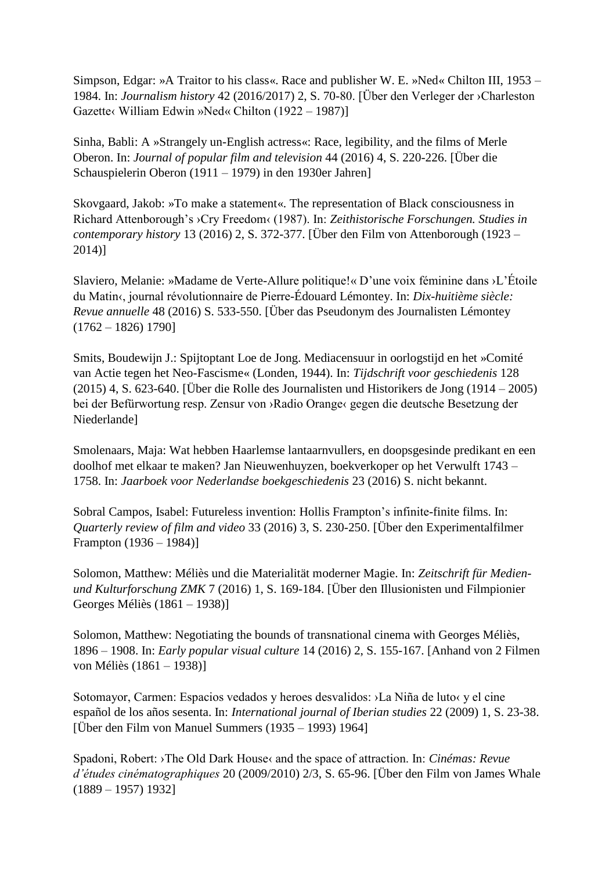Simpson, Edgar: »A Traitor to his class«. Race and publisher W. E. »Ned« Chilton III, 1953 – 1984. In: *Journalism history* 42 (2016/2017) 2, S. 70-80. [Über den Verleger der ›Charleston Gazette‹ William Edwin »Ned« Chilton (1922 – 1987)]

Sinha, Babli: A »Strangely un-English actress«: Race, legibility, and the films of Merle Oberon. In: *Journal of popular film and television* 44 (2016) 4, S. 220-226. [Über die Schauspielerin Oberon (1911 – 1979) in den 1930er Jahren]

Skovgaard, Jakob: »To make a statement«. The representation of Black consciousness in Richard Attenborough's ›Cry Freedom‹ (1987). In: *Zeithistorische Forschungen. Studies in contemporary history* 13 (2016) 2, S. 372-377. [Über den Film von Attenborough (1923 – 2014)]

Slaviero, Melanie: »Madame de Verte-Allure politique!« D'une voix féminine dans ›L'Étoile du Matin‹, journal révolutionnaire de Pierre-Édouard Lémontey. In: *Dix-huitième siècle: Revue annuelle* 48 (2016) S. 533-550. [Über das Pseudonym des Journalisten Lémontey  $(1762 - 1826)$  1790]

Smits, Boudewijn J.: Spijtoptant Loe de Jong. Mediacensuur in oorlogstijd en het »Comité van Actie tegen het Neo-Fascisme« (Londen, 1944). In: *Tijdschrift voor geschiedenis* 128 (2015) 4, S. 623-640. [Über die Rolle des Journalisten und Historikers de Jong (1914 – 2005) bei der Befürwortung resp. Zensur von ›Radio Orange‹ gegen die deutsche Besetzung der Niederlande]

Smolenaars, Maja: Wat hebben Haarlemse lantaarnvullers, en doopsgesinde predikant en een doolhof met elkaar te maken? Jan Nieuwenhuyzen, boekverkoper op het Verwulft 1743 – 1758. In: *Jaarboek voor Nederlandse boekgeschiedenis* 23 (2016) S. nicht bekannt.

Sobral Campos, Isabel: Futureless invention: Hollis Frampton's infinite-finite films. In: *Quarterly review of film and video* 33 (2016) 3, S. 230-250. [Über den Experimentalfilmer Frampton (1936 – 1984)]

Solomon, Matthew: Méliès und die Materialität moderner Magie. In: *Zeitschrift für Medienund Kulturforschung ZMK* 7 (2016) 1, S. 169-184. [Über den Illusionisten und Filmpionier Georges Méliès (1861 – 1938)]

Solomon, Matthew: Negotiating the bounds of transnational cinema with Georges Méliès, 1896 – 1908. In: *Early popular visual culture* 14 (2016) 2, S. 155-167. [Anhand von 2 Filmen von Méliès (1861 – 1938)]

Sotomayor, Carmen: Espacios vedados y heroes desvalidos: ›La Niña de luto‹ y el cine español de los años sesenta. In: *International journal of Iberian studies* 22 (2009) 1, S. 23-38. [Über den Film von Manuel Summers  $(1935 - 1993)$  1964]

Spadoni, Robert: ›The Old Dark House‹ and the space of attraction. In: *Cinémas: Revue d'études cinématographiques* 20 (2009/2010) 2/3, S. 65-96. [Über den Film von James Whale (1889 – 1957) 1932]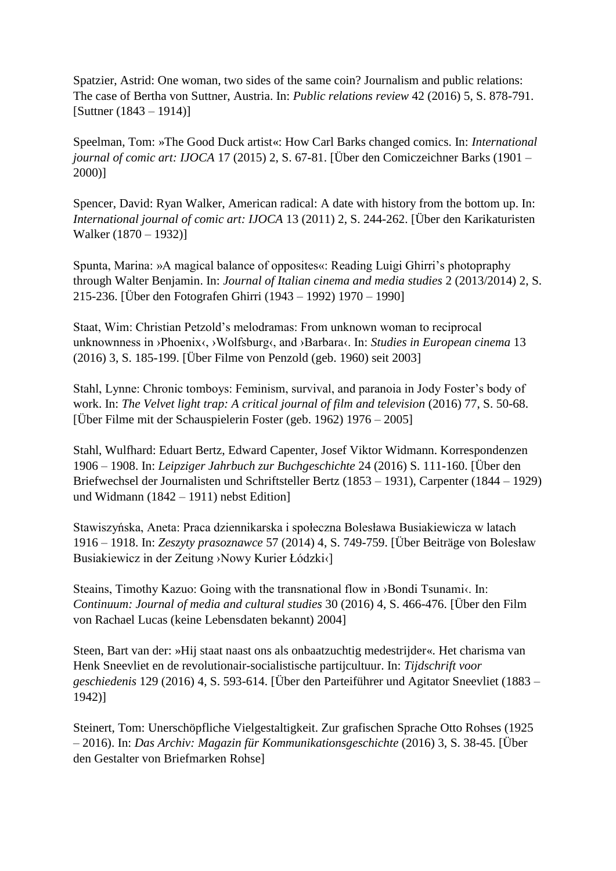Spatzier, Astrid: One woman, two sides of the same coin? Journalism and public relations: The case of Bertha von Suttner, Austria. In: *Public relations review* 42 (2016) 5, S. 878-791. [Suttner (1843 – 1914)]

Speelman, Tom: »The Good Duck artist«: How Carl Barks changed comics. In: *International journal of comic art: IJOCA* 17 (2015) 2, S. 67-81. [Über den Comiczeichner Barks (1901 – 2000)]

Spencer, David: Ryan Walker, American radical: A date with history from the bottom up. In: *International journal of comic art: IJOCA* 13 (2011) 2, S. 244-262. [Über den Karikaturisten Walker (1870 – 1932)]

Spunta, Marina: »A magical balance of opposites«: Reading Luigi Ghirri's photopraphy through Walter Benjamin. In: *Journal of Italian cinema and media studies* 2 (2013/2014) 2, S. 215-236. [Über den Fotografen Ghirri (1943 – 1992) 1970 – 1990]

Staat, Wim: Christian Petzold's melodramas: From unknown woman to reciprocal unknownness in ›Phoenix‹, ›Wolfsburg‹, and ›Barbara‹. In: *Studies in European cinema* 13 (2016) 3, S. 185-199. [Über Filme von Penzold (geb. 1960) seit 2003]

Stahl, Lynne: Chronic tomboys: Feminism, survival, and paranoia in Jody Foster's body of work. In: *The Velvet light trap: A critical journal of film and television* (2016) 77, S. 50-68. [Über Filme mit der Schauspielerin Foster (geb. 1962) 1976 – 2005]

Stahl, Wulfhard: Eduart Bertz, Edward Capenter, Josef Viktor Widmann. Korrespondenzen 1906 – 1908. In: *Leipziger Jahrbuch zur Buchgeschichte* 24 (2016) S. 111-160. [Über den Briefwechsel der Journalisten und Schriftsteller Bertz (1853 – 1931), Carpenter (1844 – 1929) und Widmann (1842 – 1911) nebst Edition]

Stawiszyńska, Aneta: Praca dziennikarska i społeczna Bolesława Busiakiewicza w latach 1916 – 1918. In: Zeszyty prasoznawce 57 (2014) 4, S. 749-759. [Über Beiträge von Bolesław Busiakiewicz in der Zeitung ›Nowy Kurier Łódzki‹]

Steains, Timothy Kazuo: Going with the transnational flow in > Bondi Tsunami<. In: *Continuum: Journal of media and cultural studies* 30 (2016) 4, S. 466-476. [Über den Film von Rachael Lucas (keine Lebensdaten bekannt) 2004]

Steen, Bart van der: »Hij staat naast ons als onbaatzuchtig medestrijder«. Het charisma van Henk Sneevliet en de revolutionair-socialistische partijcultuur. In: *Tijdschrift voor geschiedenis* 129 (2016) 4, S. 593-614. [Über den Parteiführer und Agitator Sneevliet (1883 – 1942)]

Steinert, Tom: Unerschöpfliche Vielgestaltigkeit. Zur grafischen Sprache Otto Rohses (1925 – 2016). In: *Das Archiv: Magazin für Kommunikationsgeschichte* (2016) 3, S. 38-45. [Über den Gestalter von Briefmarken Rohse]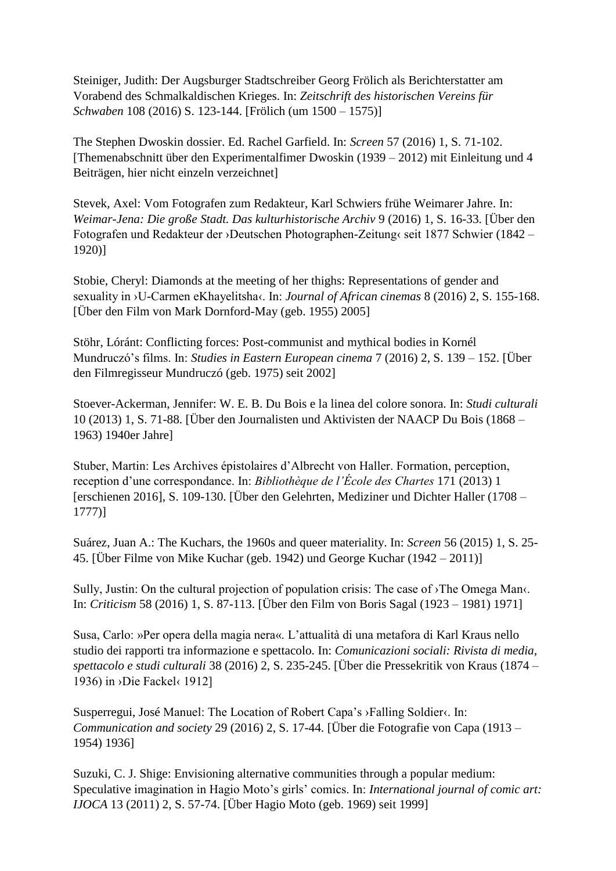Steiniger, Judith: Der Augsburger Stadtschreiber Georg Frölich als Berichterstatter am Vorabend des Schmalkaldischen Krieges. In: *Zeitschrift des historischen Vereins für Schwaben* 108 (2016) S. 123-144. [Frölich (um 1500 – 1575)]

The Stephen Dwoskin dossier. Ed. Rachel Garfield. In: *Screen* 57 (2016) 1, S. 71-102. [Themenabschnitt über den Experimentalfimer Dwoskin (1939 – 2012) mit Einleitung und 4 Beiträgen, hier nicht einzeln verzeichnet]

Stevek, Axel: Vom Fotografen zum Redakteur, Karl Schwiers frühe Weimarer Jahre. In: *Weimar-Jena: Die große Stadt. Das kulturhistorische Archiv* 9 (2016) 1, S. 16-33. [Über den Fotografen und Redakteur der ›Deutschen Photographen-Zeitung‹ seit 1877 Schwier (1842 – 1920)]

Stobie, Cheryl: Diamonds at the meeting of her thighs: Representations of gender and sexuality in ›U-Carmen eKhayelitsha‹. In: *Journal of African cinemas* 8 (2016) 2, S. 155-168. [Über den Film von Mark Dornford-May (geb. 1955) 2005]

Stöhr, Lóránt: Conflicting forces: Post-communist and mythical bodies in Kornél Mundruczó's films. In: *Studies in Eastern European cinema* 7 (2016) 2, S. 139 – 152. [Über den Filmregisseur Mundruczó (geb. 1975) seit 2002]

Stoever-Ackerman, Jennifer: W. E. B. Du Bois e la linea del colore sonora. In: *Studi culturali* 10 (2013) 1, S. 71-88. [Über den Journalisten und Aktivisten der NAACP Du Bois (1868 – 1963) 1940er Jahre]

Stuber, Martin: Les Archives épistolaires d'Albrecht von Haller. Formation, perception, reception d'une correspondance. In: *Bibliothèque de l'École des Chartes* 171 (2013) 1 [erschienen 2016], S. 109-130. [Über den Gelehrten, Mediziner und Dichter Haller (1708 – 1777)]

Suárez, Juan A.: The Kuchars, the 1960s and queer materiality. In: *Screen* 56 (2015) 1, S. 25- 45. [Über Filme von Mike Kuchar (geb. 1942) und George Kuchar (1942 – 2011)]

Sully, Justin: On the cultural projection of population crisis: The case of ›The Omega Man‹. In: *Criticism* 58 (2016) 1, S. 87-113. [Über den Film von Boris Sagal (1923 – 1981) 1971]

Susa, Carlo: »Per opera della magia nera«. L'attualità di una metafora di Karl Kraus nello studio dei rapporti tra informazione e spettacolo. In: *Comunicazioni sociali: Rivista di media, spettacolo e studi culturali* 38 (2016) 2, S. 235-245. [Über die Pressekritik von Kraus (1874 – 1936) in ›Die Fackel‹ 1912]

Susperregui, José Manuel: The Location of Robert Capa's ›Falling Soldier‹. In: *Communication and society* 29 (2016) 2, S. 17-44. [Über die Fotografie von Capa (1913 – 1954) 1936]

Suzuki, C. J. Shige: Envisioning alternative communities through a popular medium: Speculative imagination in Hagio Moto's girls' comics. In: *International journal of comic art: IJOCA* 13 (2011) 2, S. 57-74. [Über Hagio Moto (geb. 1969) seit 1999]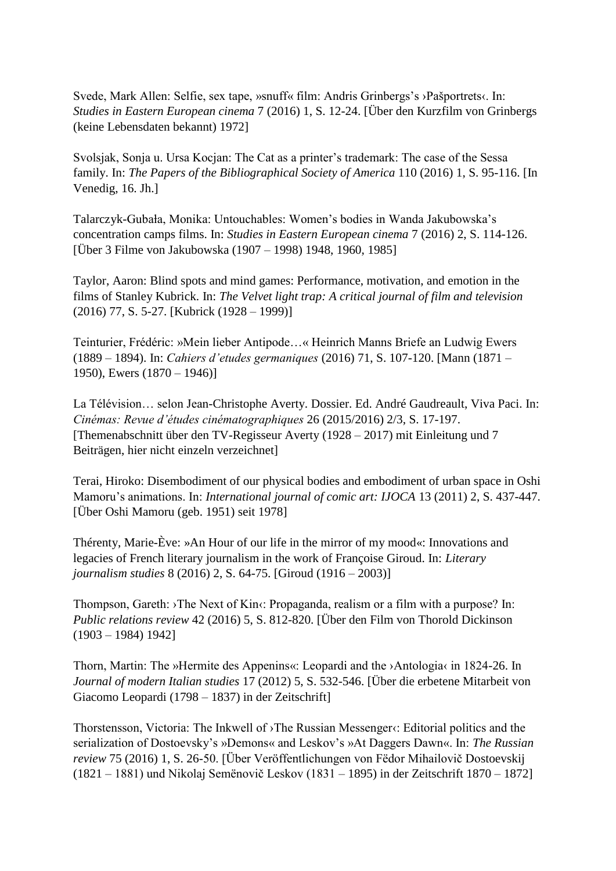Svede, Mark Allen: Selfie, sex tape, »snuff« film: Andris Grinbergs's ›Pašportrets‹. In: *Studies in Eastern European cinema* 7 (2016) 1, S. 12-24. [Über den Kurzfilm von Grinbergs (keine Lebensdaten bekannt) 1972]

Svolsjak, Sonja u. Ursa Kocjan: The Cat as a printer's trademark: The case of the Sessa family. In: *The Papers of the Bibliographical Society of America* 110 (2016) 1, S. 95-116. [In Venedig, 16. Jh.]

Talarczyk-Gubała, Monika: Untouchables: Women's bodies in Wanda Jakubowska's concentration camps films. In: *Studies in Eastern European cinema* 7 (2016) 2, S. 114-126. [Über 3 Filme von Jakubowska (1907 – 1998) 1948, 1960, 1985]

Taylor, Aaron: Blind spots and mind games: Performance, motivation, and emotion in the films of Stanley Kubrick. In: *The Velvet light trap: A critical journal of film and television* (2016) 77, S. 5-27. [Kubrick (1928 – 1999)]

Teinturier, Frédéric: »Mein lieber Antipode…« Heinrich Manns Briefe an Ludwig Ewers (1889 – 1894). In: *Cahiers d'etudes germaniques* (2016) 71, S. 107-120. [Mann (1871 – 1950), Ewers (1870 – 1946)]

La Télévision… selon Jean-Christophe Averty. Dossier. Ed. André Gaudreault, Viva Paci. In: *Cinémas: Revue d'études cinématographiques* 26 (2015/2016) 2/3, S. 17-197. [Themenabschnitt über den TV-Regisseur Averty (1928 – 2017) mit Einleitung und 7 Beiträgen, hier nicht einzeln verzeichnet]

Terai, Hiroko: Disembodiment of our physical bodies and embodiment of urban space in Oshi Mamoru's animations. In: *International journal of comic art: IJOCA* 13 (2011) 2, S. 437-447. [Über Oshi Mamoru (geb. 1951) seit 1978]

Thérenty, Marie-Ève: »An Hour of our life in the mirror of my mood«: Innovations and legacies of French literary journalism in the work of Françoise Giroud. In: *Literary journalism studies* 8 (2016) 2, S. 64-75. [Giroud (1916 – 2003)]

Thompson, Gareth: >The Next of Kin<: Propaganda, realism or a film with a purpose? In: *Public relations review* 42 (2016) 5, S. 812-820. [Über den Film von Thorold Dickinson (1903 – 1984) 1942]

Thorn, Martin: The »Hermite des Appenins«: Leopardi and the ›Antologia‹ in 1824-26. In *Journal of modern Italian studies* 17 (2012) 5, S. 532-546. [Über die erbetene Mitarbeit von Giacomo Leopardi (1798 – 1837) in der Zeitschrift]

Thorstensson, Victoria: The Inkwell of >The Russian Messenger<: Editorial politics and the serialization of Dostoevsky's »Demons« and Leskov's »At Daggers Dawn«. In: *The Russian review* 75 (2016) 1, S. 26-50. [Über Veröffentlichungen von Fëdor Mihailovič Dostoevskij (1821 – 1881) und Nikolaj Semënovič Leskov (1831 – 1895) in der Zeitschrift 1870 – 1872]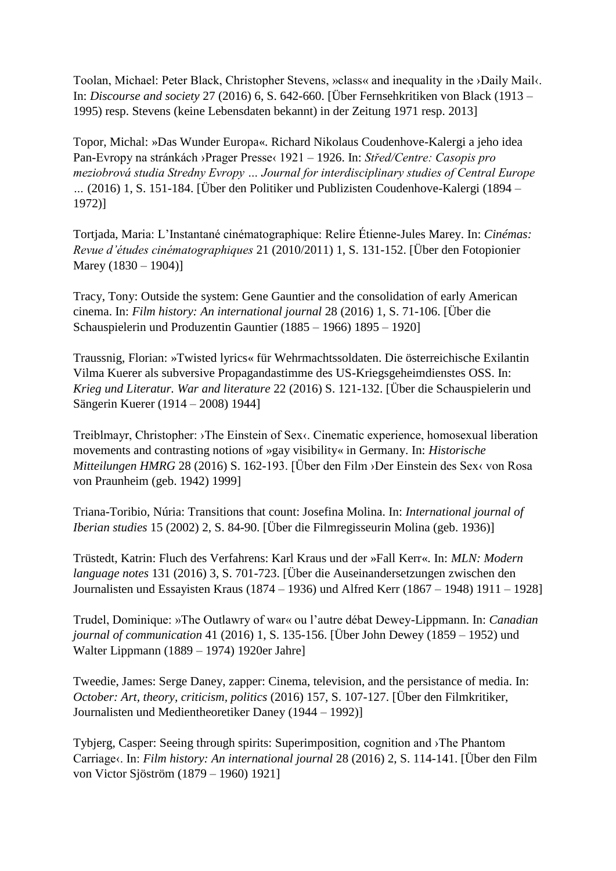Toolan, Michael: Peter Black, Christopher Stevens, »class« and inequality in the ›Daily Mail‹. In: *Discourse and society* 27 (2016) 6, S. 642-660. [Über Fernsehkritiken von Black (1913 – 1995) resp. Stevens (keine Lebensdaten bekannt) in der Zeitung 1971 resp. 2013]

Topor, Michal: »Das Wunder Europa«. Richard Nikolaus Coudenhove-Kalergi a jeho idea Pan-Evropy na stránkách ›Prager Presse‹ 1921 – 1926. In: *Střed/Centre: Casopis pro meziobrová studia Stredny Evropy … Journal for interdisciplinary studies of Central Europe …* (2016) 1, S. 151-184. [Über den Politiker und Publizisten Coudenhove-Kalergi (1894 – 1972)]

Tortjada, Maria: L'Instantané cinématographique: Relire Étienne-Jules Marey. In: *Cinémas: Revue d'études cinématographiques* 21 (2010/2011) 1, S. 131-152. [Über den Fotopionier Marey (1830 – 1904)]

Tracy, Tony: Outside the system: Gene Gauntier and the consolidation of early American cinema. In: *Film history: An international journal* 28 (2016) 1, S. 71-106. [Über die Schauspielerin und Produzentin Gauntier (1885 – 1966) 1895 – 1920]

Traussnig, Florian: »Twisted lyrics« für Wehrmachtssoldaten. Die österreichische Exilantin Vilma Kuerer als subversive Propagandastimme des US-Kriegsgeheimdienstes OSS. In: *Krieg und Literatur. War and literature* 22 (2016) S. 121-132. [Über die Schauspielerin und Sängerin Kuerer (1914 – 2008) 1944]

Treiblmayr, Christopher: ›The Einstein of Sex‹. Cinematic experience, homosexual liberation movements and contrasting notions of »gay visibility« in Germany. In: *Historische Mitteilungen HMRG* 28 (2016) S. 162-193. [Über den Film > Der Einstein des Sex< von Rosa von Praunheim (geb. 1942) 1999]

Triana-Toribio, Núria: Transitions that count: Josefina Molina. In: *International journal of Iberian studies* 15 (2002) 2, S. 84-90. [Über die Filmregisseurin Molina (geb. 1936)]

Trüstedt, Katrin: Fluch des Verfahrens: Karl Kraus und der »Fall Kerr«. In: *MLN: Modern language notes* 131 (2016) 3, S. 701-723. [Über die Auseinandersetzungen zwischen den Journalisten und Essayisten Kraus (1874 – 1936) und Alfred Kerr (1867 – 1948) 1911 – 1928]

Trudel, Dominique: »The Outlawry of war« ou l'autre débat Dewey-Lippmann. In: *Canadian journal of communication* 41 (2016) 1, S. 135-156. [Über John Dewey (1859 – 1952) und Walter Lippmann (1889 – 1974) 1920er Jahre]

Tweedie, James: Serge Daney, zapper: Cinema, television, and the persistance of media. In: *October: Art, theory, criticism, politics* (2016) 157, S. 107-127. [Über den Filmkritiker, Journalisten und Medientheoretiker Daney (1944 – 1992)]

Tybjerg, Casper: Seeing through spirits: Superimposition, cognition and ›The Phantom Carriage‹. In: *Film history: An international journal* 28 (2016) 2, S. 114-141. [Über den Film von Victor Sjöström (1879 – 1960) 1921]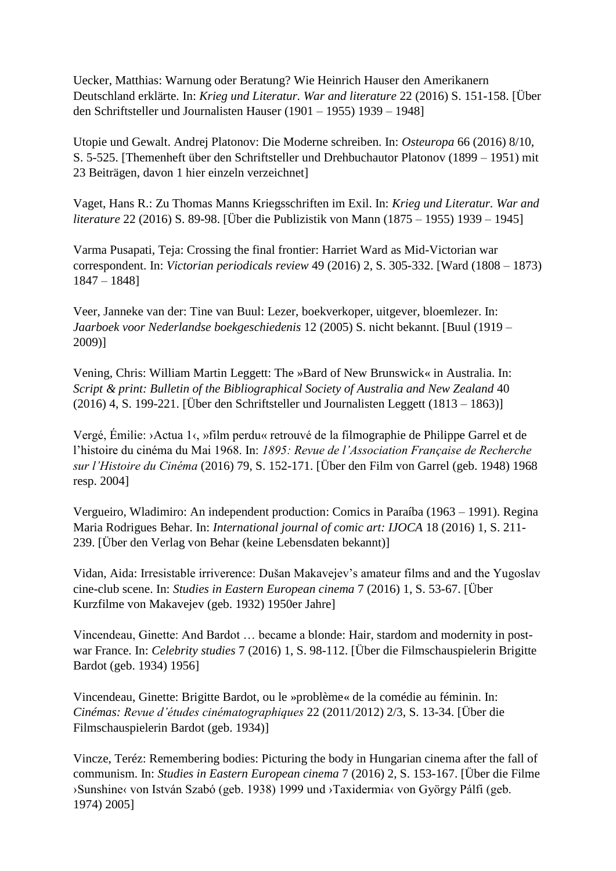Uecker, Matthias: Warnung oder Beratung? Wie Heinrich Hauser den Amerikanern Deutschland erklärte. In: *Krieg und Literatur. War and literature* 22 (2016) S. 151-158. [Über den Schriftsteller und Journalisten Hauser (1901 – 1955) 1939 – 1948]

Utopie und Gewalt. Andrej Platonov: Die Moderne schreiben. In: *Osteuropa* 66 (2016) 8/10, S. 5-525. [Themenheft über den Schriftsteller und Drehbuchautor Platonov (1899 – 1951) mit 23 Beiträgen, davon 1 hier einzeln verzeichnet]

Vaget, Hans R.: Zu Thomas Manns Kriegsschriften im Exil. In: *Krieg und Literatur. War and literature* 22 (2016) S. 89-98. [Über die Publizistik von Mann (1875 – 1955) 1939 – 1945]

Varma Pusapati, Teja: Crossing the final frontier: Harriet Ward as Mid-Victorian war correspondent. In: *Victorian periodicals review* 49 (2016) 2, S. 305-332. [Ward (1808 – 1873) 1847 – 1848]

Veer, Janneke van der: Tine van Buul: Lezer, boekverkoper, uitgever, bloemlezer. In: *Jaarboek voor Nederlandse boekgeschiedenis* 12 (2005) S. nicht bekannt. [Buul (1919 – 2009)]

Vening, Chris: William Martin Leggett: The »Bard of New Brunswick« in Australia. In: *Script & print: Bulletin of the Bibliographical Society of Australia and New Zealand* 40 (2016) 4, S. 199-221. [Über den Schriftsteller und Journalisten Leggett (1813 – 1863)]

Vergé, Émilie: ›Actua 1‹, »film perdu« retrouvé de la filmographie de Philippe Garrel et de l'histoire du cinéma du Mai 1968. In: *1895: Revue de l'Association Française de Recherche sur l'Histoire du Cinéma* (2016) 79, S. 152-171. [Über den Film von Garrel (geb. 1948) 1968 resp. 2004]

Vergueiro, Wladimiro: An independent production: Comics in Paraíba (1963 – 1991). Regina Maria Rodrigues Behar. In: *International journal of comic art: IJOCA* 18 (2016) 1, S. 211- 239. [Über den Verlag von Behar (keine Lebensdaten bekannt)]

Vidan, Aida: Irresistable irriverence: Dušan Makavejev's amateur films and and the Yugoslav cine-club scene. In: *Studies in Eastern European cinema* 7 (2016) 1, S. 53-67. [Über Kurzfilme von Makavejev (geb. 1932) 1950er Jahre]

Vincendeau, Ginette: And Bardot … became a blonde: Hair, stardom and modernity in postwar France. In: *Celebrity studies* 7 (2016) 1, S. 98-112. [Über die Filmschauspielerin Brigitte Bardot (geb. 1934) 1956]

Vincendeau, Ginette: Brigitte Bardot, ou le »problème« de la comédie au féminin. In: *Cinémas: Revue d'études cinématographiques* 22 (2011/2012) 2/3, S. 13-34. [Über die Filmschauspielerin Bardot (geb. 1934)]

Vincze, Teréz: Remembering bodies: Picturing the body in Hungarian cinema after the fall of communism. In: *Studies in Eastern European cinema* 7 (2016) 2, S. 153-167. [Über die Filme ›Sunshine‹ von István Szabó (geb. 1938) 1999 und ›Taxidermia‹ von György Pálfi (geb. 1974) 2005]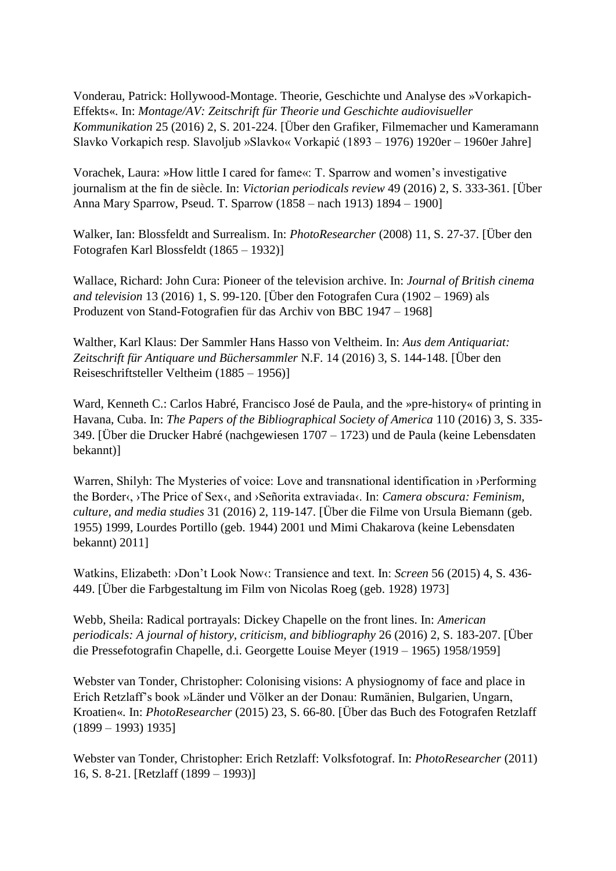Vonderau, Patrick: Hollywood-Montage. Theorie, Geschichte und Analyse des »Vorkapich-Effekts«. In: *Montage/AV: Zeitschrift für Theorie und Geschichte audiovisueller Kommunikation* 25 (2016) 2, S. 201-224. [Über den Grafiker, Filmemacher und Kameramann Slavko Vorkapich resp. Slavoljub »Slavko« Vorkapić (1893 – 1976) 1920er – 1960er Jahre]

Vorachek, Laura: »How little I cared for fame«: T. Sparrow and women's investigative journalism at the fin de siècle. In: *Victorian periodicals review* 49 (2016) 2, S. 333-361. [Über Anna Mary Sparrow, Pseud. T. Sparrow (1858 – nach 1913) 1894 – 1900]

Walker, Ian: Blossfeldt and Surrealism. In: *PhotoResearcher* (2008) 11, S. 27-37. [Über den Fotografen Karl Blossfeldt (1865 – 1932)]

Wallace, Richard: John Cura: Pioneer of the television archive. In: *Journal of British cinema and television* 13 (2016) 1, S. 99-120. [Über den Fotografen Cura (1902 – 1969) als Produzent von Stand-Fotografien für das Archiv von BBC 1947 – 1968]

Walther, Karl Klaus: Der Sammler Hans Hasso von Veltheim. In: *Aus dem Antiquariat: Zeitschrift für Antiquare und Büchersammler* N.F. 14 (2016) 3, S. 144-148. [Über den Reiseschriftsteller Veltheim (1885 – 1956)]

Ward, Kenneth C.: Carlos Habré, Francisco José de Paula, and the »pre-history« of printing in Havana, Cuba. In: *The Papers of the Bibliographical Society of America* 110 (2016) 3, S. 335- 349. [Über die Drucker Habré (nachgewiesen 1707 – 1723) und de Paula (keine Lebensdaten bekannt)]

Warren, Shilyh: The Mysteries of voice: Love and transnational identification in ›Performing the Border‹, ›The Price of Sex‹, and ›Señorita extraviada‹. In: *Camera obscura: Feminism, culture, and media studies* 31 (2016) 2, 119-147. [Über die Filme von Ursula Biemann (geb. 1955) 1999, Lourdes Portillo (geb. 1944) 2001 und Mimi Chakarova (keine Lebensdaten bekannt) 2011]

Watkins, Elizabeth: ›Don't Look Now‹: Transience and text. In: *Screen* 56 (2015) 4, S. 436- 449. [Über die Farbgestaltung im Film von Nicolas Roeg (geb. 1928) 1973]

Webb, Sheila: Radical portrayals: Dickey Chapelle on the front lines. In: *American periodicals: A journal of history, criticism, and bibliography* 26 (2016) 2, S. 183-207. [Über die Pressefotografin Chapelle, d.i. Georgette Louise Meyer (1919 – 1965) 1958/1959]

Webster van Tonder, Christopher: Colonising visions: A physiognomy of face and place in Erich Retzlaff's book »Länder und Völker an der Donau: Rumänien, Bulgarien, Ungarn, Kroatien«. In: *PhotoResearcher* (2015) 23, S. 66-80. [Über das Buch des Fotografen Retzlaff (1899 – 1993) 1935]

Webster van Tonder, Christopher: Erich Retzlaff: Volksfotograf. In: *PhotoResearcher* (2011) 16, S. 8-21. [Retzlaff (1899 – 1993)]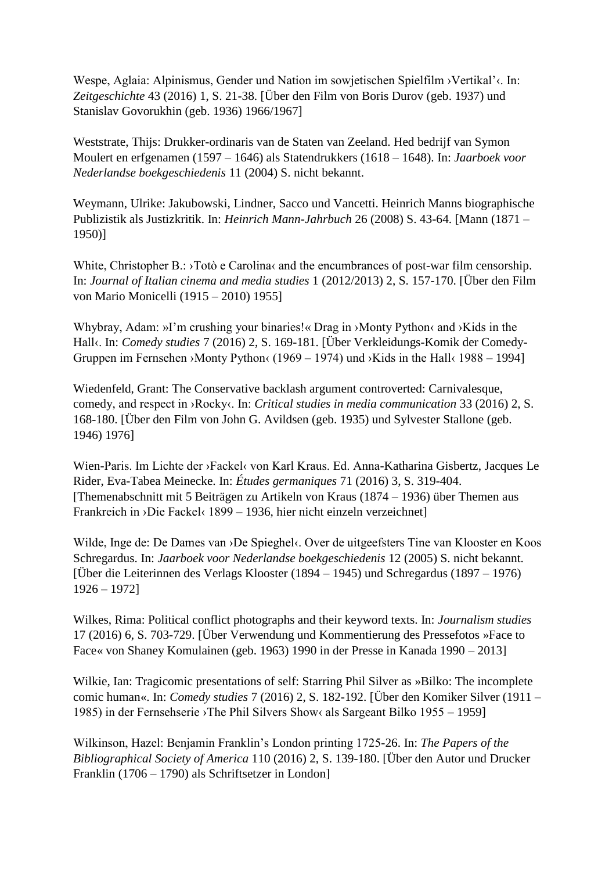Wespe, Aglaia: Alpinismus, Gender und Nation im sowjetischen Spielfilm ›Vertikal'‹. In: *Zeitgeschichte* 43 (2016) 1, S. 21-38. [Über den Film von Boris Durov (geb. 1937) und Stanislav Govorukhin (geb. 1936) 1966/1967]

Weststrate, Thijs: Drukker-ordinaris van de Staten van Zeeland. Hed bedrijf van Symon Moulert en erfgenamen (1597 – 1646) als Statendrukkers (1618 – 1648). In: *Jaarboek voor Nederlandse boekgeschiedenis* 11 (2004) S. nicht bekannt.

Weymann, Ulrike: Jakubowski, Lindner, Sacco und Vancetti. Heinrich Manns biographische Publizistik als Justizkritik. In: *Heinrich Mann-Jahrbuch* 26 (2008) S. 43-64. [Mann (1871 – 1950)]

White, Christopher B.: >Totò e Carolina< and the encumbrances of post-war film censorship. In: *Journal of Italian cinema and media studies* 1 (2012/2013) 2, S. 157-170. [Über den Film von Mario Monicelli (1915 – 2010) 1955]

Whybray, Adam: »I'm crushing your binaries!« Drag in >Monty Python< and >Kids in the Hall<sub>s</sub>. In: *Comedy studies* 7 (2016) 2, S. 169-181. [Über Verkleidungs-Komik der Comedy-Gruppen im Fernsehen ›Monty Python‹ (1969 – 1974) und ›Kids in the Hall‹ 1988 – 1994]

Wiedenfeld, Grant: The Conservative backlash argument controverted: Carnivalesque, comedy, and respect in ›Rocky‹. In: *Critical studies in media communication* 33 (2016) 2, S. 168-180. [Über den Film von John G. Avildsen (geb. 1935) und Sylvester Stallone (geb. 1946) 1976]

Wien-Paris. Im Lichte der ›Fackel‹ von Karl Kraus. Ed. Anna-Katharina Gisbertz, Jacques Le Rider, Eva-Tabea Meinecke. In: *Études germaniques* 71 (2016) 3, S. 319-404. [Themenabschnitt mit 5 Beiträgen zu Artikeln von Kraus (1874 – 1936) über Themen aus Frankreich in ›Die Fackel‹ 1899 – 1936, hier nicht einzeln verzeichnet]

Wilde, Inge de: De Dames van >De Spieghel<. Over de uitgeefsters Tine van Klooster en Koos Schregardus. In: *Jaarboek voor Nederlandse boekgeschiedenis* 12 (2005) S. nicht bekannt. [Über die Leiterinnen des Verlags Klooster (1894 – 1945) und Schregardus (1897 – 1976) 1926 – 1972]

Wilkes, Rima: Political conflict photographs and their keyword texts. In: *Journalism studies* 17 (2016) 6, S. 703-729. [Über Verwendung und Kommentierung des Pressefotos »Face to Face« von Shaney Komulainen (geb. 1963) 1990 in der Presse in Kanada 1990 – 2013]

Wilkie, Ian: Tragicomic presentations of self: Starring Phil Silver as »Bilko: The incomplete comic human«. In: *Comedy studies* 7 (2016) 2, S. 182-192. [Über den Komiker Silver (1911 – 1985) in der Fernsehserie ›The Phil Silvers Show‹ als Sargeant Bilko 1955 – 1959]

Wilkinson, Hazel: Benjamin Franklin's London printing 1725-26. In: *The Papers of the Bibliographical Society of America* 110 (2016) 2, S. 139-180. [Über den Autor und Drucker Franklin (1706 – 1790) als Schriftsetzer in London]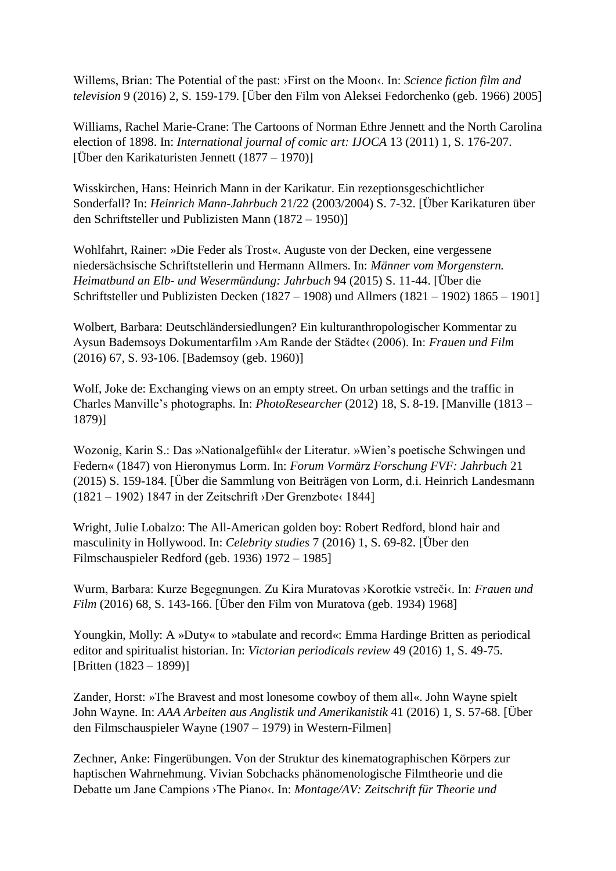Willems, Brian: The Potential of the past: >First on the Moon<. In: *Science fiction film and television* 9 (2016) 2, S. 159-179. [Über den Film von Aleksei Fedorchenko (geb. 1966) 2005]

Williams, Rachel Marie-Crane: The Cartoons of Norman Ethre Jennett and the North Carolina election of 1898. In: *International journal of comic art: IJOCA* 13 (2011) 1, S. 176-207. [Über den Karikaturisten Jennett (1877 – 1970)]

Wisskirchen, Hans: Heinrich Mann in der Karikatur. Ein rezeptionsgeschichtlicher Sonderfall? In: *Heinrich Mann-Jahrbuch* 21/22 (2003/2004) S. 7-32. [Über Karikaturen über den Schriftsteller und Publizisten Mann (1872 – 1950)]

Wohlfahrt, Rainer: »Die Feder als Trost«. Auguste von der Decken, eine vergessene niedersächsische Schriftstellerin und Hermann Allmers. In: *Männer vom Morgenstern. Heimatbund an Elb- und Wesermündung: Jahrbuch* 94 (2015) S. 11-44. [Über die Schriftsteller und Publizisten Decken (1827 – 1908) und Allmers (1821 – 1902) 1865 – 1901]

Wolbert, Barbara: Deutschländersiedlungen? Ein kulturanthropologischer Kommentar zu Aysun Bademsoys Dokumentarfilm ›Am Rande der Städte‹ (2006). In: *Frauen und Film* (2016) 67, S. 93-106. [Bademsoy (geb. 1960)]

Wolf, Joke de: Exchanging views on an empty street. On urban settings and the traffic in Charles Manville's photographs. In: *PhotoResearcher* (2012) 18, S. 8-19. [Manville (1813 – 1879)]

Wozonig, Karin S.: Das »Nationalgefühl« der Literatur. »Wien's poetische Schwingen und Federn« (1847) von Hieronymus Lorm. In: *Forum Vormärz Forschung FVF: Jahrbuch* 21 (2015) S. 159-184. [Über die Sammlung von Beiträgen von Lorm, d.i. Heinrich Landesmann (1821 – 1902) 1847 in der Zeitschrift ›Der Grenzbote‹ 1844]

Wright, Julie Lobalzo: The All-American golden boy: Robert Redford, blond hair and masculinity in Hollywood. In: *Celebrity studies* 7 (2016) 1, S. 69-82. [Über den Filmschauspieler Redford (geb. 1936) 1972 – 1985]

Wurm, Barbara: Kurze Begegnungen. Zu Kira Muratovas ›Korotkie vstreči‹. In: *Frauen und Film* (2016) 68, S. 143-166. [Über den Film von Muratova (geb. 1934) 1968]

Youngkin, Molly: A »Duty« to »tabulate and record«: Emma Hardinge Britten as periodical editor and spiritualist historian. In: *Victorian periodicals review* 49 (2016) 1, S. 49-75. [Britten (1823 – 1899)]

Zander, Horst: »The Bravest and most lonesome cowboy of them all«. John Wayne spielt John Wayne. In: *AAA Arbeiten aus Anglistik und Amerikanistik* 41 (2016) 1, S. 57-68. [Über den Filmschauspieler Wayne (1907 – 1979) in Western-Filmen]

Zechner, Anke: Fingerübungen. Von der Struktur des kinematographischen Körpers zur haptischen Wahrnehmung. Vivian Sobchacks phänomenologische Filmtheorie und die Debatte um Jane Campions ›The Piano‹. In: *Montage/AV: Zeitschrift für Theorie und*